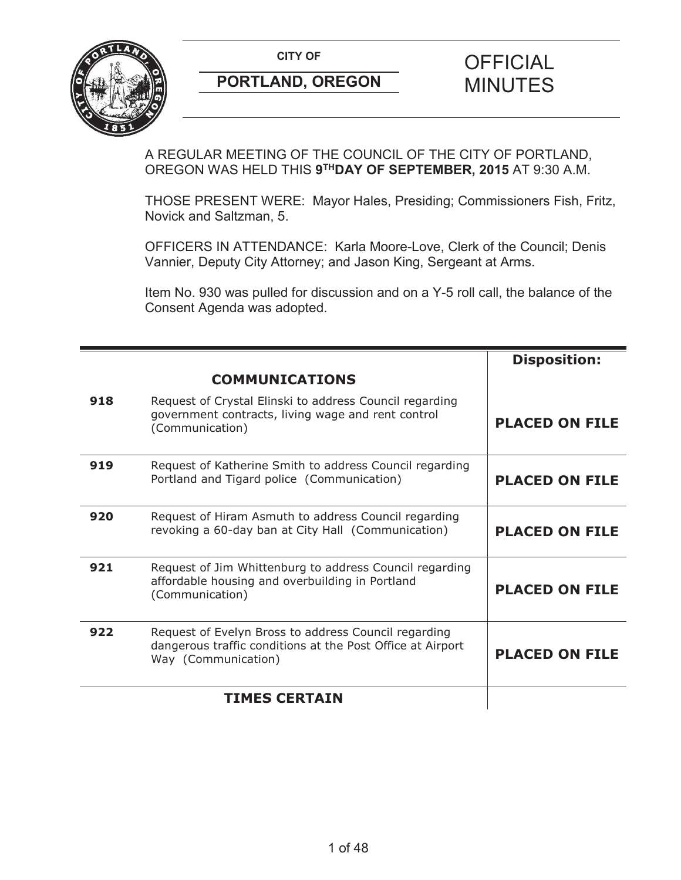

A REGULAR MEETING OF THE COUNCIL OF THE CITY OF PORTLAND, OREGON WAS HELD THIS **9THDAY OF SEPTEMBER, 2015** AT 9:30 A.M.

THOSE PRESENT WERE: Mayor Hales, Presiding; Commissioners Fish, Fritz, Novick and Saltzman, 5.

OFFICERS IN ATTENDANCE: Karla Moore-Love, Clerk of the Council; Denis Vannier, Deputy City Attorney; and Jason King, Sergeant at Arms.

Item No. 930 was pulled for discussion and on a Y-5 roll call, the balance of the Consent Agenda was adopted.

|     |                                                                                                                                           | <b>Disposition:</b>   |
|-----|-------------------------------------------------------------------------------------------------------------------------------------------|-----------------------|
|     | <b>COMMUNICATIONS</b>                                                                                                                     |                       |
| 918 | Request of Crystal Elinski to address Council regarding<br>government contracts, living wage and rent control<br>(Communication)          | <b>PLACED ON FILE</b> |
| 919 | Request of Katherine Smith to address Council regarding<br>Portland and Tigard police (Communication)                                     | <b>PLACED ON FILE</b> |
| 920 | Request of Hiram Asmuth to address Council regarding<br>revoking a 60-day ban at City Hall (Communication)                                | <b>PLACED ON FILE</b> |
| 921 | Request of Jim Whittenburg to address Council regarding<br>affordable housing and overbuilding in Portland<br>(Communication)             | <b>PLACED ON FILE</b> |
| 922 | Request of Evelyn Bross to address Council regarding<br>dangerous traffic conditions at the Post Office at Airport<br>Way (Communication) | <b>PLACED ON FILE</b> |
|     | <b>TIMES CERTAIN</b>                                                                                                                      |                       |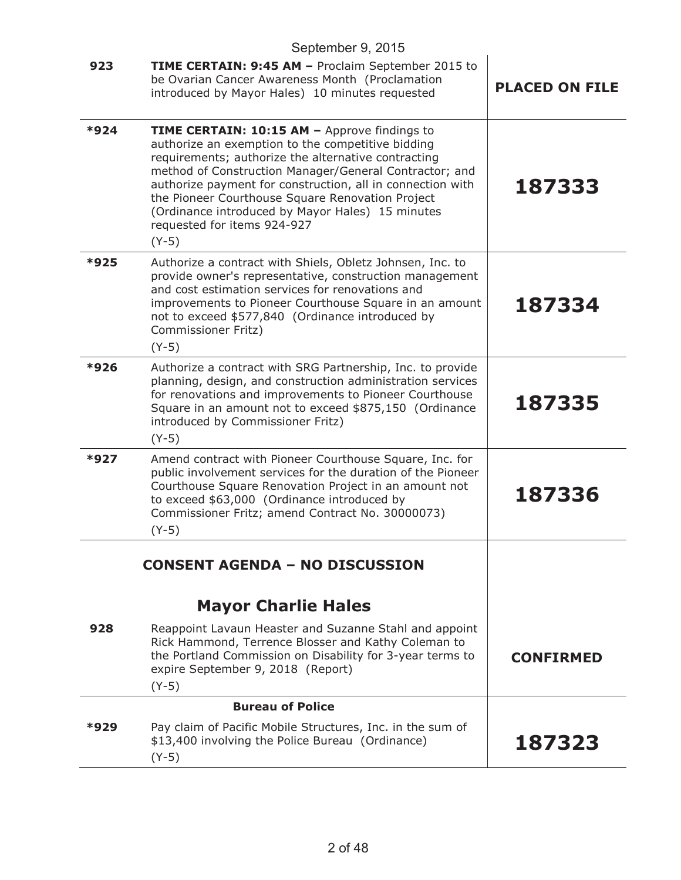|      | September 9, 2015                                                                                                                                                                                                                                                                                                                                                                                                                  |                       |
|------|------------------------------------------------------------------------------------------------------------------------------------------------------------------------------------------------------------------------------------------------------------------------------------------------------------------------------------------------------------------------------------------------------------------------------------|-----------------------|
| 923  | <b>TIME CERTAIN: 9:45 AM - Proclaim September 2015 to</b><br>be Ovarian Cancer Awareness Month (Proclamation<br>introduced by Mayor Hales) 10 minutes requested                                                                                                                                                                                                                                                                    | <b>PLACED ON FILE</b> |
| *924 | TIME CERTAIN: 10:15 AM - Approve findings to<br>authorize an exemption to the competitive bidding<br>requirements; authorize the alternative contracting<br>method of Construction Manager/General Contractor; and<br>authorize payment for construction, all in connection with<br>the Pioneer Courthouse Square Renovation Project<br>(Ordinance introduced by Mayor Hales) 15 minutes<br>requested for items 924-927<br>$(Y-5)$ | 187333                |
| *925 | Authorize a contract with Shiels, Obletz Johnsen, Inc. to<br>provide owner's representative, construction management<br>and cost estimation services for renovations and<br>improvements to Pioneer Courthouse Square in an amount<br>not to exceed \$577,840 (Ordinance introduced by<br>Commissioner Fritz)<br>$(Y-5)$                                                                                                           | 187334                |
| *926 | Authorize a contract with SRG Partnership, Inc. to provide<br>planning, design, and construction administration services<br>for renovations and improvements to Pioneer Courthouse<br>Square in an amount not to exceed \$875,150 (Ordinance<br>introduced by Commissioner Fritz)<br>$(Y-5)$                                                                                                                                       | 187335                |
| *927 | Amend contract with Pioneer Courthouse Square, Inc. for<br>public involvement services for the duration of the Pioneer<br>Courthouse Square Renovation Project in an amount not<br>to exceed \$63,000 (Ordinance introduced by<br>Commissioner Fritz; amend Contract No. 30000073)<br>$(Y-5)$                                                                                                                                      | 187336                |
|      | <b>CONSENT AGENDA - NO DISCUSSION</b>                                                                                                                                                                                                                                                                                                                                                                                              |                       |
|      | <b>Mayor Charlie Hales</b>                                                                                                                                                                                                                                                                                                                                                                                                         |                       |
| 928  | Reappoint Lavaun Heaster and Suzanne Stahl and appoint<br>Rick Hammond, Terrence Blosser and Kathy Coleman to<br>the Portland Commission on Disability for 3-year terms to<br>expire September 9, 2018 (Report)<br>$(Y-5)$                                                                                                                                                                                                         | <b>CONFIRMED</b>      |
|      | <b>Bureau of Police</b>                                                                                                                                                                                                                                                                                                                                                                                                            |                       |
| *929 | Pay claim of Pacific Mobile Structures, Inc. in the sum of<br>\$13,400 involving the Police Bureau (Ordinance)<br>$(Y-5)$                                                                                                                                                                                                                                                                                                          | 187323                |
|      |                                                                                                                                                                                                                                                                                                                                                                                                                                    |                       |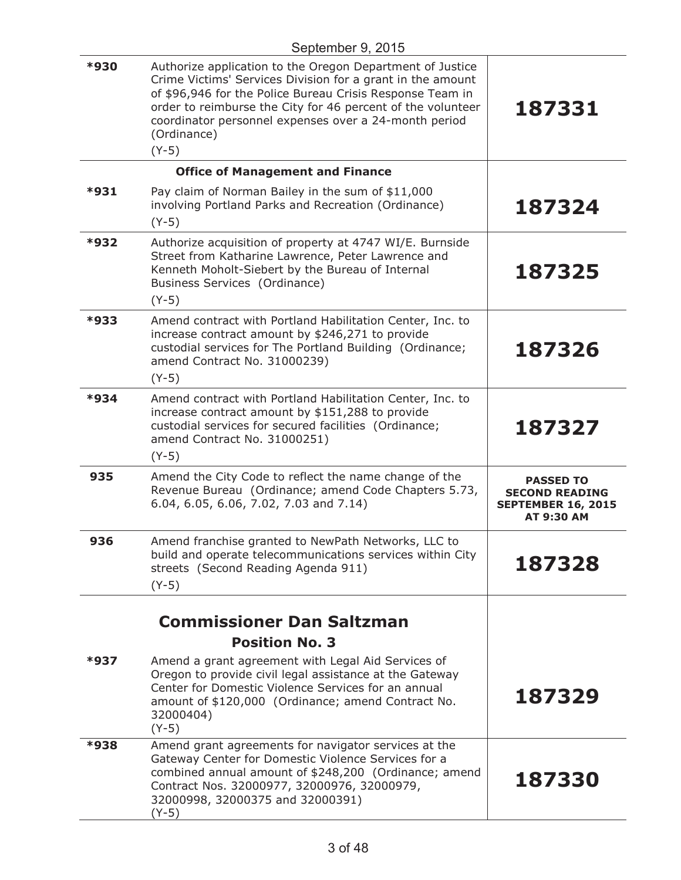| September 9, 2015 |                                                                                                                                                                                                                                                                                                                                        |                                                                                             |
|-------------------|----------------------------------------------------------------------------------------------------------------------------------------------------------------------------------------------------------------------------------------------------------------------------------------------------------------------------------------|---------------------------------------------------------------------------------------------|
| *930              | Authorize application to the Oregon Department of Justice<br>Crime Victims' Services Division for a grant in the amount<br>of \$96,946 for the Police Bureau Crisis Response Team in<br>order to reimburse the City for 46 percent of the volunteer<br>coordinator personnel expenses over a 24-month period<br>(Ordinance)<br>$(Y-5)$ | 187331                                                                                      |
|                   | <b>Office of Management and Finance</b>                                                                                                                                                                                                                                                                                                |                                                                                             |
| *931              | Pay claim of Norman Bailey in the sum of \$11,000<br>involving Portland Parks and Recreation (Ordinance)<br>$(Y-5)$                                                                                                                                                                                                                    | 187324                                                                                      |
| *932              | Authorize acquisition of property at 4747 WI/E. Burnside<br>Street from Katharine Lawrence, Peter Lawrence and<br>Kenneth Moholt-Siebert by the Bureau of Internal<br>Business Services (Ordinance)<br>$(Y-5)$                                                                                                                         | 187325                                                                                      |
| *933              | Amend contract with Portland Habilitation Center, Inc. to<br>increase contract amount by \$246,271 to provide<br>custodial services for The Portland Building (Ordinance;<br>amend Contract No. 31000239)<br>$(Y-5)$                                                                                                                   | 187326                                                                                      |
| *934              | Amend contract with Portland Habilitation Center, Inc. to<br>increase contract amount by \$151,288 to provide<br>custodial services for secured facilities (Ordinance;<br>amend Contract No. 31000251)<br>$(Y-5)$                                                                                                                      | 187327                                                                                      |
| 935               | Amend the City Code to reflect the name change of the<br>Revenue Bureau (Ordinance; amend Code Chapters 5.73,<br>6.04, 6.05, 6.06, 7.02, 7.03 and 7.14)                                                                                                                                                                                | <b>PASSED TO</b><br><b>SECOND READING</b><br><b>SEPTEMBER 16, 2015</b><br><b>AT 9:30 AM</b> |
| 936               | Amend franchise granted to NewPath Networks, LLC to<br>build and operate telecommunications services within City<br>streets (Second Reading Agenda 911)<br>$(Y-5)$                                                                                                                                                                     | 187328                                                                                      |
|                   | <b>Commissioner Dan Saltzman</b><br><b>Position No. 3</b>                                                                                                                                                                                                                                                                              |                                                                                             |
| *937              | Amend a grant agreement with Legal Aid Services of<br>Oregon to provide civil legal assistance at the Gateway<br>Center for Domestic Violence Services for an annual<br>amount of \$120,000 (Ordinance; amend Contract No.<br>32000404)<br>$(Y-5)$                                                                                     | 187329                                                                                      |
| *938              | Amend grant agreements for navigator services at the<br>Gateway Center for Domestic Violence Services for a<br>combined annual amount of \$248,200 (Ordinance; amend<br>Contract Nos. 32000977, 32000976, 32000979,<br>32000998, 32000375 and 32000391)<br>(Y-5)                                                                       | 187330                                                                                      |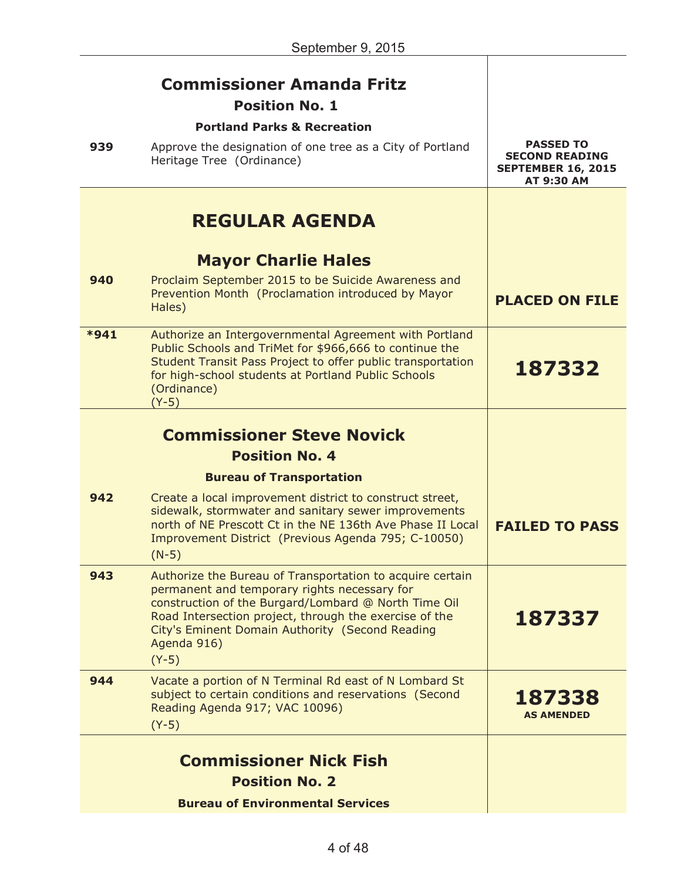|      | <b>Commissioner Amanda Fritz</b><br><b>Position No. 1</b><br><b>Portland Parks &amp; Recreation</b>                                                                                                                                                                                                      |                                                                                             |
|------|----------------------------------------------------------------------------------------------------------------------------------------------------------------------------------------------------------------------------------------------------------------------------------------------------------|---------------------------------------------------------------------------------------------|
| 939  | Approve the designation of one tree as a City of Portland<br>Heritage Tree (Ordinance)                                                                                                                                                                                                                   | <b>PASSED TO</b><br><b>SECOND READING</b><br><b>SEPTEMBER 16, 2015</b><br><b>AT 9:30 AM</b> |
|      | <b>REGULAR AGENDA</b>                                                                                                                                                                                                                                                                                    |                                                                                             |
|      | <b>Mayor Charlie Hales</b>                                                                                                                                                                                                                                                                               |                                                                                             |
| 940  | Proclaim September 2015 to be Suicide Awareness and<br>Prevention Month (Proclamation introduced by Mayor<br>Hales)                                                                                                                                                                                      | <b>PLACED ON FILE</b>                                                                       |
| *941 | Authorize an Intergovernmental Agreement with Portland<br>Public Schools and TriMet for \$966,666 to continue the<br>Student Transit Pass Project to offer public transportation<br>for high-school students at Portland Public Schools<br>(Ordinance)<br>$(Y-5)$                                        | 187332                                                                                      |
|      | <b>Commissioner Steve Novick</b>                                                                                                                                                                                                                                                                         |                                                                                             |
|      | <b>Position No. 4</b>                                                                                                                                                                                                                                                                                    |                                                                                             |
|      | <b>Bureau of Transportation</b>                                                                                                                                                                                                                                                                          |                                                                                             |
| 942  | Create a local improvement district to construct street,<br>sidewalk, stormwater and sanitary sewer improvements<br>north of NE Prescott Ct in the NE 136th Ave Phase II Local<br>Improvement District (Previous Agenda 795; C-10050)<br>$(N-5)$                                                         | <b>FAILED TO PASS</b>                                                                       |
| 943  | Authorize the Bureau of Transportation to acquire certain<br>permanent and temporary rights necessary for<br>construction of the Burgard/Lombard @ North Time Oil<br>Road Intersection project, through the exercise of the<br>City's Eminent Domain Authority (Second Reading<br>Agenda 916)<br>$(Y-5)$ | 187337                                                                                      |
| 944  | Vacate a portion of N Terminal Rd east of N Lombard St<br>subject to certain conditions and reservations (Second<br>Reading Agenda 917; VAC 10096)<br>$(Y-5)$                                                                                                                                            | 187338<br><b>AS AMENDED</b>                                                                 |
|      | <b>Commissioner Nick Fish</b><br><b>Position No. 2</b>                                                                                                                                                                                                                                                   |                                                                                             |
|      | <b>Bureau of Environmental Services</b>                                                                                                                                                                                                                                                                  |                                                                                             |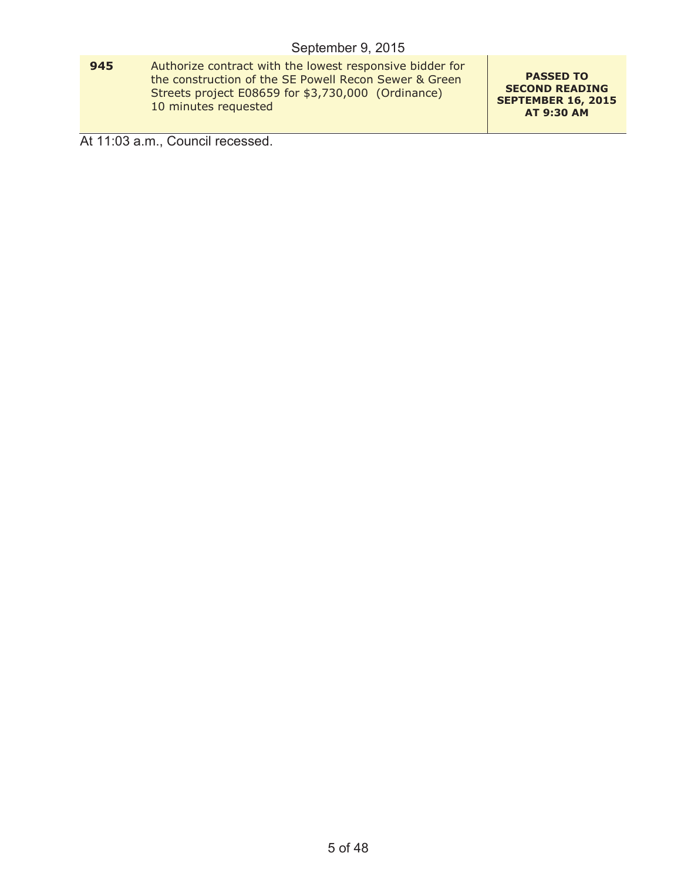**945** Authorize contract with the lowest responsive bidder for the construction of the SE Powell Recon Sewer & Green Streets project E08659 for \$3,730,000 (Ordinance) 10 minutes requested

**PASSED TO SECOND READING SEPTEMBER 16, 2015 AT 9:30 AM**

At 11:03 a.m., Council recessed.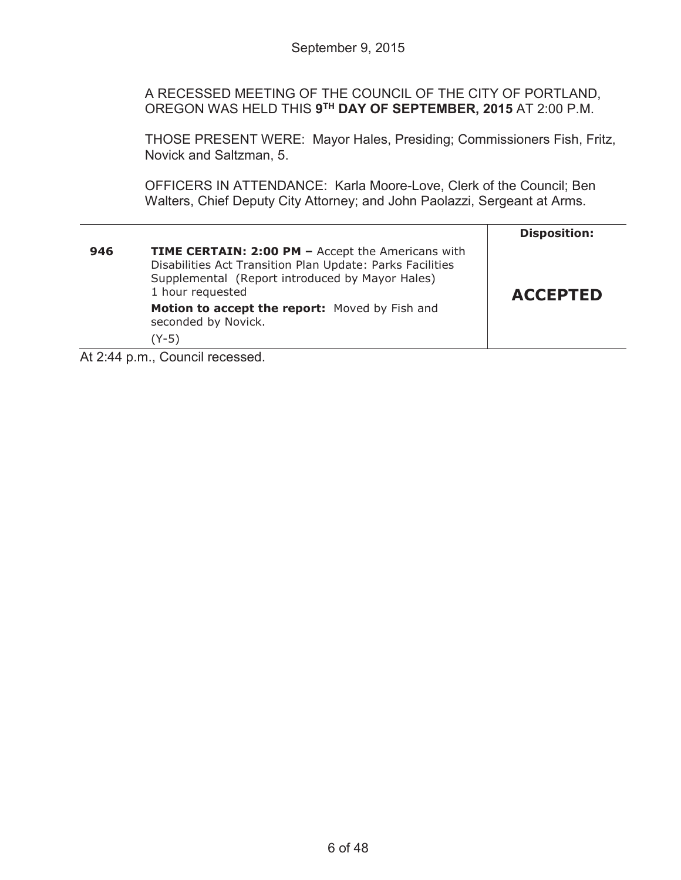A RECESSED MEETING OF THE COUNCIL OF THE CITY OF PORTLAND, OREGON WAS HELD THIS **9TH DAY OF SEPTEMBER, 2015** AT 2:00 P.M.

THOSE PRESENT WERE: Mayor Hales, Presiding; Commissioners Fish, Fritz, Novick and Saltzman, 5.

OFFICERS IN ATTENDANCE: Karla Moore-Love, Clerk of the Council; Ben Walters, Chief Deputy City Attorney; and John Paolazzi, Sergeant at Arms.

|     |                                                                                                                                                                                              | <b>Disposition:</b> |
|-----|----------------------------------------------------------------------------------------------------------------------------------------------------------------------------------------------|---------------------|
| 946 | <b>TIME CERTAIN: 2:00 PM - Accept the Americans with</b><br>Disabilities Act Transition Plan Update: Parks Facilities<br>Supplemental (Report introduced by Mayor Hales)<br>1 hour requested | <b>ACCEPTED</b>     |
|     | Motion to accept the report: Moved by Fish and<br>seconded by Novick.<br>$(Y-5)$                                                                                                             |                     |
|     | $\sim$                                                                                                                                                                                       |                     |

At 2:44 p.m., Council recessed.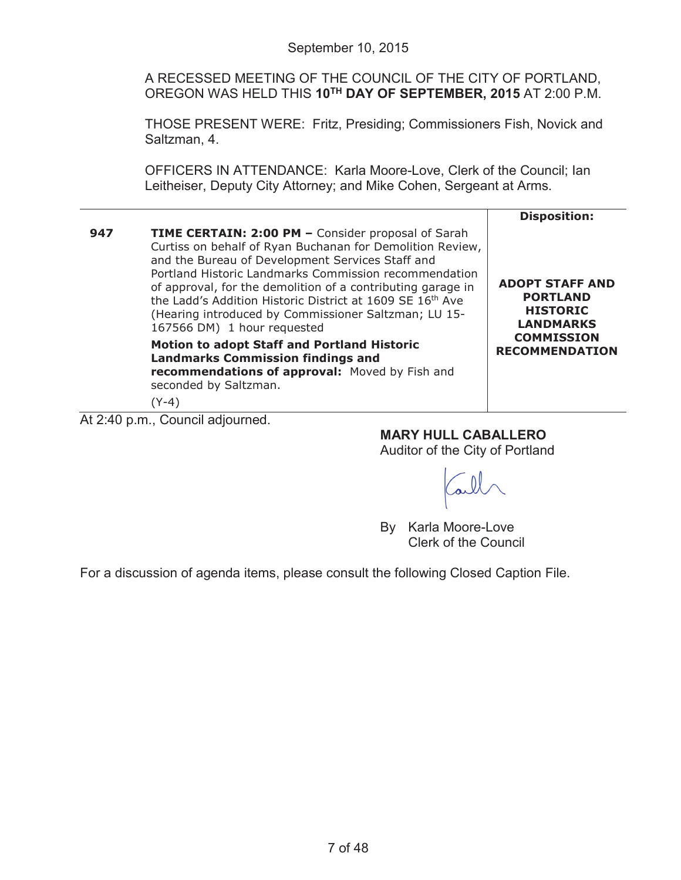A RECESSED MEETING OF THE COUNCIL OF THE CITY OF PORTLAND, OREGON WAS HELD THIS **10TH DAY OF SEPTEMBER, 2015** AT 2:00 P.M.

THOSE PRESENT WERE: Fritz, Presiding; Commissioners Fish, Novick and Saltzman, 4.

OFFICERS IN ATTENDANCE: Karla Moore-Love, Clerk of the Council; Ian Leitheiser, Deputy City Attorney; and Mike Cohen, Sergeant at Arms.

|     |                                                                                                                                                                                                                                                                                                                                                                                                                                                                    | <b>Disposition:</b>                                                                                                            |
|-----|--------------------------------------------------------------------------------------------------------------------------------------------------------------------------------------------------------------------------------------------------------------------------------------------------------------------------------------------------------------------------------------------------------------------------------------------------------------------|--------------------------------------------------------------------------------------------------------------------------------|
| 947 | <b>TIME CERTAIN: 2:00 PM - Consider proposal of Sarah</b><br>Curtiss on behalf of Ryan Buchanan for Demolition Review,<br>and the Bureau of Development Services Staff and<br>Portland Historic Landmarks Commission recommendation<br>of approval, for the demolition of a contributing garage in<br>the Ladd's Addition Historic District at 1609 SE 16 <sup>th</sup> Ave<br>(Hearing introduced by Commissioner Saltzman; LU 15-<br>167566 DM) 1 hour requested | <b>ADOPT STAFF AND</b><br><b>PORTLAND</b><br><b>HISTORIC</b><br><b>LANDMARKS</b><br><b>COMMISSION</b><br><b>RECOMMENDATION</b> |
|     | <b>Motion to adopt Staff and Portland Historic</b><br><b>Landmarks Commission findings and</b><br>recommendations of approval: Moved by Fish and<br>seconded by Saltzman.<br>(Y-4)                                                                                                                                                                                                                                                                                 |                                                                                                                                |

At 2:40 p.m., Council adjourned.

**MARY HULL CABALLERO**

Auditor of the City of Portland

By Karla Moore-Love Clerk of the Council

For a discussion of agenda items, please consult the following Closed Caption File.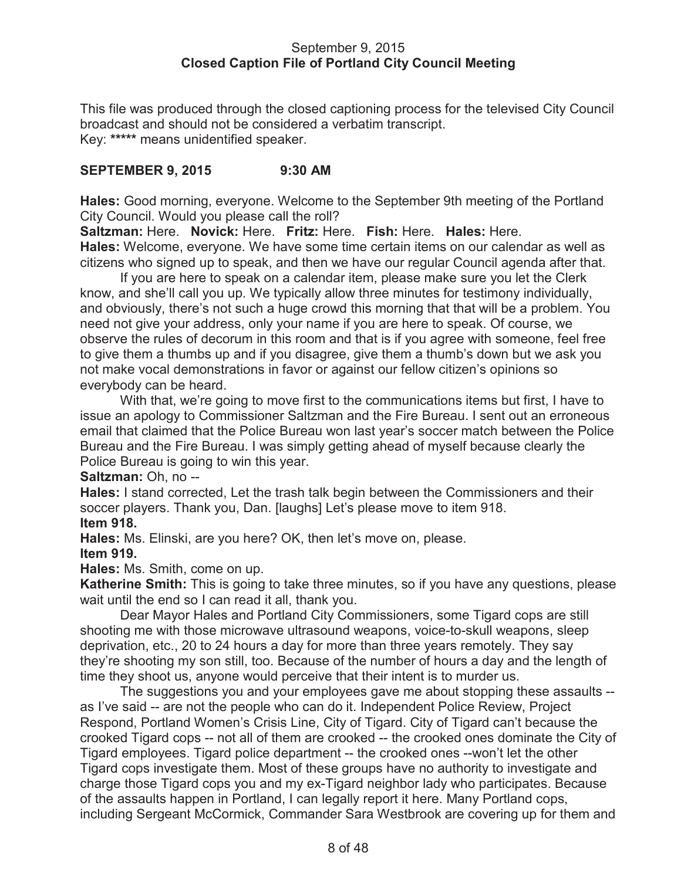#### September 9, 2015 **Closed Caption File of Portland City Council Meeting**

This file was produced through the closed captioning process for the televised City Council broadcast and should not be considered a verbatim transcript. Key: **\*\*\*\*\*** means unidentified speaker.

## **SEPTEMBER 9, 2015 9:30 AM**

**Hales:** Good morning, everyone. Welcome to the September 9th meeting of the Portland City Council. Would you please call the roll?

**Saltzman:** Here. **Novick:** Here. **Fritz:** Here. **Fish:** Here. **Hales:** Here. **Hales:** Welcome, everyone. We have some time certain items on our calendar as well as citizens who signed up to speak, and then we have our regular Council agenda after that.

If you are here to speak on a calendar item, please make sure you let the Clerk know, and she'll call you up. We typically allow three minutes for testimony individually, and obviously, there's not such a huge crowd this morning that that will be a problem. You need not give your address, only your name if you are here to speak. Of course, we observe the rules of decorum in this room and that is if you agree with someone, feel free to give them a thumbs up and if you disagree, give them a thumb's down but we ask you not make vocal demonstrations in favor or against our fellow citizen's opinions so everybody can be heard.

With that, we're going to move first to the communications items but first, I have to issue an apology to Commissioner Saltzman and the Fire Bureau. I sent out an erroneous email that claimed that the Police Bureau won last year's soccer match between the Police Bureau and the Fire Bureau. I was simply getting ahead of myself because clearly the Police Bureau is going to win this year.

## **Saltzman:** Oh, no --

**Hales:** I stand corrected, Let the trash talk begin between the Commissioners and their soccer players. Thank you, Dan. [laughs] Let's please move to item 918. **Item 918.**

**Hales:** Ms. Elinski, are you here? OK, then let's move on, please. **Item 919.**

**Hales:** Ms. Smith, come on up.

**Katherine Smith:** This is going to take three minutes, so if you have any questions, please wait until the end so I can read it all, thank you.

Dear Mayor Hales and Portland City Commissioners, some Tigard cops are still shooting me with those microwave ultrasound weapons, voice-to-skull weapons, sleep deprivation, etc., 20 to 24 hours a day for more than three years remotely. They say they're shooting my son still, too. Because of the number of hours a day and the length of time they shoot us, anyone would perceive that their intent is to murder us.

The suggestions you and your employees gave me about stopping these assaults - as I've said -- are not the people who can do it. Independent Police Review, Project Respond, Portland Women's Crisis Line, City of Tigard. City of Tigard can't because the crooked Tigard cops -- not all of them are crooked -- the crooked ones dominate the City of Tigard employees. Tigard police department -- the crooked ones --won't let the other Tigard cops investigate them. Most of these groups have no authority to investigate and charge those Tigard cops you and my ex-Tigard neighbor lady who participates. Because of the assaults happen in Portland, I can legally report it here. Many Portland cops, including Sergeant McCormick, Commander Sara Westbrook are covering up for them and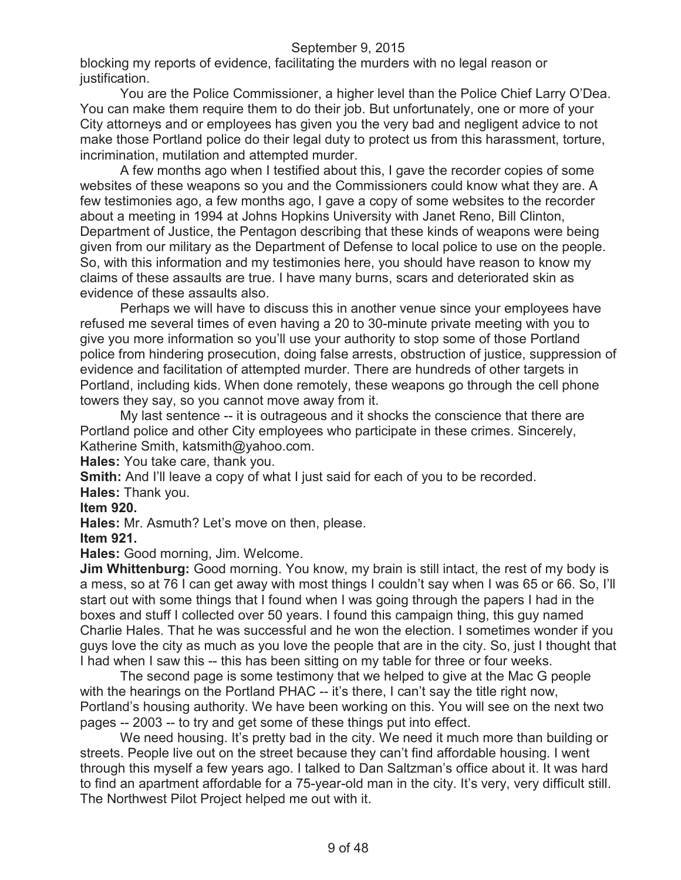blocking my reports of evidence, facilitating the murders with no legal reason or justification.

You are the Police Commissioner, a higher level than the Police Chief Larry O'Dea. You can make them require them to do their job. But unfortunately, one or more of your City attorneys and or employees has given you the very bad and negligent advice to not make those Portland police do their legal duty to protect us from this harassment, torture, incrimination, mutilation and attempted murder.

A few months ago when I testified about this, I gave the recorder copies of some websites of these weapons so you and the Commissioners could know what they are. A few testimonies ago, a few months ago, I gave a copy of some websites to the recorder about a meeting in 1994 at Johns Hopkins University with Janet Reno, Bill Clinton, Department of Justice, the Pentagon describing that these kinds of weapons were being given from our military as the Department of Defense to local police to use on the people. So, with this information and my testimonies here, you should have reason to know my claims of these assaults are true. I have many burns, scars and deteriorated skin as evidence of these assaults also.

Perhaps we will have to discuss this in another venue since your employees have refused me several times of even having a 20 to 30-minute private meeting with you to give you more information so you'll use your authority to stop some of those Portland police from hindering prosecution, doing false arrests, obstruction of justice, suppression of evidence and facilitation of attempted murder. There are hundreds of other targets in Portland, including kids. When done remotely, these weapons go through the cell phone towers they say, so you cannot move away from it.

My last sentence -- it is outrageous and it shocks the conscience that there are Portland police and other City employees who participate in these crimes. Sincerely, Katherine Smith, katsmith@yahoo.com.

**Hales:** You take care, thank you.

**Smith:** And I'll leave a copy of what I just said for each of you to be recorded.

**Hales:** Thank you.

#### **Item 920.**

**Hales:** Mr. Asmuth? Let's move on then, please.

**Item 921.**

**Hales:** Good morning, Jim. Welcome.

**Jim Whittenburg:** Good morning. You know, my brain is still intact, the rest of my body is a mess, so at 76 I can get away with most things I couldn't say when I was 65 or 66. So, I'll start out with some things that I found when I was going through the papers I had in the boxes and stuff I collected over 50 years. I found this campaign thing, this guy named Charlie Hales. That he was successful and he won the election. I sometimes wonder if you guys love the city as much as you love the people that are in the city. So, just I thought that I had when I saw this -- this has been sitting on my table for three or four weeks.

The second page is some testimony that we helped to give at the Mac G people with the hearings on the Portland PHAC -- it's there, I can't say the title right now, Portland's housing authority. We have been working on this. You will see on the next two pages -- 2003 -- to try and get some of these things put into effect.

We need housing. It's pretty bad in the city. We need it much more than building or streets. People live out on the street because they can't find affordable housing. I went through this myself a few years ago. I talked to Dan Saltzman's office about it. It was hard to find an apartment affordable for a 75-year-old man in the city. It's very, very difficult still. The Northwest Pilot Project helped me out with it.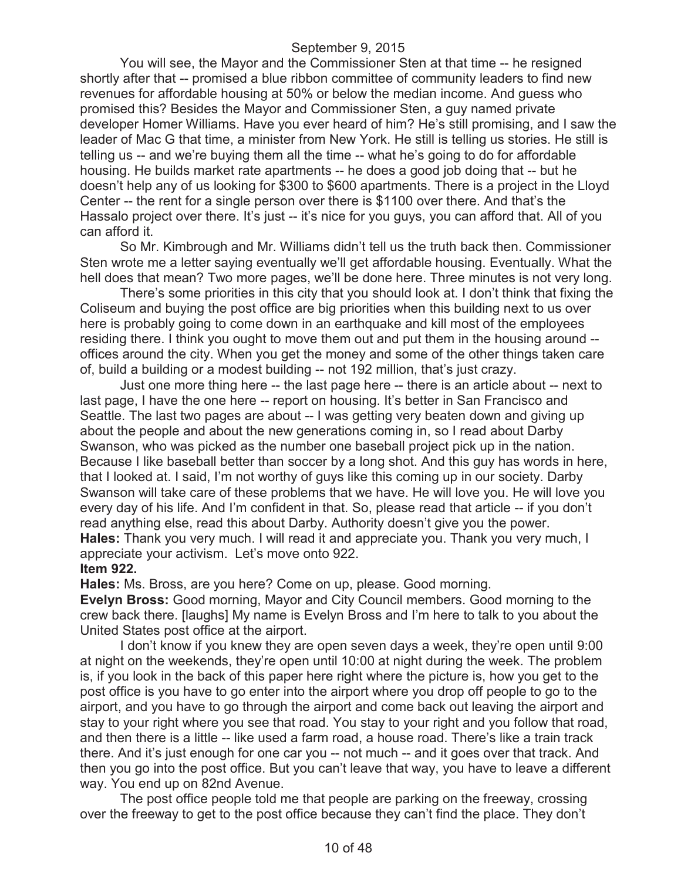You will see, the Mayor and the Commissioner Sten at that time -- he resigned shortly after that -- promised a blue ribbon committee of community leaders to find new revenues for affordable housing at 50% or below the median income. And guess who promised this? Besides the Mayor and Commissioner Sten, a guy named private developer Homer Williams. Have you ever heard of him? He's still promising, and I saw the leader of Mac G that time, a minister from New York. He still is telling us stories. He still is telling us -- and we're buying them all the time -- what he's going to do for affordable housing. He builds market rate apartments -- he does a good job doing that -- but he doesn't help any of us looking for \$300 to \$600 apartments. There is a project in the Lloyd Center -- the rent for a single person over there is \$1100 over there. And that's the Hassalo project over there. It's just -- it's nice for you guys, you can afford that. All of you can afford it.

So Mr. Kimbrough and Mr. Williams didn't tell us the truth back then. Commissioner Sten wrote me a letter saying eventually we'll get affordable housing. Eventually. What the hell does that mean? Two more pages, we'll be done here. Three minutes is not very long.

There's some priorities in this city that you should look at. I don't think that fixing the Coliseum and buying the post office are big priorities when this building next to us over here is probably going to come down in an earthquake and kill most of the employees residing there. I think you ought to move them out and put them in the housing around - offices around the city. When you get the money and some of the other things taken care of, build a building or a modest building -- not 192 million, that's just crazy.

Just one more thing here -- the last page here -- there is an article about -- next to last page, I have the one here -- report on housing. It's better in San Francisco and Seattle. The last two pages are about -- I was getting very beaten down and giving up about the people and about the new generations coming in, so I read about Darby Swanson, who was picked as the number one baseball project pick up in the nation. Because I like baseball better than soccer by a long shot. And this guy has words in here, that I looked at. I said, I'm not worthy of guys like this coming up in our society. Darby Swanson will take care of these problems that we have. He will love you. He will love you every day of his life. And I'm confident in that. So, please read that article -- if you don't read anything else, read this about Darby. Authority doesn't give you the power. **Hales:** Thank you very much. I will read it and appreciate you. Thank you very much, I appreciate your activism. Let's move onto 922.

**Item 922.**

**Hales:** Ms. Bross, are you here? Come on up, please. Good morning. **Evelyn Bross:** Good morning, Mayor and City Council members. Good morning to the crew back there. [laughs] My name is Evelyn Bross and I'm here to talk to you about the United States post office at the airport.

I don't know if you knew they are open seven days a week, they're open until 9:00 at night on the weekends, they're open until 10:00 at night during the week. The problem is, if you look in the back of this paper here right where the picture is, how you get to the post office is you have to go enter into the airport where you drop off people to go to the airport, and you have to go through the airport and come back out leaving the airport and stay to your right where you see that road. You stay to your right and you follow that road, and then there is a little -- like used a farm road, a house road. There's like a train track there. And it's just enough for one car you -- not much -- and it goes over that track. And then you go into the post office. But you can't leave that way, you have to leave a different way. You end up on 82nd Avenue.

The post office people told me that people are parking on the freeway, crossing over the freeway to get to the post office because they can't find the place. They don't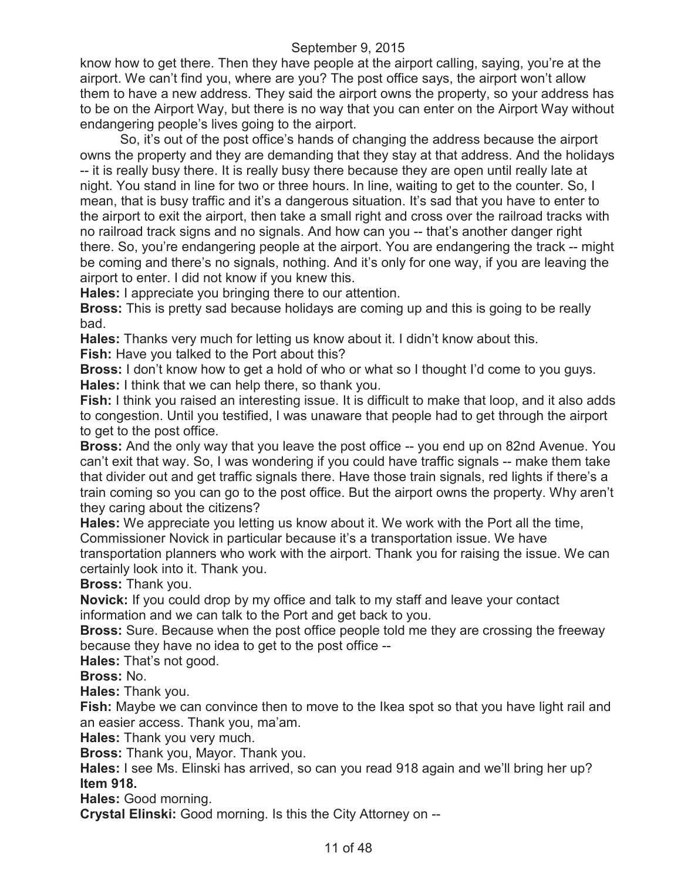know how to get there. Then they have people at the airport calling, saying, you're at the airport. We can't find you, where are you? The post office says, the airport won't allow them to have a new address. They said the airport owns the property, so your address has to be on the Airport Way, but there is no way that you can enter on the Airport Way without endangering people's lives going to the airport.

So, it's out of the post office's hands of changing the address because the airport owns the property and they are demanding that they stay at that address. And the holidays -- it is really busy there. It is really busy there because they are open until really late at night. You stand in line for two or three hours. In line, waiting to get to the counter. So, I mean, that is busy traffic and it's a dangerous situation. It's sad that you have to enter to the airport to exit the airport, then take a small right and cross over the railroad tracks with no railroad track signs and no signals. And how can you -- that's another danger right there. So, you're endangering people at the airport. You are endangering the track -- might be coming and there's no signals, nothing. And it's only for one way, if you are leaving the airport to enter. I did not know if you knew this.

**Hales:** I appreciate you bringing there to our attention.

**Bross:** This is pretty sad because holidays are coming up and this is going to be really bad.

**Hales:** Thanks very much for letting us know about it. I didn't know about this.

**Fish:** Have you talked to the Port about this?

**Bross:** I don't know how to get a hold of who or what so I thought I'd come to you guys. **Hales:** I think that we can help there, so thank you.

**Fish:** I think you raised an interesting issue. It is difficult to make that loop, and it also adds to congestion. Until you testified, I was unaware that people had to get through the airport to get to the post office.

**Bross:** And the only way that you leave the post office -- you end up on 82nd Avenue. You can't exit that way. So, I was wondering if you could have traffic signals -- make them take that divider out and get traffic signals there. Have those train signals, red lights if there's a train coming so you can go to the post office. But the airport owns the property. Why aren't they caring about the citizens?

**Hales:** We appreciate you letting us know about it. We work with the Port all the time, Commissioner Novick in particular because it's a transportation issue. We have transportation planners who work with the airport. Thank you for raising the issue. We can certainly look into it. Thank you.

**Bross:** Thank you.

**Novick:** If you could drop by my office and talk to my staff and leave your contact information and we can talk to the Port and get back to you.

**Bross:** Sure. Because when the post office people told me they are crossing the freeway because they have no idea to get to the post office --

**Hales:** That's not good.

**Bross:** No.

**Hales:** Thank you.

**Fish:** Maybe we can convince then to move to the Ikea spot so that you have light rail and an easier access. Thank you, ma'am.

**Hales:** Thank you very much.

**Bross:** Thank you, Mayor. Thank you.

**Hales:** I see Ms. Elinski has arrived, so can you read 918 again and we'll bring her up? **Item 918.**

**Hales:** Good morning.

**Crystal Elinski:** Good morning. Is this the City Attorney on --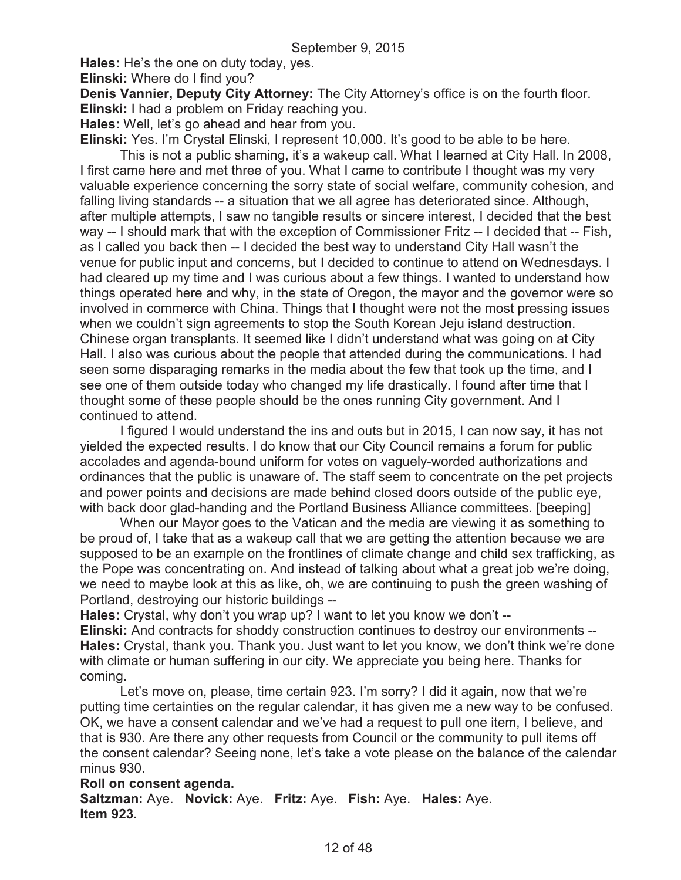**Hales:** He's the one on duty today, yes.

**Elinski:** Where do I find you?

**Denis Vannier, Deputy City Attorney:** The City Attorney's office is on the fourth floor. **Elinski:** I had a problem on Friday reaching you.

**Hales:** Well, let's go ahead and hear from you.

**Elinski:** Yes. I'm Crystal Elinski, I represent 10,000. It's good to be able to be here. This is not a public shaming, it's a wakeup call. What I learned at City Hall. In 2008, I first came here and met three of you. What I came to contribute I thought was my very valuable experience concerning the sorry state of social welfare, community cohesion, and falling living standards -- a situation that we all agree has deteriorated since. Although, after multiple attempts, I saw no tangible results or sincere interest, I decided that the best way -- I should mark that with the exception of Commissioner Fritz -- I decided that -- Fish, as I called you back then -- I decided the best way to understand City Hall wasn't the venue for public input and concerns, but I decided to continue to attend on Wednesdays. I had cleared up my time and I was curious about a few things. I wanted to understand how things operated here and why, in the state of Oregon, the mayor and the governor were so involved in commerce with China. Things that I thought were not the most pressing issues when we couldn't sign agreements to stop the South Korean Jeju island destruction. Chinese organ transplants. It seemed like I didn't understand what was going on at City Hall. I also was curious about the people that attended during the communications. I had seen some disparaging remarks in the media about the few that took up the time, and I see one of them outside today who changed my life drastically. I found after time that I thought some of these people should be the ones running City government. And I continued to attend.

I figured I would understand the ins and outs but in 2015, I can now say, it has not yielded the expected results. I do know that our City Council remains a forum for public accolades and agenda-bound uniform for votes on vaguely-worded authorizations and ordinances that the public is unaware of. The staff seem to concentrate on the pet projects and power points and decisions are made behind closed doors outside of the public eye, with back door glad-handing and the Portland Business Alliance committees. [beeping]

When our Mayor goes to the Vatican and the media are viewing it as something to be proud of, I take that as a wakeup call that we are getting the attention because we are supposed to be an example on the frontlines of climate change and child sex trafficking, as the Pope was concentrating on. And instead of talking about what a great job we're doing, we need to maybe look at this as like, oh, we are continuing to push the green washing of Portland, destroying our historic buildings --

**Hales:** Crystal, why don't you wrap up? I want to let you know we don't --

**Elinski:** And contracts for shoddy construction continues to destroy our environments -- **Hales:** Crystal, thank you. Thank you. Just want to let you know, we don't think we're done with climate or human suffering in our city. We appreciate you being here. Thanks for coming.

Let's move on, please, time certain 923. I'm sorry? I did it again, now that we're putting time certainties on the regular calendar, it has given me a new way to be confused. OK, we have a consent calendar and we've had a request to pull one item, I believe, and that is 930. Are there any other requests from Council or the community to pull items off the consent calendar? Seeing none, let's take a vote please on the balance of the calendar minus 930.

## **Roll on consent agenda.**

**Saltzman:** Aye. **Novick:** Aye. **Fritz:** Aye. **Fish:** Aye. **Hales:** Aye. **Item 923.**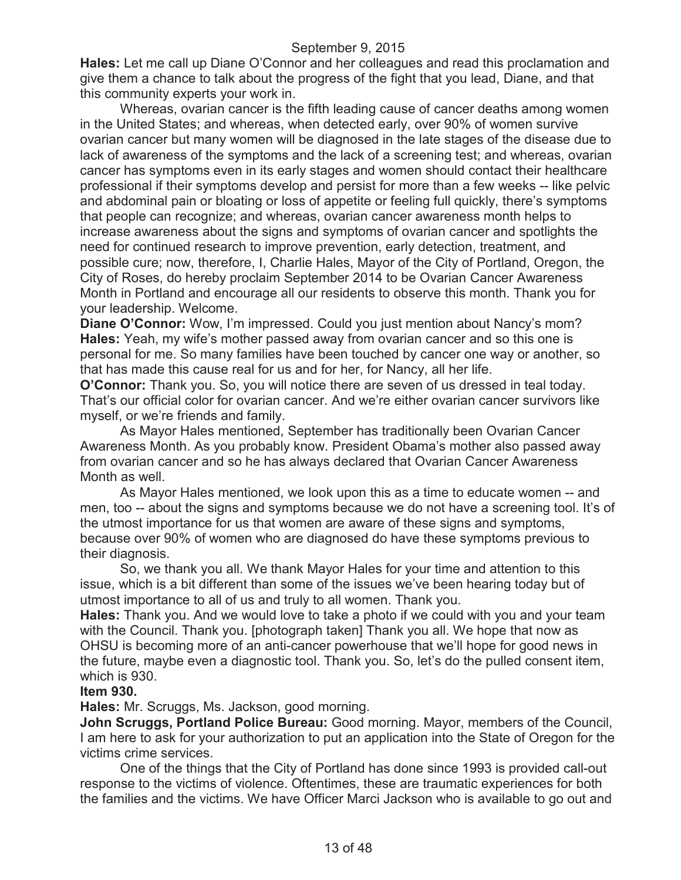**Hales:** Let me call up Diane O'Connor and her colleagues and read this proclamation and give them a chance to talk about the progress of the fight that you lead, Diane, and that this community experts your work in.

Whereas, ovarian cancer is the fifth leading cause of cancer deaths among women in the United States; and whereas, when detected early, over 90% of women survive ovarian cancer but many women will be diagnosed in the late stages of the disease due to lack of awareness of the symptoms and the lack of a screening test; and whereas, ovarian cancer has symptoms even in its early stages and women should contact their healthcare professional if their symptoms develop and persist for more than a few weeks -- like pelvic and abdominal pain or bloating or loss of appetite or feeling full quickly, there's symptoms that people can recognize; and whereas, ovarian cancer awareness month helps to increase awareness about the signs and symptoms of ovarian cancer and spotlights the need for continued research to improve prevention, early detection, treatment, and possible cure; now, therefore, I, Charlie Hales, Mayor of the City of Portland, Oregon, the City of Roses, do hereby proclaim September 2014 to be Ovarian Cancer Awareness Month in Portland and encourage all our residents to observe this month. Thank you for your leadership. Welcome.

**Diane O'Connor:** Wow, I'm impressed. Could you just mention about Nancy's mom? **Hales:** Yeah, my wife's mother passed away from ovarian cancer and so this one is personal for me. So many families have been touched by cancer one way or another, so that has made this cause real for us and for her, for Nancy, all her life.

**O'Connor:** Thank you. So, you will notice there are seven of us dressed in teal today. That's our official color for ovarian cancer. And we're either ovarian cancer survivors like myself, or we're friends and family.

As Mayor Hales mentioned, September has traditionally been Ovarian Cancer Awareness Month. As you probably know. President Obama's mother also passed away from ovarian cancer and so he has always declared that Ovarian Cancer Awareness Month as well.

As Mayor Hales mentioned, we look upon this as a time to educate women -- and men, too -- about the signs and symptoms because we do not have a screening tool. It's of the utmost importance for us that women are aware of these signs and symptoms, because over 90% of women who are diagnosed do have these symptoms previous to their diagnosis.

So, we thank you all. We thank Mayor Hales for your time and attention to this issue, which is a bit different than some of the issues we've been hearing today but of utmost importance to all of us and truly to all women. Thank you.

**Hales:** Thank you. And we would love to take a photo if we could with you and your team with the Council. Thank you. [photograph taken] Thank you all. We hope that now as OHSU is becoming more of an anti-cancer powerhouse that we'll hope for good news in the future, maybe even a diagnostic tool. Thank you. So, let's do the pulled consent item, which is 930.

## **Item 930.**

**Hales:** Mr. Scruggs, Ms. Jackson, good morning.

**John Scruggs, Portland Police Bureau:** Good morning. Mayor, members of the Council, I am here to ask for your authorization to put an application into the State of Oregon for the victims crime services.

One of the things that the City of Portland has done since 1993 is provided call-out response to the victims of violence. Oftentimes, these are traumatic experiences for both the families and the victims. We have Officer Marci Jackson who is available to go out and

13 of 48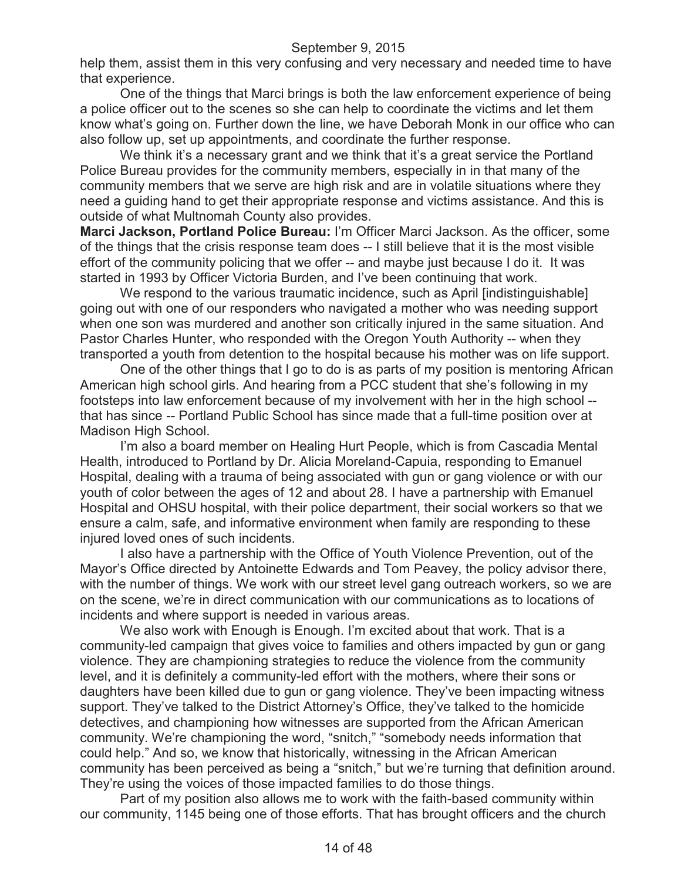help them, assist them in this very confusing and very necessary and needed time to have that experience.

One of the things that Marci brings is both the law enforcement experience of being a police officer out to the scenes so she can help to coordinate the victims and let them know what's going on. Further down the line, we have Deborah Monk in our office who can also follow up, set up appointments, and coordinate the further response.

We think it's a necessary grant and we think that it's a great service the Portland Police Bureau provides for the community members, especially in in that many of the community members that we serve are high risk and are in volatile situations where they need a guiding hand to get their appropriate response and victims assistance. And this is outside of what Multnomah County also provides.

**Marci Jackson, Portland Police Bureau:** I'm Officer Marci Jackson. As the officer, some of the things that the crisis response team does -- I still believe that it is the most visible effort of the community policing that we offer -- and maybe just because I do it. It was started in 1993 by Officer Victoria Burden, and I've been continuing that work.

We respond to the various traumatic incidence, such as April [indistinguishable] going out with one of our responders who navigated a mother who was needing support when one son was murdered and another son critically injured in the same situation. And Pastor Charles Hunter, who responded with the Oregon Youth Authority -- when they transported a youth from detention to the hospital because his mother was on life support.

One of the other things that I go to do is as parts of my position is mentoring African American high school girls. And hearing from a PCC student that she's following in my footsteps into law enforcement because of my involvement with her in the high school - that has since -- Portland Public School has since made that a full-time position over at Madison High School.

I'm also a board member on Healing Hurt People, which is from Cascadia Mental Health, introduced to Portland by Dr. Alicia Moreland-Capuia, responding to Emanuel Hospital, dealing with a trauma of being associated with gun or gang violence or with our youth of color between the ages of 12 and about 28. I have a partnership with Emanuel Hospital and OHSU hospital, with their police department, their social workers so that we ensure a calm, safe, and informative environment when family are responding to these injured loved ones of such incidents.

I also have a partnership with the Office of Youth Violence Prevention, out of the Mayor's Office directed by Antoinette Edwards and Tom Peavey, the policy advisor there, with the number of things. We work with our street level gang outreach workers, so we are on the scene, we're in direct communication with our communications as to locations of incidents and where support is needed in various areas.

We also work with Enough is Enough. I'm excited about that work. That is a community-led campaign that gives voice to families and others impacted by gun or gang violence. They are championing strategies to reduce the violence from the community level, and it is definitely a community-led effort with the mothers, where their sons or daughters have been killed due to gun or gang violence. They've been impacting witness support. They've talked to the District Attorney's Office, they've talked to the homicide detectives, and championing how witnesses are supported from the African American community. We're championing the word, "snitch," "somebody needs information that could help." And so, we know that historically, witnessing in the African American community has been perceived as being a "snitch," but we're turning that definition around. They're using the voices of those impacted families to do those things.

Part of my position also allows me to work with the faith-based community within our community, 1145 being one of those efforts. That has brought officers and the church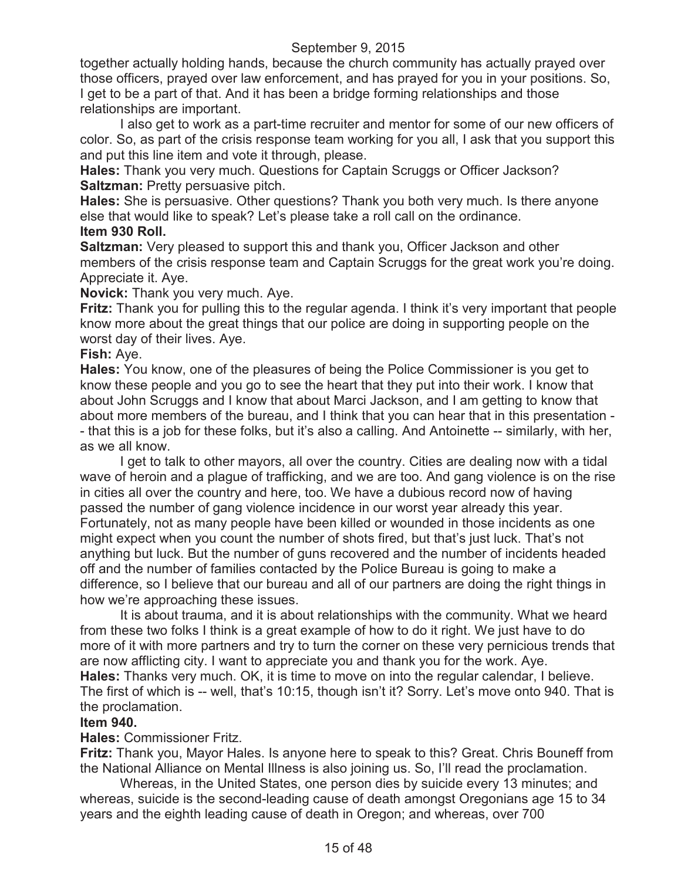together actually holding hands, because the church community has actually prayed over those officers, prayed over law enforcement, and has prayed for you in your positions. So, I get to be a part of that. And it has been a bridge forming relationships and those relationships are important.

I also get to work as a part-time recruiter and mentor for some of our new officers of color. So, as part of the crisis response team working for you all, I ask that you support this and put this line item and vote it through, please.

**Hales:** Thank you very much. Questions for Captain Scruggs or Officer Jackson? **Saltzman: Pretty persuasive pitch.** 

**Hales:** She is persuasive. Other questions? Thank you both very much. Is there anyone else that would like to speak? Let's please take a roll call on the ordinance.

## **Item 930 Roll.**

**Saltzman:** Very pleased to support this and thank you, Officer Jackson and other members of the crisis response team and Captain Scruggs for the great work you're doing. Appreciate it. Aye.

**Novick:** Thank you very much. Aye.

**Fritz:** Thank you for pulling this to the regular agenda. I think it's very important that people know more about the great things that our police are doing in supporting people on the worst day of their lives. Aye.

## **Fish:** Aye.

**Hales:** You know, one of the pleasures of being the Police Commissioner is you get to know these people and you go to see the heart that they put into their work. I know that about John Scruggs and I know that about Marci Jackson, and I am getting to know that about more members of the bureau, and I think that you can hear that in this presentation - - that this is a job for these folks, but it's also a calling. And Antoinette -- similarly, with her, as we all know.

I get to talk to other mayors, all over the country. Cities are dealing now with a tidal wave of heroin and a plague of trafficking, and we are too. And gang violence is on the rise in cities all over the country and here, too. We have a dubious record now of having passed the number of gang violence incidence in our worst year already this year. Fortunately, not as many people have been killed or wounded in those incidents as one might expect when you count the number of shots fired, but that's just luck. That's not anything but luck. But the number of guns recovered and the number of incidents headed off and the number of families contacted by the Police Bureau is going to make a difference, so I believe that our bureau and all of our partners are doing the right things in how we're approaching these issues.

It is about trauma, and it is about relationships with the community. What we heard from these two folks I think is a great example of how to do it right. We just have to do more of it with more partners and try to turn the corner on these very pernicious trends that are now afflicting city. I want to appreciate you and thank you for the work. Aye.

**Hales:** Thanks very much. OK, it is time to move on into the regular calendar, I believe. The first of which is -- well, that's 10:15, though isn't it? Sorry. Let's move onto 940. That is the proclamation.

## **Item 940.**

**Hales:** Commissioner Fritz.

**Fritz:** Thank you, Mayor Hales. Is anyone here to speak to this? Great. Chris Bouneff from the National Alliance on Mental Illness is also joining us. So, I'll read the proclamation.

Whereas, in the United States, one person dies by suicide every 13 minutes; and whereas, suicide is the second-leading cause of death amongst Oregonians age 15 to 34 years and the eighth leading cause of death in Oregon; and whereas, over 700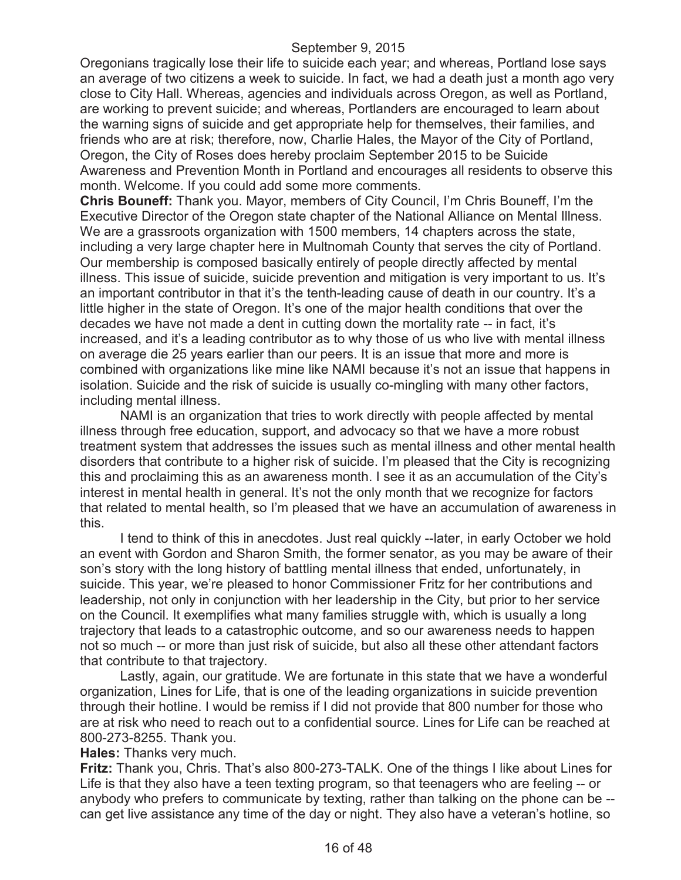Oregonians tragically lose their life to suicide each year; and whereas, Portland lose says an average of two citizens a week to suicide. In fact, we had a death just a month ago very close to City Hall. Whereas, agencies and individuals across Oregon, as well as Portland, are working to prevent suicide; and whereas, Portlanders are encouraged to learn about the warning signs of suicide and get appropriate help for themselves, their families, and friends who are at risk; therefore, now, Charlie Hales, the Mayor of the City of Portland, Oregon, the City of Roses does hereby proclaim September 2015 to be Suicide Awareness and Prevention Month in Portland and encourages all residents to observe this month. Welcome. If you could add some more comments.

**Chris Bouneff:** Thank you. Mayor, members of City Council, I'm Chris Bouneff, I'm the Executive Director of the Oregon state chapter of the National Alliance on Mental Illness. We are a grassroots organization with 1500 members, 14 chapters across the state, including a very large chapter here in Multnomah County that serves the city of Portland. Our membership is composed basically entirely of people directly affected by mental illness. This issue of suicide, suicide prevention and mitigation is very important to us. It's an important contributor in that it's the tenth-leading cause of death in our country. It's a little higher in the state of Oregon. It's one of the major health conditions that over the decades we have not made a dent in cutting down the mortality rate -- in fact, it's increased, and it's a leading contributor as to why those of us who live with mental illness on average die 25 years earlier than our peers. It is an issue that more and more is combined with organizations like mine like NAMI because it's not an issue that happens in isolation. Suicide and the risk of suicide is usually co-mingling with many other factors, including mental illness.

NAMI is an organization that tries to work directly with people affected by mental illness through free education, support, and advocacy so that we have a more robust treatment system that addresses the issues such as mental illness and other mental health disorders that contribute to a higher risk of suicide. I'm pleased that the City is recognizing this and proclaiming this as an awareness month. I see it as an accumulation of the City's interest in mental health in general. It's not the only month that we recognize for factors that related to mental health, so I'm pleased that we have an accumulation of awareness in this.

I tend to think of this in anecdotes. Just real quickly --later, in early October we hold an event with Gordon and Sharon Smith, the former senator, as you may be aware of their son's story with the long history of battling mental illness that ended, unfortunately, in suicide. This year, we're pleased to honor Commissioner Fritz for her contributions and leadership, not only in conjunction with her leadership in the City, but prior to her service on the Council. It exemplifies what many families struggle with, which is usually a long trajectory that leads to a catastrophic outcome, and so our awareness needs to happen not so much -- or more than just risk of suicide, but also all these other attendant factors that contribute to that trajectory.

Lastly, again, our gratitude. We are fortunate in this state that we have a wonderful organization, Lines for Life, that is one of the leading organizations in suicide prevention through their hotline. I would be remiss if I did not provide that 800 number for those who are at risk who need to reach out to a confidential source. Lines for Life can be reached at 800-273-8255. Thank you.

**Hales:** Thanks very much.

**Fritz:** Thank you, Chris. That's also 800-273-TALK. One of the things I like about Lines for Life is that they also have a teen texting program, so that teenagers who are feeling -- or anybody who prefers to communicate by texting, rather than talking on the phone can be - can get live assistance any time of the day or night. They also have a veteran's hotline, so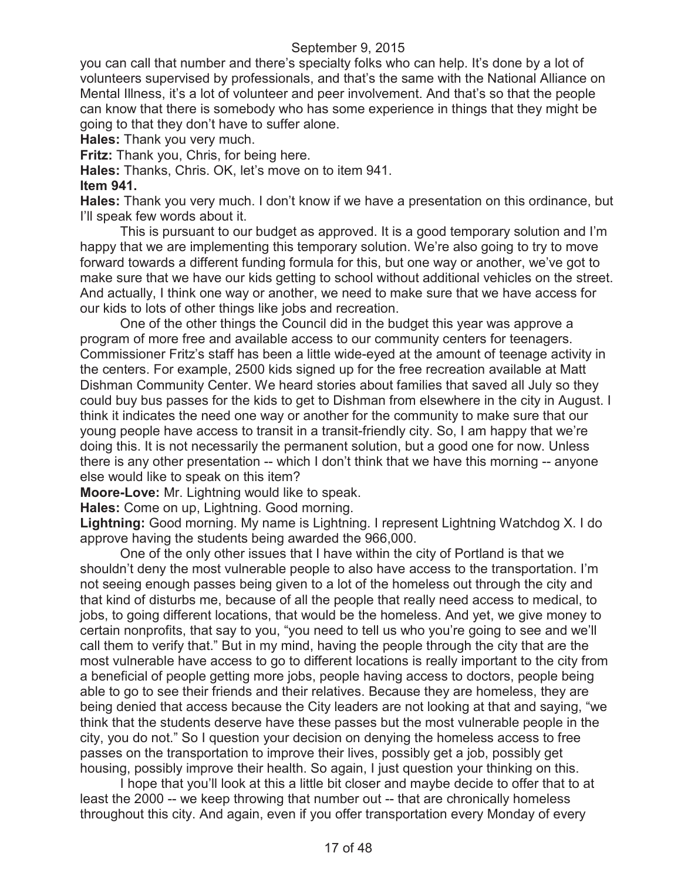you can call that number and there's specialty folks who can help. It's done by a lot of volunteers supervised by professionals, and that's the same with the National Alliance on Mental Illness, it's a lot of volunteer and peer involvement. And that's so that the people can know that there is somebody who has some experience in things that they might be going to that they don't have to suffer alone.

**Hales:** Thank you very much.

**Fritz:** Thank you, Chris, for being here.

**Hales:** Thanks, Chris. OK, let's move on to item 941.

#### **Item 941.**

**Hales:** Thank you very much. I don't know if we have a presentation on this ordinance, but I'll speak few words about it.

This is pursuant to our budget as approved. It is a good temporary solution and I'm happy that we are implementing this temporary solution. We're also going to try to move forward towards a different funding formula for this, but one way or another, we've got to make sure that we have our kids getting to school without additional vehicles on the street. And actually, I think one way or another, we need to make sure that we have access for our kids to lots of other things like jobs and recreation.

One of the other things the Council did in the budget this year was approve a program of more free and available access to our community centers for teenagers. Commissioner Fritz's staff has been a little wide-eyed at the amount of teenage activity in the centers. For example, 2500 kids signed up for the free recreation available at Matt Dishman Community Center. We heard stories about families that saved all July so they could buy bus passes for the kids to get to Dishman from elsewhere in the city in August. I think it indicates the need one way or another for the community to make sure that our young people have access to transit in a transit-friendly city. So, I am happy that we're doing this. It is not necessarily the permanent solution, but a good one for now. Unless there is any other presentation -- which I don't think that we have this morning -- anyone else would like to speak on this item?

**Moore-Love:** Mr. Lightning would like to speak.

**Hales:** Come on up, Lightning. Good morning.

**Lightning:** Good morning. My name is Lightning. I represent Lightning Watchdog X. I do approve having the students being awarded the 966,000.

One of the only other issues that I have within the city of Portland is that we shouldn't deny the most vulnerable people to also have access to the transportation. I'm not seeing enough passes being given to a lot of the homeless out through the city and that kind of disturbs me, because of all the people that really need access to medical, to jobs, to going different locations, that would be the homeless. And yet, we give money to certain nonprofits, that say to you, "you need to tell us who you're going to see and we'll call them to verify that." But in my mind, having the people through the city that are the most vulnerable have access to go to different locations is really important to the city from a beneficial of people getting more jobs, people having access to doctors, people being able to go to see their friends and their relatives. Because they are homeless, they are being denied that access because the City leaders are not looking at that and saying, "we think that the students deserve have these passes but the most vulnerable people in the city, you do not." So I question your decision on denying the homeless access to free passes on the transportation to improve their lives, possibly get a job, possibly get housing, possibly improve their health. So again, I just question your thinking on this.

I hope that you'll look at this a little bit closer and maybe decide to offer that to at least the 2000 -- we keep throwing that number out -- that are chronically homeless throughout this city. And again, even if you offer transportation every Monday of every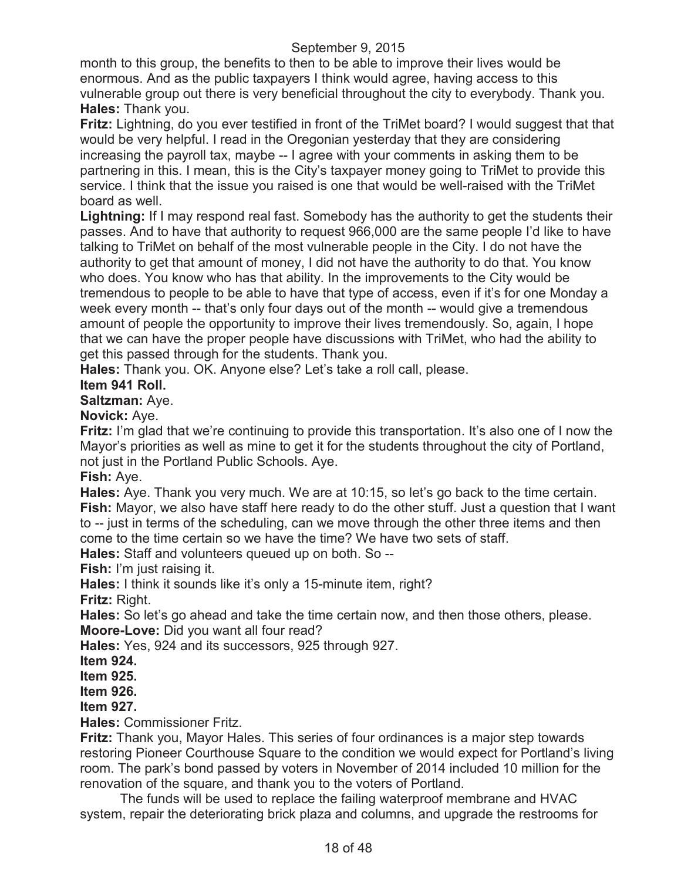month to this group, the benefits to then to be able to improve their lives would be enormous. And as the public taxpayers I think would agree, having access to this vulnerable group out there is very beneficial throughout the city to everybody. Thank you. **Hales:** Thank you.

**Fritz:** Lightning, do you ever testified in front of the TriMet board? I would suggest that that would be very helpful. I read in the Oregonian yesterday that they are considering increasing the payroll tax, maybe -- I agree with your comments in asking them to be partnering in this. I mean, this is the City's taxpayer money going to TriMet to provide this service. I think that the issue you raised is one that would be well-raised with the TriMet board as well.

**Lightning:** If I may respond real fast. Somebody has the authority to get the students their passes. And to have that authority to request 966,000 are the same people I'd like to have talking to TriMet on behalf of the most vulnerable people in the City. I do not have the authority to get that amount of money, I did not have the authority to do that. You know who does. You know who has that ability. In the improvements to the City would be tremendous to people to be able to have that type of access, even if it's for one Monday a week every month -- that's only four days out of the month -- would give a tremendous amount of people the opportunity to improve their lives tremendously. So, again, I hope that we can have the proper people have discussions with TriMet, who had the ability to get this passed through for the students. Thank you.

**Hales:** Thank you. OK. Anyone else? Let's take a roll call, please.

## **Item 941 Roll.**

**Saltzman:** Aye.

**Novick:** Aye.

**Fritz:** I'm glad that we're continuing to provide this transportation. It's also one of I now the Mayor's priorities as well as mine to get it for the students throughout the city of Portland, not just in the Portland Public Schools. Aye.

**Fish:** Aye.

**Hales:** Aye. Thank you very much. We are at 10:15, so let's go back to the time certain. **Fish:** Mayor, we also have staff here ready to do the other stuff. Just a question that I want to -- just in terms of the scheduling, can we move through the other three items and then come to the time certain so we have the time? We have two sets of staff.

**Hales:** Staff and volunteers queued up on both. So --

**Fish:** I'm just raising it.

**Hales:** I think it sounds like it's only a 15-minute item, right?

**Fritz:** Right.

**Hales:** So let's go ahead and take the time certain now, and then those others, please. **Moore-Love:** Did you want all four read?

**Hales:** Yes, 924 and its successors, 925 through 927.

**Item 924.**

**Item 925.**

**Item 926.**

**Item 927.**

**Hales:** Commissioner Fritz.

**Fritz:** Thank you, Mayor Hales. This series of four ordinances is a major step towards restoring Pioneer Courthouse Square to the condition we would expect for Portland's living room. The park's bond passed by voters in November of 2014 included 10 million for the renovation of the square, and thank you to the voters of Portland.

The funds will be used to replace the failing waterproof membrane and HVAC system, repair the deteriorating brick plaza and columns, and upgrade the restrooms for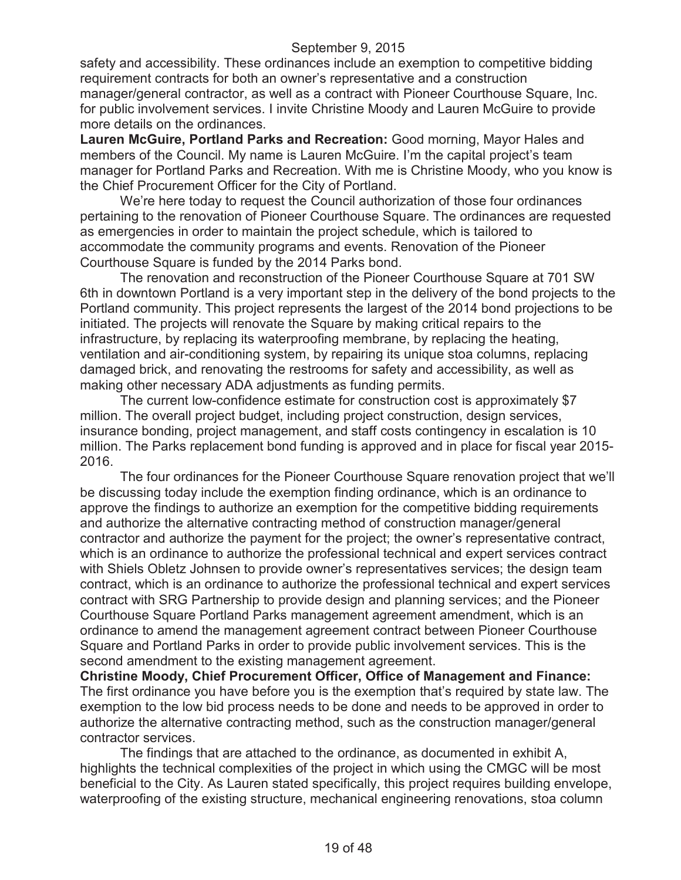safety and accessibility. These ordinances include an exemption to competitive bidding requirement contracts for both an owner's representative and a construction manager/general contractor, as well as a contract with Pioneer Courthouse Square, Inc. for public involvement services. I invite Christine Moody and Lauren McGuire to provide more details on the ordinances.

**Lauren McGuire, Portland Parks and Recreation:** Good morning, Mayor Hales and members of the Council. My name is Lauren McGuire. I'm the capital project's team manager for Portland Parks and Recreation. With me is Christine Moody, who you know is the Chief Procurement Officer for the City of Portland.

We're here today to request the Council authorization of those four ordinances pertaining to the renovation of Pioneer Courthouse Square. The ordinances are requested as emergencies in order to maintain the project schedule, which is tailored to accommodate the community programs and events. Renovation of the Pioneer Courthouse Square is funded by the 2014 Parks bond.

The renovation and reconstruction of the Pioneer Courthouse Square at 701 SW 6th in downtown Portland is a very important step in the delivery of the bond projects to the Portland community. This project represents the largest of the 2014 bond projections to be initiated. The projects will renovate the Square by making critical repairs to the infrastructure, by replacing its waterproofing membrane, by replacing the heating, ventilation and air-conditioning system, by repairing its unique stoa columns, replacing damaged brick, and renovating the restrooms for safety and accessibility, as well as making other necessary ADA adjustments as funding permits.

The current low-confidence estimate for construction cost is approximately \$7 million. The overall project budget, including project construction, design services, insurance bonding, project management, and staff costs contingency in escalation is 10 million. The Parks replacement bond funding is approved and in place for fiscal year 2015- 2016.

The four ordinances for the Pioneer Courthouse Square renovation project that we'll be discussing today include the exemption finding ordinance, which is an ordinance to approve the findings to authorize an exemption for the competitive bidding requirements and authorize the alternative contracting method of construction manager/general contractor and authorize the payment for the project; the owner's representative contract, which is an ordinance to authorize the professional technical and expert services contract with Shiels Obletz Johnsen to provide owner's representatives services; the design team contract, which is an ordinance to authorize the professional technical and expert services contract with SRG Partnership to provide design and planning services; and the Pioneer Courthouse Square Portland Parks management agreement amendment, which is an ordinance to amend the management agreement contract between Pioneer Courthouse Square and Portland Parks in order to provide public involvement services. This is the second amendment to the existing management agreement.

**Christine Moody, Chief Procurement Officer, Office of Management and Finance:**  The first ordinance you have before you is the exemption that's required by state law. The exemption to the low bid process needs to be done and needs to be approved in order to authorize the alternative contracting method, such as the construction manager/general contractor services.

The findings that are attached to the ordinance, as documented in exhibit A, highlights the technical complexities of the project in which using the CMGC will be most beneficial to the City. As Lauren stated specifically, this project requires building envelope, waterproofing of the existing structure, mechanical engineering renovations, stoa column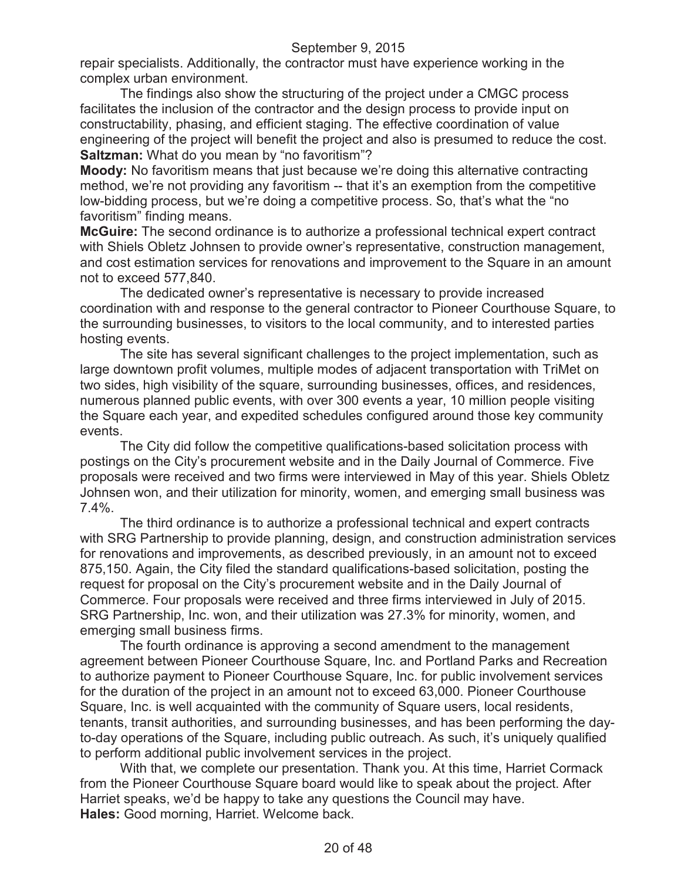repair specialists. Additionally, the contractor must have experience working in the complex urban environment.

The findings also show the structuring of the project under a CMGC process facilitates the inclusion of the contractor and the design process to provide input on constructability, phasing, and efficient staging. The effective coordination of value engineering of the project will benefit the project and also is presumed to reduce the cost. **Saltzman:** What do you mean by "no favoritism"?

**Moody:** No favoritism means that just because we're doing this alternative contracting method, we're not providing any favoritism -- that it's an exemption from the competitive low-bidding process, but we're doing a competitive process. So, that's what the "no favoritism" finding means.

**McGuire:** The second ordinance is to authorize a professional technical expert contract with Shiels Obletz Johnsen to provide owner's representative, construction management, and cost estimation services for renovations and improvement to the Square in an amount not to exceed 577,840.

The dedicated owner's representative is necessary to provide increased coordination with and response to the general contractor to Pioneer Courthouse Square, to the surrounding businesses, to visitors to the local community, and to interested parties hosting events.

The site has several significant challenges to the project implementation, such as large downtown profit volumes, multiple modes of adjacent transportation with TriMet on two sides, high visibility of the square, surrounding businesses, offices, and residences, numerous planned public events, with over 300 events a year, 10 million people visiting the Square each year, and expedited schedules configured around those key community events.

The City did follow the competitive qualifications-based solicitation process with postings on the City's procurement website and in the Daily Journal of Commerce. Five proposals were received and two firms were interviewed in May of this year. Shiels Obletz Johnsen won, and their utilization for minority, women, and emerging small business was 7.4%.

The third ordinance is to authorize a professional technical and expert contracts with SRG Partnership to provide planning, design, and construction administration services for renovations and improvements, as described previously, in an amount not to exceed 875,150. Again, the City filed the standard qualifications-based solicitation, posting the request for proposal on the City's procurement website and in the Daily Journal of Commerce. Four proposals were received and three firms interviewed in July of 2015. SRG Partnership, Inc. won, and their utilization was 27.3% for minority, women, and emerging small business firms.

The fourth ordinance is approving a second amendment to the management agreement between Pioneer Courthouse Square, Inc. and Portland Parks and Recreation to authorize payment to Pioneer Courthouse Square, Inc. for public involvement services for the duration of the project in an amount not to exceed 63,000. Pioneer Courthouse Square, Inc. is well acquainted with the community of Square users, local residents, tenants, transit authorities, and surrounding businesses, and has been performing the dayto-day operations of the Square, including public outreach. As such, it's uniquely qualified to perform additional public involvement services in the project.

With that, we complete our presentation. Thank you. At this time, Harriet Cormack from the Pioneer Courthouse Square board would like to speak about the project. After Harriet speaks, we'd be happy to take any questions the Council may have. **Hales:** Good morning, Harriet. Welcome back.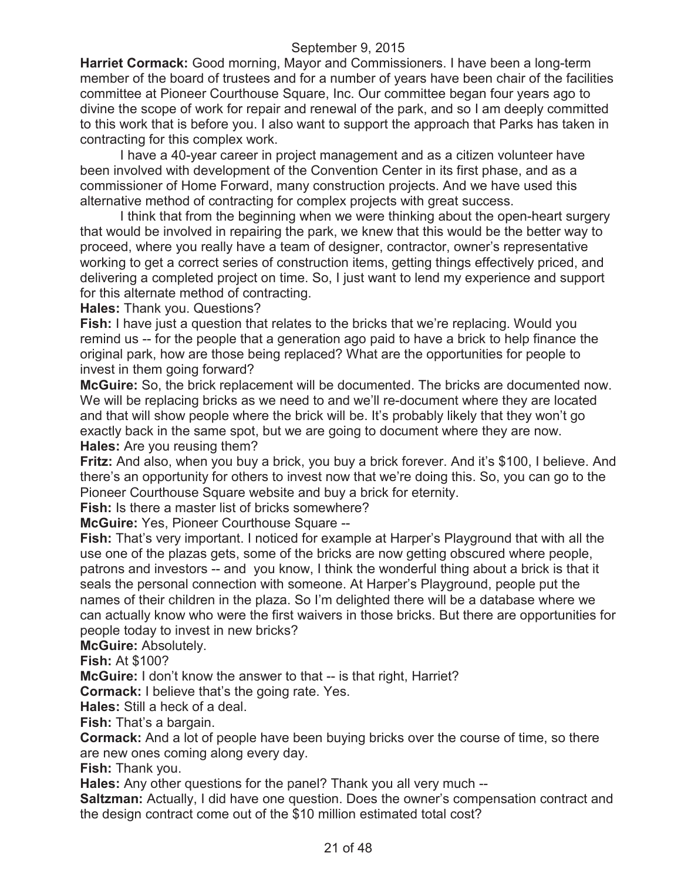**Harriet Cormack:** Good morning, Mayor and Commissioners. I have been a long-term member of the board of trustees and for a number of years have been chair of the facilities committee at Pioneer Courthouse Square, Inc. Our committee began four years ago to divine the scope of work for repair and renewal of the park, and so I am deeply committed to this work that is before you. I also want to support the approach that Parks has taken in contracting for this complex work.

I have a 40-year career in project management and as a citizen volunteer have been involved with development of the Convention Center in its first phase, and as a commissioner of Home Forward, many construction projects. And we have used this alternative method of contracting for complex projects with great success.

I think that from the beginning when we were thinking about the open-heart surgery that would be involved in repairing the park, we knew that this would be the better way to proceed, where you really have a team of designer, contractor, owner's representative working to get a correct series of construction items, getting things effectively priced, and delivering a completed project on time. So, I just want to lend my experience and support for this alternate method of contracting.

**Hales:** Thank you. Questions?

**Fish:** I have just a question that relates to the bricks that we're replacing. Would you remind us -- for the people that a generation ago paid to have a brick to help finance the original park, how are those being replaced? What are the opportunities for people to invest in them going forward?

**McGuire:** So, the brick replacement will be documented. The bricks are documented now. We will be replacing bricks as we need to and we'll re-document where they are located and that will show people where the brick will be. It's probably likely that they won't go exactly back in the same spot, but we are going to document where they are now. **Hales:** Are you reusing them?

**Fritz:** And also, when you buy a brick, you buy a brick forever. And it's \$100, I believe. And there's an opportunity for others to invest now that we're doing this. So, you can go to the Pioneer Courthouse Square website and buy a brick for eternity.

**Fish:** Is there a master list of bricks somewhere?

**McGuire:** Yes, Pioneer Courthouse Square --

**Fish:** That's very important. I noticed for example at Harper's Playground that with all the use one of the plazas gets, some of the bricks are now getting obscured where people, patrons and investors -- and you know, I think the wonderful thing about a brick is that it seals the personal connection with someone. At Harper's Playground, people put the names of their children in the plaza. So I'm delighted there will be a database where we can actually know who were the first waivers in those bricks. But there are opportunities for people today to invest in new bricks?

**McGuire:** Absolutely.

**Fish:** At \$100?

**McGuire:** I don't know the answer to that -- is that right, Harriet?

**Cormack:** I believe that's the going rate. Yes.

**Hales:** Still a heck of a deal.

**Fish:** That's a bargain.

**Cormack:** And a lot of people have been buying bricks over the course of time, so there are new ones coming along every day.

**Fish:** Thank you.

**Hales:** Any other questions for the panel? Thank you all very much --

**Saltzman:** Actually, I did have one question. Does the owner's compensation contract and the design contract come out of the \$10 million estimated total cost?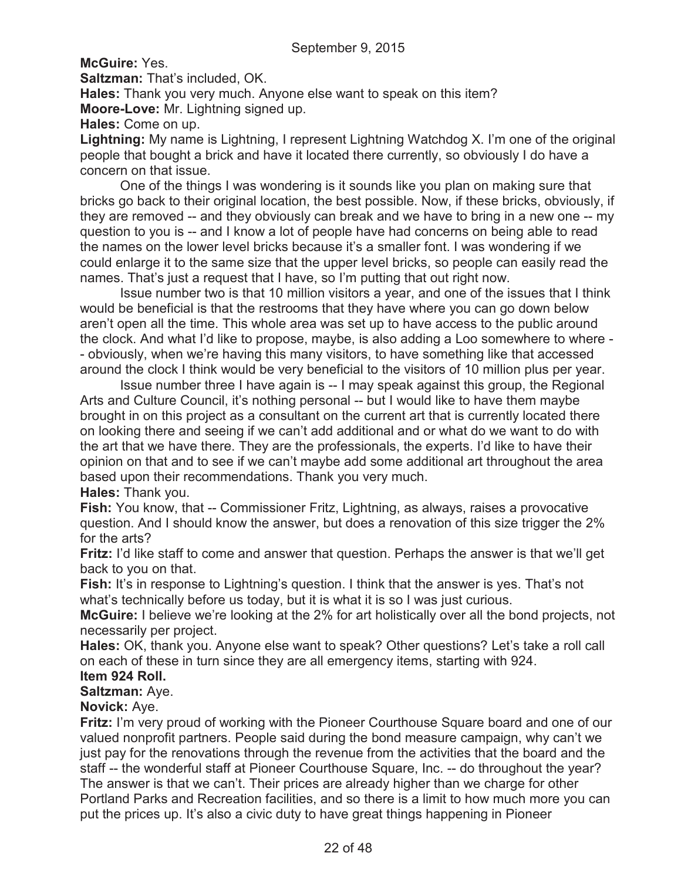**McGuire:** Yes.

**Saltzman:** That's included, OK.

**Hales:** Thank you very much. Anyone else want to speak on this item?

**Moore-Love:** Mr. Lightning signed up.

**Hales:** Come on up.

**Lightning:** My name is Lightning, I represent Lightning Watchdog X. I'm one of the original people that bought a brick and have it located there currently, so obviously I do have a concern on that issue.

One of the things I was wondering is it sounds like you plan on making sure that bricks go back to their original location, the best possible. Now, if these bricks, obviously, if they are removed -- and they obviously can break and we have to bring in a new one -- my question to you is -- and I know a lot of people have had concerns on being able to read the names on the lower level bricks because it's a smaller font. I was wondering if we could enlarge it to the same size that the upper level bricks, so people can easily read the names. That's just a request that I have, so I'm putting that out right now.

Issue number two is that 10 million visitors a year, and one of the issues that I think would be beneficial is that the restrooms that they have where you can go down below aren't open all the time. This whole area was set up to have access to the public around the clock. And what I'd like to propose, maybe, is also adding a Loo somewhere to where - - obviously, when we're having this many visitors, to have something like that accessed around the clock I think would be very beneficial to the visitors of 10 million plus per year.

Issue number three I have again is -- I may speak against this group, the Regional Arts and Culture Council, it's nothing personal -- but I would like to have them maybe brought in on this project as a consultant on the current art that is currently located there on looking there and seeing if we can't add additional and or what do we want to do with the art that we have there. They are the professionals, the experts. I'd like to have their opinion on that and to see if we can't maybe add some additional art throughout the area based upon their recommendations. Thank you very much.

**Hales:** Thank you.

**Fish:** You know, that -- Commissioner Fritz, Lightning, as always, raises a provocative question. And I should know the answer, but does a renovation of this size trigger the 2% for the arts?

**Fritz:** I'd like staff to come and answer that question. Perhaps the answer is that we'll get back to you on that.

**Fish:** It's in response to Lightning's question. I think that the answer is yes. That's not what's technically before us today, but it is what it is so I was just curious.

**McGuire:** I believe we're looking at the 2% for art holistically over all the bond projects, not necessarily per project.

**Hales:** OK, thank you. Anyone else want to speak? Other questions? Let's take a roll call on each of these in turn since they are all emergency items, starting with 924.

# **Item 924 Roll.**

**Saltzman:** Aye.

**Novick:** Aye.

**Fritz:** I'm very proud of working with the Pioneer Courthouse Square board and one of our valued nonprofit partners. People said during the bond measure campaign, why can't we just pay for the renovations through the revenue from the activities that the board and the staff -- the wonderful staff at Pioneer Courthouse Square, Inc. -- do throughout the year? The answer is that we can't. Their prices are already higher than we charge for other Portland Parks and Recreation facilities, and so there is a limit to how much more you can put the prices up. It's also a civic duty to have great things happening in Pioneer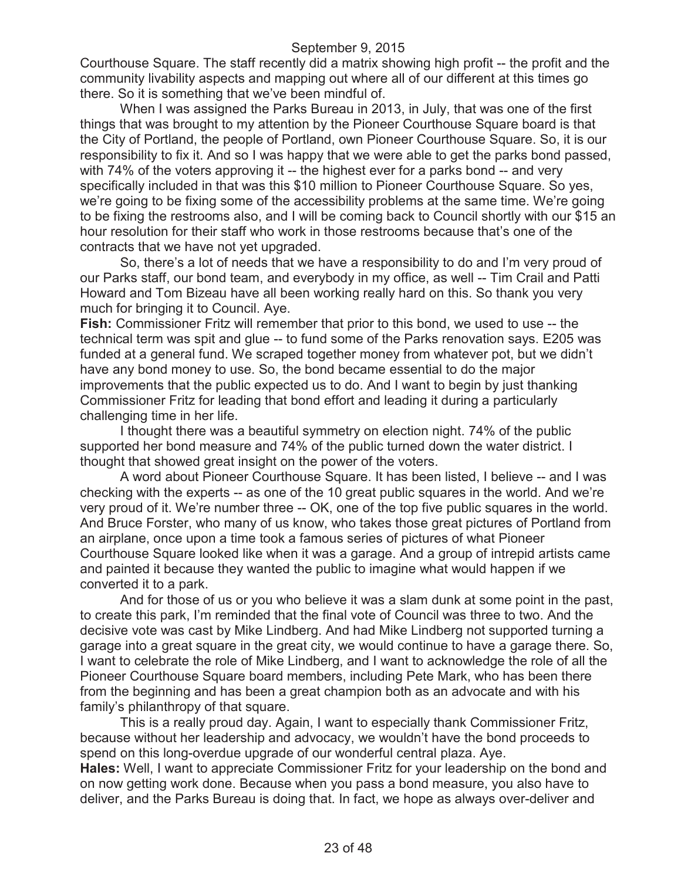Courthouse Square. The staff recently did a matrix showing high profit -- the profit and the community livability aspects and mapping out where all of our different at this times go there. So it is something that we've been mindful of.

When I was assigned the Parks Bureau in 2013, in July, that was one of the first things that was brought to my attention by the Pioneer Courthouse Square board is that the City of Portland, the people of Portland, own Pioneer Courthouse Square. So, it is our responsibility to fix it. And so I was happy that we were able to get the parks bond passed, with 74% of the voters approving it -- the highest ever for a parks bond -- and very specifically included in that was this \$10 million to Pioneer Courthouse Square. So yes, we're going to be fixing some of the accessibility problems at the same time. We're going to be fixing the restrooms also, and I will be coming back to Council shortly with our \$15 an hour resolution for their staff who work in those restrooms because that's one of the contracts that we have not yet upgraded.

So, there's a lot of needs that we have a responsibility to do and I'm very proud of our Parks staff, our bond team, and everybody in my office, as well -- Tim Crail and Patti Howard and Tom Bizeau have all been working really hard on this. So thank you very much for bringing it to Council. Aye.

**Fish:** Commissioner Fritz will remember that prior to this bond, we used to use -- the technical term was spit and glue -- to fund some of the Parks renovation says. E205 was funded at a general fund. We scraped together money from whatever pot, but we didn't have any bond money to use. So, the bond became essential to do the major improvements that the public expected us to do. And I want to begin by just thanking Commissioner Fritz for leading that bond effort and leading it during a particularly challenging time in her life.

I thought there was a beautiful symmetry on election night. 74% of the public supported her bond measure and 74% of the public turned down the water district. I thought that showed great insight on the power of the voters.

A word about Pioneer Courthouse Square. It has been listed, I believe -- and I was checking with the experts -- as one of the 10 great public squares in the world. And we're very proud of it. We're number three -- OK, one of the top five public squares in the world. And Bruce Forster, who many of us know, who takes those great pictures of Portland from an airplane, once upon a time took a famous series of pictures of what Pioneer Courthouse Square looked like when it was a garage. And a group of intrepid artists came and painted it because they wanted the public to imagine what would happen if we converted it to a park.

And for those of us or you who believe it was a slam dunk at some point in the past, to create this park, I'm reminded that the final vote of Council was three to two. And the decisive vote was cast by Mike Lindberg. And had Mike Lindberg not supported turning a garage into a great square in the great city, we would continue to have a garage there. So, I want to celebrate the role of Mike Lindberg, and I want to acknowledge the role of all the Pioneer Courthouse Square board members, including Pete Mark, who has been there from the beginning and has been a great champion both as an advocate and with his family's philanthropy of that square.

This is a really proud day. Again, I want to especially thank Commissioner Fritz, because without her leadership and advocacy, we wouldn't have the bond proceeds to spend on this long-overdue upgrade of our wonderful central plaza. Aye.

**Hales:** Well, I want to appreciate Commissioner Fritz for your leadership on the bond and on now getting work done. Because when you pass a bond measure, you also have to deliver, and the Parks Bureau is doing that. In fact, we hope as always over-deliver and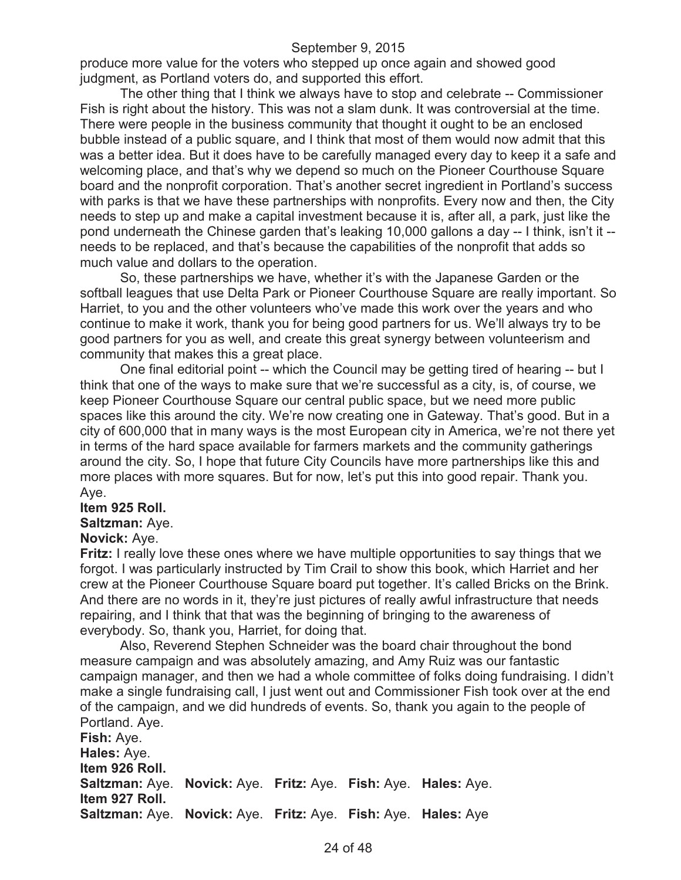produce more value for the voters who stepped up once again and showed good judgment, as Portland voters do, and supported this effort.

The other thing that I think we always have to stop and celebrate -- Commissioner Fish is right about the history. This was not a slam dunk. It was controversial at the time. There were people in the business community that thought it ought to be an enclosed bubble instead of a public square, and I think that most of them would now admit that this was a better idea. But it does have to be carefully managed every day to keep it a safe and welcoming place, and that's why we depend so much on the Pioneer Courthouse Square board and the nonprofit corporation. That's another secret ingredient in Portland's success with parks is that we have these partnerships with nonprofits. Every now and then, the City needs to step up and make a capital investment because it is, after all, a park, just like the pond underneath the Chinese garden that's leaking 10,000 gallons a day -- I think, isn't it - needs to be replaced, and that's because the capabilities of the nonprofit that adds so much value and dollars to the operation.

So, these partnerships we have, whether it's with the Japanese Garden or the softball leagues that use Delta Park or Pioneer Courthouse Square are really important. So Harriet, to you and the other volunteers who've made this work over the years and who continue to make it work, thank you for being good partners for us. We'll always try to be good partners for you as well, and create this great synergy between volunteerism and community that makes this a great place.

One final editorial point -- which the Council may be getting tired of hearing -- but I think that one of the ways to make sure that we're successful as a city, is, of course, we keep Pioneer Courthouse Square our central public space, but we need more public spaces like this around the city. We're now creating one in Gateway. That's good. But in a city of 600,000 that in many ways is the most European city in America, we're not there yet in terms of the hard space available for farmers markets and the community gatherings around the city. So, I hope that future City Councils have more partnerships like this and more places with more squares. But for now, let's put this into good repair. Thank you. Aye.

#### **Item 925 Roll.**

#### **Saltzman:** Aye.

#### **Novick:** Aye.

**Fritz:** I really love these ones where we have multiple opportunities to say things that we forgot. I was particularly instructed by Tim Crail to show this book, which Harriet and her crew at the Pioneer Courthouse Square board put together. It's called Bricks on the Brink. And there are no words in it, they're just pictures of really awful infrastructure that needs repairing, and I think that that was the beginning of bringing to the awareness of everybody. So, thank you, Harriet, for doing that.

Also, Reverend Stephen Schneider was the board chair throughout the bond measure campaign and was absolutely amazing, and Amy Ruiz was our fantastic campaign manager, and then we had a whole committee of folks doing fundraising. I didn't make a single fundraising call, I just went out and Commissioner Fish took over at the end of the campaign, and we did hundreds of events. So, thank you again to the people of Portland. Aye.

**Fish:** Aye. **Hales:** Aye. **Item 926 Roll. Saltzman:** Aye. **Novick:** Aye. **Fritz:** Aye. **Fish:** Aye. **Hales:** Aye. **Item 927 Roll. Saltzman:** Aye. **Novick:** Aye. **Fritz:** Aye. **Fish:** Aye. **Hales:** Aye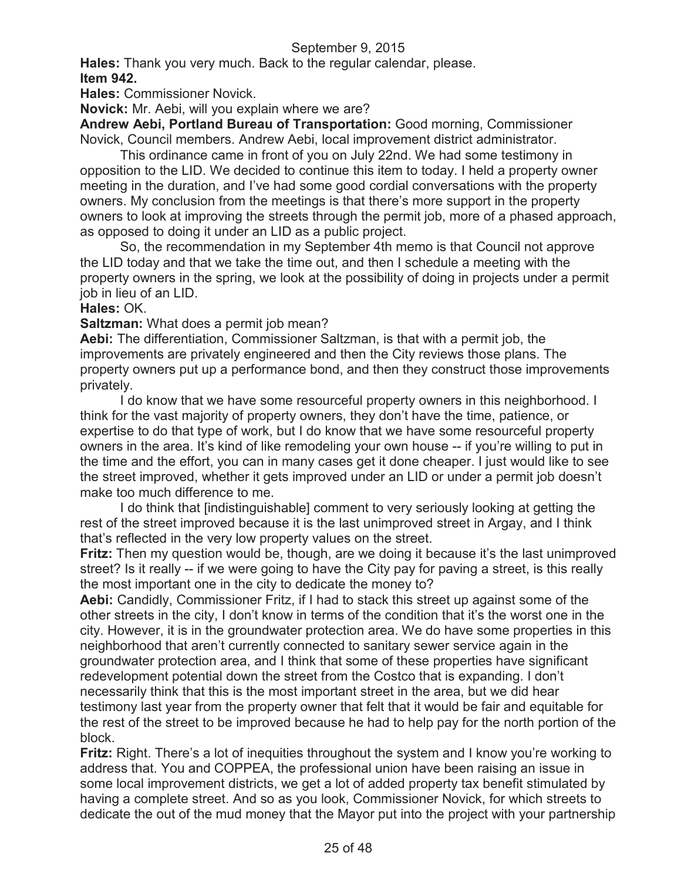**Hales:** Thank you very much. Back to the regular calendar, please. **Item 942.**

**Hales:** Commissioner Novick.

**Novick:** Mr. Aebi, will you explain where we are?

**Andrew Aebi, Portland Bureau of Transportation:** Good morning, Commissioner Novick, Council members. Andrew Aebi, local improvement district administrator.

This ordinance came in front of you on July 22nd. We had some testimony in opposition to the LID. We decided to continue this item to today. I held a property owner meeting in the duration, and I've had some good cordial conversations with the property owners. My conclusion from the meetings is that there's more support in the property owners to look at improving the streets through the permit job, more of a phased approach, as opposed to doing it under an LID as a public project.

So, the recommendation in my September 4th memo is that Council not approve the LID today and that we take the time out, and then I schedule a meeting with the property owners in the spring, we look at the possibility of doing in projects under a permit job in lieu of an LID.

## **Hales:** OK.

**Saltzman:** What does a permit job mean?

**Aebi:** The differentiation, Commissioner Saltzman, is that with a permit job, the improvements are privately engineered and then the City reviews those plans. The property owners put up a performance bond, and then they construct those improvements privately.

I do know that we have some resourceful property owners in this neighborhood. I think for the vast majority of property owners, they don't have the time, patience, or expertise to do that type of work, but I do know that we have some resourceful property owners in the area. It's kind of like remodeling your own house -- if you're willing to put in the time and the effort, you can in many cases get it done cheaper. I just would like to see the street improved, whether it gets improved under an LID or under a permit job doesn't make too much difference to me.

I do think that [indistinguishable] comment to very seriously looking at getting the rest of the street improved because it is the last unimproved street in Argay, and I think that's reflected in the very low property values on the street.

**Fritz:** Then my question would be, though, are we doing it because it's the last unimproved street? Is it really -- if we were going to have the City pay for paving a street, is this really the most important one in the city to dedicate the money to?

**Aebi:** Candidly, Commissioner Fritz, if I had to stack this street up against some of the other streets in the city, I don't know in terms of the condition that it's the worst one in the city. However, it is in the groundwater protection area. We do have some properties in this neighborhood that aren't currently connected to sanitary sewer service again in the groundwater protection area, and I think that some of these properties have significant redevelopment potential down the street from the Costco that is expanding. I don't necessarily think that this is the most important street in the area, but we did hear testimony last year from the property owner that felt that it would be fair and equitable for the rest of the street to be improved because he had to help pay for the north portion of the block.

**Fritz:** Right. There's a lot of inequities throughout the system and I know you're working to address that. You and COPPEA, the professional union have been raising an issue in some local improvement districts, we get a lot of added property tax benefit stimulated by having a complete street. And so as you look, Commissioner Novick, for which streets to dedicate the out of the mud money that the Mayor put into the project with your partnership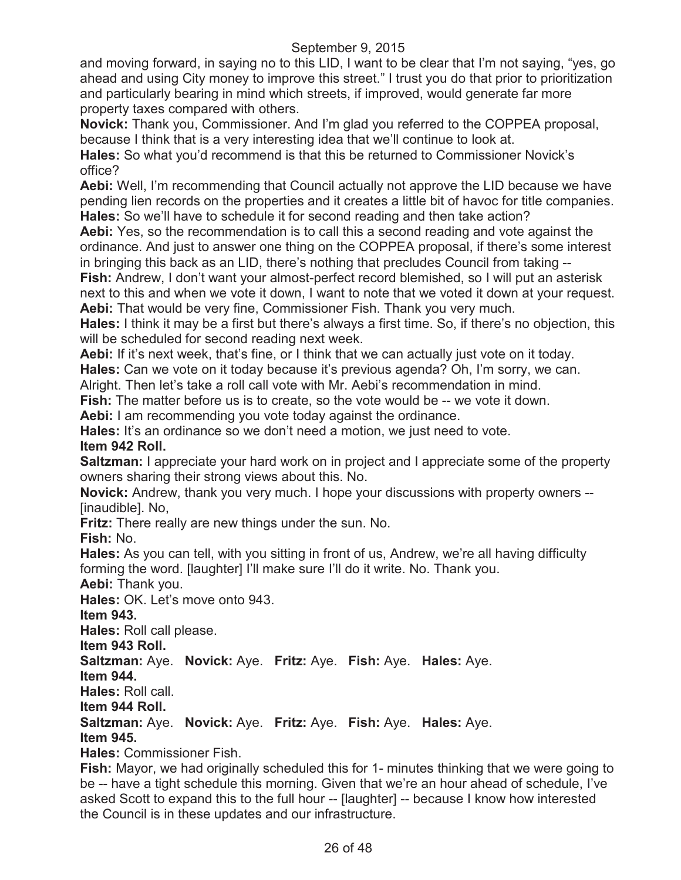and moving forward, in saying no to this LID, I want to be clear that I'm not saying, "yes, go ahead and using City money to improve this street." I trust you do that prior to prioritization and particularly bearing in mind which streets, if improved, would generate far more property taxes compared with others.

**Novick:** Thank you, Commissioner. And I'm glad you referred to the COPPEA proposal, because I think that is a very interesting idea that we'll continue to look at.

**Hales:** So what you'd recommend is that this be returned to Commissioner Novick's office?

**Aebi:** Well, I'm recommending that Council actually not approve the LID because we have pending lien records on the properties and it creates a little bit of havoc for title companies. **Hales:** So we'll have to schedule it for second reading and then take action?

**Aebi:** Yes, so the recommendation is to call this a second reading and vote against the ordinance. And just to answer one thing on the COPPEA proposal, if there's some interest in bringing this back as an LID, there's nothing that precludes Council from taking --

**Fish:** Andrew, I don't want your almost-perfect record blemished, so I will put an asterisk next to this and when we vote it down, I want to note that we voted it down at your request. **Aebi:** That would be very fine, Commissioner Fish. Thank you very much.

**Hales:** I think it may be a first but there's always a first time. So, if there's no objection, this will be scheduled for second reading next week.

Aebi: If it's next week, that's fine, or I think that we can actually just vote on it today.

**Hales:** Can we vote on it today because it's previous agenda? Oh, I'm sorry, we can.

Alright. Then let's take a roll call vote with Mr. Aebi's recommendation in mind.

**Fish:** The matter before us is to create, so the vote would be -- we vote it down.

**Aebi:** I am recommending you vote today against the ordinance.

**Hales:** It's an ordinance so we don't need a motion, we just need to vote.

## **Item 942 Roll.**

**Saltzman:** I appreciate your hard work on in project and I appreciate some of the property owners sharing their strong views about this. No.

**Novick:** Andrew, thank you very much. I hope your discussions with property owners -- [inaudible]. No,

**Fritz:** There really are new things under the sun. No.

**Fish:** No.

**Hales:** As you can tell, with you sitting in front of us, Andrew, we're all having difficulty forming the word. [laughter] I'll make sure I'll do it write. No. Thank you.

**Aebi:** Thank you.

**Hales:** OK. Let's move onto 943.

**Item 943.**

**Hales:** Roll call please.

**Item 943 Roll.**

**Saltzman:** Aye. **Novick:** Aye. **Fritz:** Aye. **Fish:** Aye. **Hales:** Aye.

**Item 944.**

**Hales:** Roll call.

**Item 944 Roll.**

**Saltzman:** Aye. **Novick:** Aye. **Fritz:** Aye. **Fish:** Aye. **Hales:** Aye.

**Item 945.**

**Hales:** Commissioner Fish.

**Fish:** Mayor, we had originally scheduled this for 1- minutes thinking that we were going to be -- have a tight schedule this morning. Given that we're an hour ahead of schedule, I've asked Scott to expand this to the full hour -- [laughter] -- because I know how interested the Council is in these updates and our infrastructure.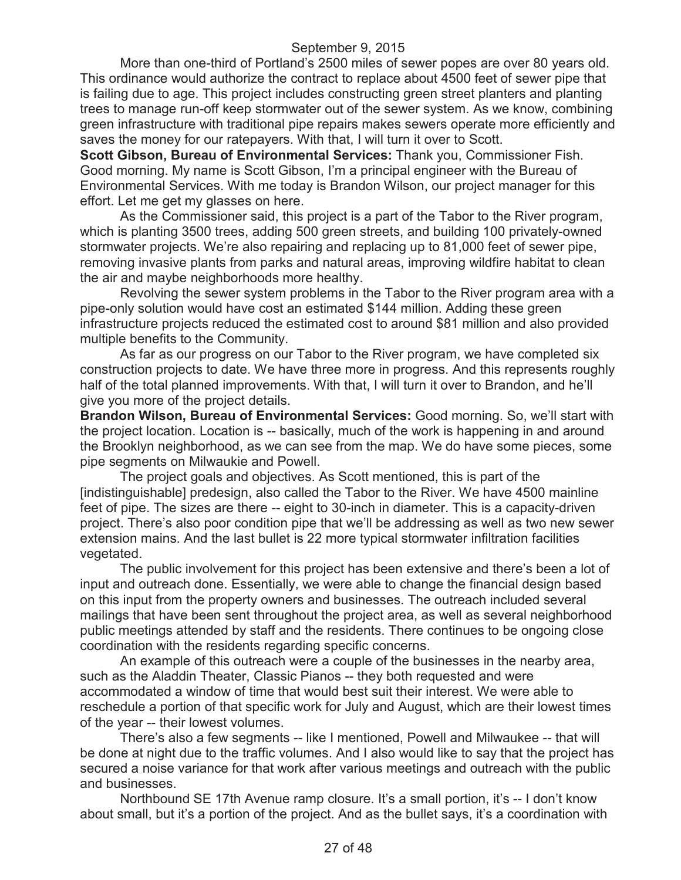More than one-third of Portland's 2500 miles of sewer popes are over 80 years old. This ordinance would authorize the contract to replace about 4500 feet of sewer pipe that is failing due to age. This project includes constructing green street planters and planting trees to manage run-off keep stormwater out of the sewer system. As we know, combining green infrastructure with traditional pipe repairs makes sewers operate more efficiently and saves the money for our ratepayers. With that, I will turn it over to Scott.

**Scott Gibson, Bureau of Environmental Services:** Thank you, Commissioner Fish. Good morning. My name is Scott Gibson, I'm a principal engineer with the Bureau of Environmental Services. With me today is Brandon Wilson, our project manager for this effort. Let me get my glasses on here.

As the Commissioner said, this project is a part of the Tabor to the River program, which is planting 3500 trees, adding 500 green streets, and building 100 privately-owned stormwater projects. We're also repairing and replacing up to 81,000 feet of sewer pipe, removing invasive plants from parks and natural areas, improving wildfire habitat to clean the air and maybe neighborhoods more healthy.

Revolving the sewer system problems in the Tabor to the River program area with a pipe-only solution would have cost an estimated \$144 million. Adding these green infrastructure projects reduced the estimated cost to around \$81 million and also provided multiple benefits to the Community.

As far as our progress on our Tabor to the River program, we have completed six construction projects to date. We have three more in progress. And this represents roughly half of the total planned improvements. With that, I will turn it over to Brandon, and he'll give you more of the project details.

**Brandon Wilson, Bureau of Environmental Services:** Good morning. So, we'll start with the project location. Location is -- basically, much of the work is happening in and around the Brooklyn neighborhood, as we can see from the map. We do have some pieces, some pipe segments on Milwaukie and Powell.

The project goals and objectives. As Scott mentioned, this is part of the [indistinguishable] predesign, also called the Tabor to the River. We have 4500 mainline feet of pipe. The sizes are there -- eight to 30-inch in diameter. This is a capacity-driven project. There's also poor condition pipe that we'll be addressing as well as two new sewer extension mains. And the last bullet is 22 more typical stormwater infiltration facilities vegetated.

The public involvement for this project has been extensive and there's been a lot of input and outreach done. Essentially, we were able to change the financial design based on this input from the property owners and businesses. The outreach included several mailings that have been sent throughout the project area, as well as several neighborhood public meetings attended by staff and the residents. There continues to be ongoing close coordination with the residents regarding specific concerns.

An example of this outreach were a couple of the businesses in the nearby area, such as the Aladdin Theater, Classic Pianos -- they both requested and were accommodated a window of time that would best suit their interest. We were able to reschedule a portion of that specific work for July and August, which are their lowest times of the year -- their lowest volumes.

There's also a few segments -- like I mentioned, Powell and Milwaukee -- that will be done at night due to the traffic volumes. And I also would like to say that the project has secured a noise variance for that work after various meetings and outreach with the public and businesses.

Northbound SE 17th Avenue ramp closure. It's a small portion, it's -- I don't know about small, but it's a portion of the project. And as the bullet says, it's a coordination with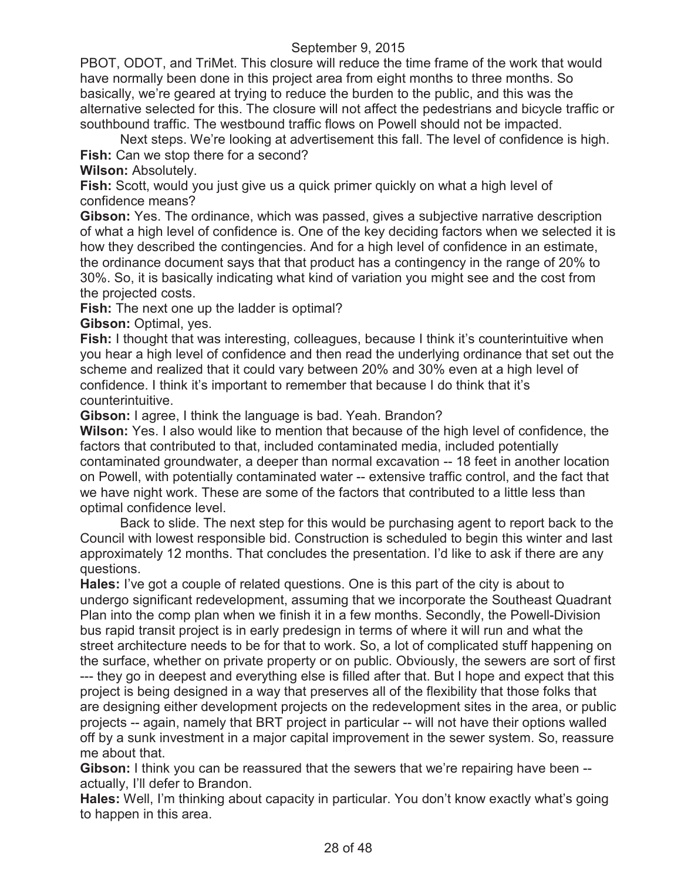PBOT, ODOT, and TriMet. This closure will reduce the time frame of the work that would have normally been done in this project area from eight months to three months. So basically, we're geared at trying to reduce the burden to the public, and this was the alternative selected for this. The closure will not affect the pedestrians and bicycle traffic or southbound traffic. The westbound traffic flows on Powell should not be impacted.

Next steps. We're looking at advertisement this fall. The level of confidence is high. **Fish:** Can we stop there for a second?

**Wilson:** Absolutely.

**Fish:** Scott, would you just give us a quick primer quickly on what a high level of confidence means?

**Gibson:** Yes. The ordinance, which was passed, gives a subjective narrative description of what a high level of confidence is. One of the key deciding factors when we selected it is how they described the contingencies. And for a high level of confidence in an estimate, the ordinance document says that that product has a contingency in the range of 20% to 30%. So, it is basically indicating what kind of variation you might see and the cost from the projected costs.

**Fish:** The next one up the ladder is optimal?

**Gibson:** Optimal, yes.

**Fish:** I thought that was interesting, colleagues, because I think it's counterintuitive when you hear a high level of confidence and then read the underlying ordinance that set out the scheme and realized that it could vary between 20% and 30% even at a high level of confidence. I think it's important to remember that because I do think that it's counterintuitive.

**Gibson:** I agree, I think the language is bad. Yeah. Brandon?

**Wilson:** Yes. I also would like to mention that because of the high level of confidence, the factors that contributed to that, included contaminated media, included potentially contaminated groundwater, a deeper than normal excavation -- 18 feet in another location on Powell, with potentially contaminated water -- extensive traffic control, and the fact that we have night work. These are some of the factors that contributed to a little less than optimal confidence level.

Back to slide. The next step for this would be purchasing agent to report back to the Council with lowest responsible bid. Construction is scheduled to begin this winter and last approximately 12 months. That concludes the presentation. I'd like to ask if there are any questions.

**Hales:** I've got a couple of related questions. One is this part of the city is about to undergo significant redevelopment, assuming that we incorporate the Southeast Quadrant Plan into the comp plan when we finish it in a few months. Secondly, the Powell-Division bus rapid transit project is in early predesign in terms of where it will run and what the street architecture needs to be for that to work. So, a lot of complicated stuff happening on the surface, whether on private property or on public. Obviously, the sewers are sort of first --- they go in deepest and everything else is filled after that. But I hope and expect that this project is being designed in a way that preserves all of the flexibility that those folks that are designing either development projects on the redevelopment sites in the area, or public projects -- again, namely that BRT project in particular -- will not have their options walled off by a sunk investment in a major capital improvement in the sewer system. So, reassure me about that.

**Gibson:** I think you can be reassured that the sewers that we're repairing have been - actually, I'll defer to Brandon.

**Hales:** Well, I'm thinking about capacity in particular. You don't know exactly what's going to happen in this area.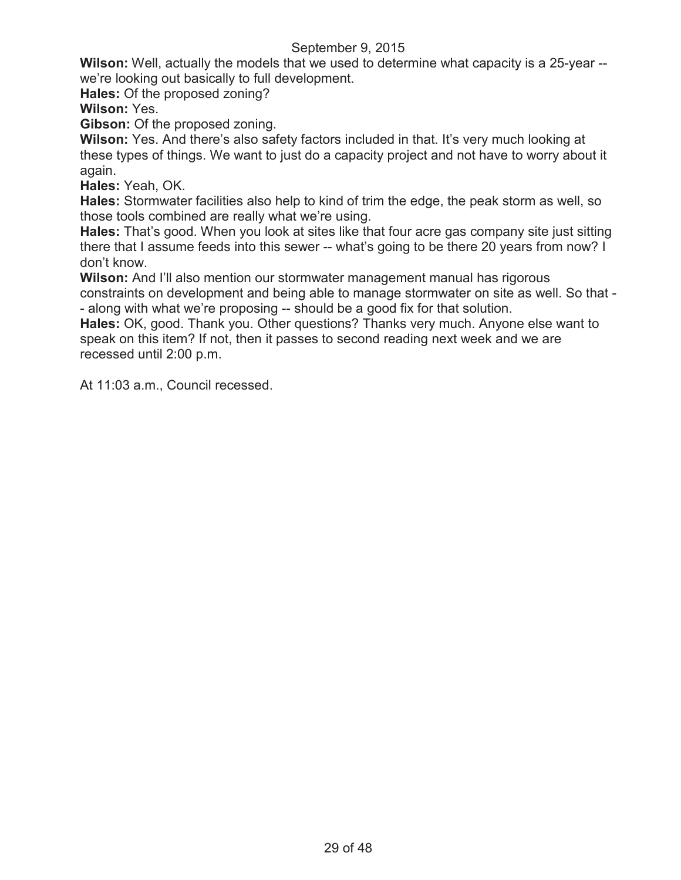**Wilson:** Well, actually the models that we used to determine what capacity is a 25-year - we're looking out basically to full development.

**Hales:** Of the proposed zoning?

**Wilson:** Yes.

**Gibson:** Of the proposed zoning.

**Wilson:** Yes. And there's also safety factors included in that. It's very much looking at these types of things. We want to just do a capacity project and not have to worry about it again.

**Hales:** Yeah, OK.

**Hales:** Stormwater facilities also help to kind of trim the edge, the peak storm as well, so those tools combined are really what we're using.

**Hales:** That's good. When you look at sites like that four acre gas company site just sitting there that I assume feeds into this sewer -- what's going to be there 20 years from now? I don't know.

**Wilson:** And I'll also mention our stormwater management manual has rigorous constraints on development and being able to manage stormwater on site as well. So that - - along with what we're proposing -- should be a good fix for that solution.

**Hales:** OK, good. Thank you. Other questions? Thanks very much. Anyone else want to speak on this item? If not, then it passes to second reading next week and we are recessed until 2:00 p.m.

At 11:03 a.m., Council recessed.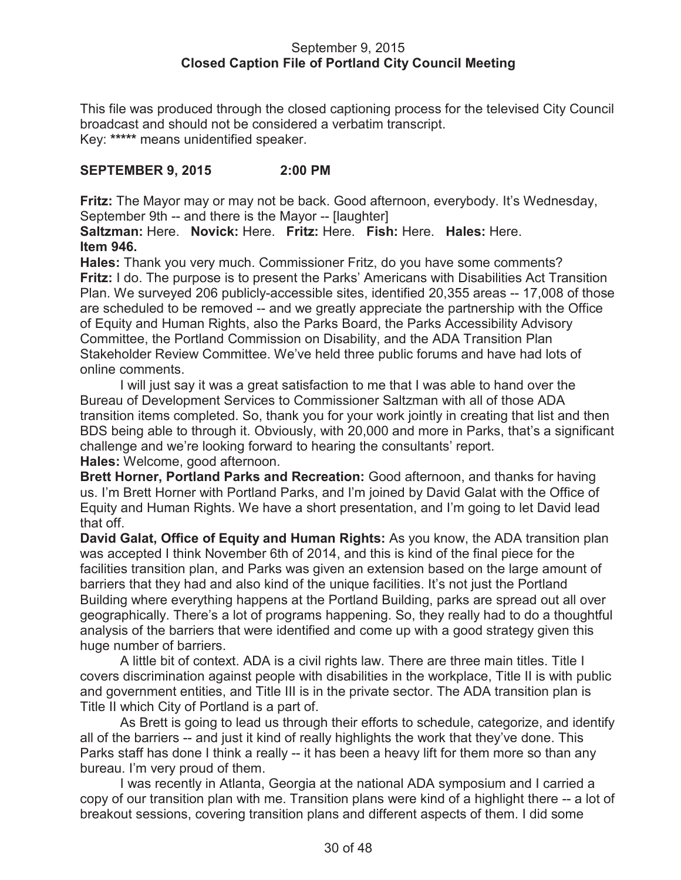#### September 9, 2015 **Closed Caption File of Portland City Council Meeting**

This file was produced through the closed captioning process for the televised City Council broadcast and should not be considered a verbatim transcript. Key: **\*\*\*\*\*** means unidentified speaker.

## **SEPTEMBER 9, 2015 2:00 PM**

**Fritz:** The Mayor may or may not be back. Good afternoon, everybody. It's Wednesday, September 9th -- and there is the Mayor -- [laughter]

**Saltzman:** Here. **Novick:** Here. **Fritz:** Here. **Fish:** Here. **Hales:** Here. **Item 946.**

**Hales:** Thank you very much. Commissioner Fritz, do you have some comments? **Fritz:** I do. The purpose is to present the Parks' Americans with Disabilities Act Transition Plan. We surveyed 206 publicly-accessible sites, identified 20,355 areas -- 17,008 of those are scheduled to be removed -- and we greatly appreciate the partnership with the Office of Equity and Human Rights, also the Parks Board, the Parks Accessibility Advisory Committee, the Portland Commission on Disability, and the ADA Transition Plan Stakeholder Review Committee. We've held three public forums and have had lots of online comments.

I will just say it was a great satisfaction to me that I was able to hand over the Bureau of Development Services to Commissioner Saltzman with all of those ADA transition items completed. So, thank you for your work jointly in creating that list and then BDS being able to through it. Obviously, with 20,000 and more in Parks, that's a significant challenge and we're looking forward to hearing the consultants' report. **Hales:** Welcome, good afternoon.

**Brett Horner, Portland Parks and Recreation:** Good afternoon, and thanks for having us. I'm Brett Horner with Portland Parks, and I'm joined by David Galat with the Office of Equity and Human Rights. We have a short presentation, and I'm going to let David lead that off.

**David Galat, Office of Equity and Human Rights:** As you know, the ADA transition plan was accepted I think November 6th of 2014, and this is kind of the final piece for the facilities transition plan, and Parks was given an extension based on the large amount of barriers that they had and also kind of the unique facilities. It's not just the Portland Building where everything happens at the Portland Building, parks are spread out all over geographically. There's a lot of programs happening. So, they really had to do a thoughtful analysis of the barriers that were identified and come up with a good strategy given this huge number of barriers.

A little bit of context. ADA is a civil rights law. There are three main titles. Title I covers discrimination against people with disabilities in the workplace, Title II is with public and government entities, and Title III is in the private sector. The ADA transition plan is Title II which City of Portland is a part of.

As Brett is going to lead us through their efforts to schedule, categorize, and identify all of the barriers -- and just it kind of really highlights the work that they've done. This Parks staff has done I think a really -- it has been a heavy lift for them more so than any bureau. I'm very proud of them.

I was recently in Atlanta, Georgia at the national ADA symposium and I carried a copy of our transition plan with me. Transition plans were kind of a highlight there -- a lot of breakout sessions, covering transition plans and different aspects of them. I did some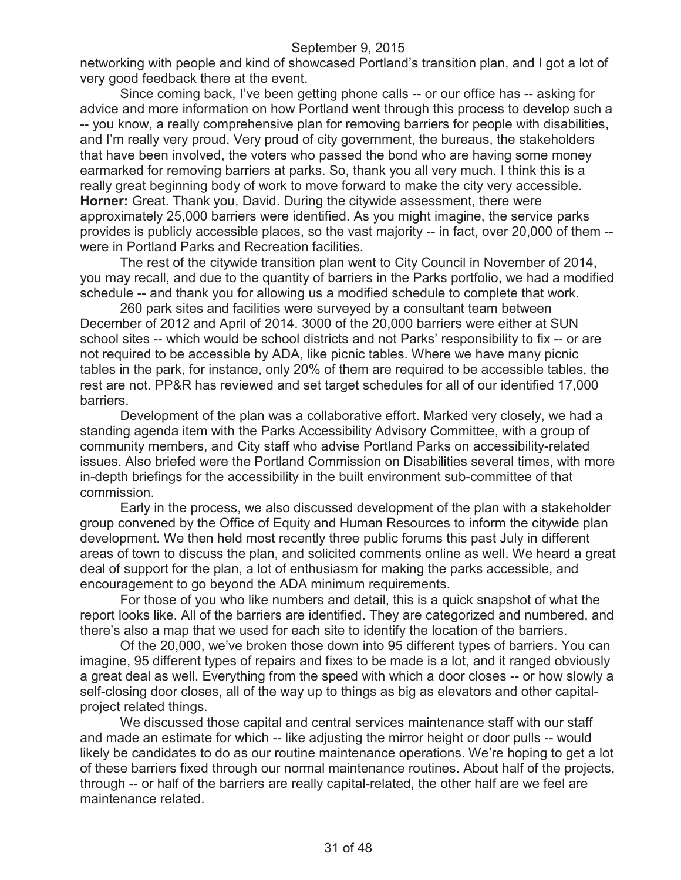networking with people and kind of showcased Portland's transition plan, and I got a lot of very good feedback there at the event.

Since coming back, I've been getting phone calls -- or our office has -- asking for advice and more information on how Portland went through this process to develop such a -- you know, a really comprehensive plan for removing barriers for people with disabilities, and I'm really very proud. Very proud of city government, the bureaus, the stakeholders that have been involved, the voters who passed the bond who are having some money earmarked for removing barriers at parks. So, thank you all very much. I think this is a really great beginning body of work to move forward to make the city very accessible. **Horner:** Great. Thank you, David. During the citywide assessment, there were approximately 25,000 barriers were identified. As you might imagine, the service parks provides is publicly accessible places, so the vast majority -- in fact, over 20,000 of them - were in Portland Parks and Recreation facilities.

The rest of the citywide transition plan went to City Council in November of 2014, you may recall, and due to the quantity of barriers in the Parks portfolio, we had a modified schedule -- and thank you for allowing us a modified schedule to complete that work.

260 park sites and facilities were surveyed by a consultant team between December of 2012 and April of 2014. 3000 of the 20,000 barriers were either at SUN school sites -- which would be school districts and not Parks' responsibility to fix -- or are not required to be accessible by ADA, like picnic tables. Where we have many picnic tables in the park, for instance, only 20% of them are required to be accessible tables, the rest are not. PP&R has reviewed and set target schedules for all of our identified 17,000 barriers.

Development of the plan was a collaborative effort. Marked very closely, we had a standing agenda item with the Parks Accessibility Advisory Committee, with a group of community members, and City staff who advise Portland Parks on accessibility-related issues. Also briefed were the Portland Commission on Disabilities several times, with more in-depth briefings for the accessibility in the built environment sub-committee of that commission.

Early in the process, we also discussed development of the plan with a stakeholder group convened by the Office of Equity and Human Resources to inform the citywide plan development. We then held most recently three public forums this past July in different areas of town to discuss the plan, and solicited comments online as well. We heard a great deal of support for the plan, a lot of enthusiasm for making the parks accessible, and encouragement to go beyond the ADA minimum requirements.

For those of you who like numbers and detail, this is a quick snapshot of what the report looks like. All of the barriers are identified. They are categorized and numbered, and there's also a map that we used for each site to identify the location of the barriers.

Of the 20,000, we've broken those down into 95 different types of barriers. You can imagine, 95 different types of repairs and fixes to be made is a lot, and it ranged obviously a great deal as well. Everything from the speed with which a door closes -- or how slowly a self-closing door closes, all of the way up to things as big as elevators and other capitalproject related things.

We discussed those capital and central services maintenance staff with our staff and made an estimate for which -- like adjusting the mirror height or door pulls -- would likely be candidates to do as our routine maintenance operations. We're hoping to get a lot of these barriers fixed through our normal maintenance routines. About half of the projects, through -- or half of the barriers are really capital-related, the other half are we feel are maintenance related.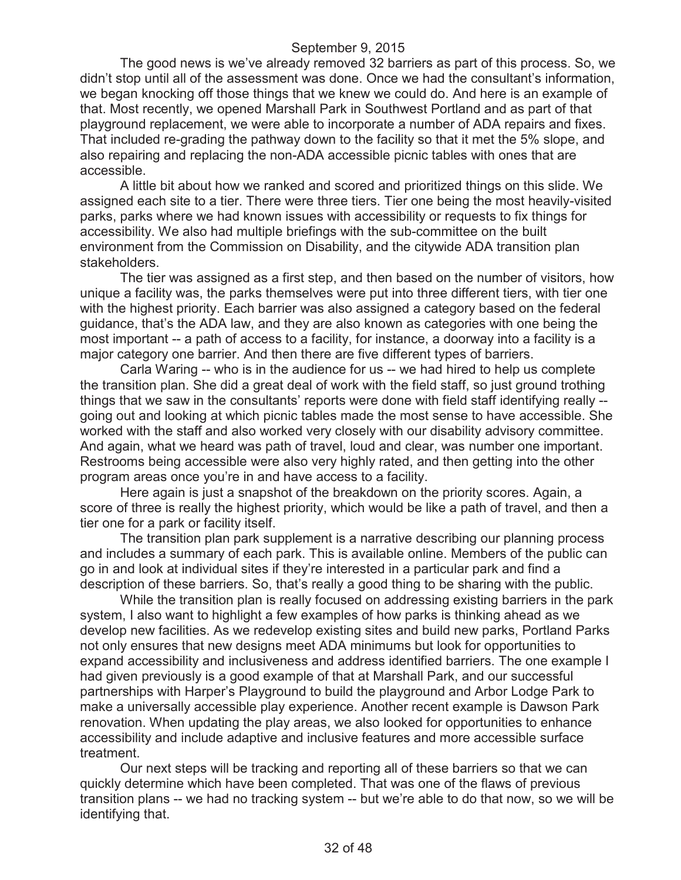The good news is we've already removed 32 barriers as part of this process. So, we didn't stop until all of the assessment was done. Once we had the consultant's information, we began knocking off those things that we knew we could do. And here is an example of that. Most recently, we opened Marshall Park in Southwest Portland and as part of that playground replacement, we were able to incorporate a number of ADA repairs and fixes. That included re-grading the pathway down to the facility so that it met the 5% slope, and also repairing and replacing the non-ADA accessible picnic tables with ones that are accessible.

A little bit about how we ranked and scored and prioritized things on this slide. We assigned each site to a tier. There were three tiers. Tier one being the most heavily-visited parks, parks where we had known issues with accessibility or requests to fix things for accessibility. We also had multiple briefings with the sub-committee on the built environment from the Commission on Disability, and the citywide ADA transition plan stakeholders.

The tier was assigned as a first step, and then based on the number of visitors, how unique a facility was, the parks themselves were put into three different tiers, with tier one with the highest priority. Each barrier was also assigned a category based on the federal guidance, that's the ADA law, and they are also known as categories with one being the most important -- a path of access to a facility, for instance, a doorway into a facility is a major category one barrier. And then there are five different types of barriers.

Carla Waring -- who is in the audience for us -- we had hired to help us complete the transition plan. She did a great deal of work with the field staff, so just ground trothing things that we saw in the consultants' reports were done with field staff identifying really - going out and looking at which picnic tables made the most sense to have accessible. She worked with the staff and also worked very closely with our disability advisory committee. And again, what we heard was path of travel, loud and clear, was number one important. Restrooms being accessible were also very highly rated, and then getting into the other program areas once you're in and have access to a facility.

Here again is just a snapshot of the breakdown on the priority scores. Again, a score of three is really the highest priority, which would be like a path of travel, and then a tier one for a park or facility itself.

The transition plan park supplement is a narrative describing our planning process and includes a summary of each park. This is available online. Members of the public can go in and look at individual sites if they're interested in a particular park and find a description of these barriers. So, that's really a good thing to be sharing with the public.

While the transition plan is really focused on addressing existing barriers in the park system, I also want to highlight a few examples of how parks is thinking ahead as we develop new facilities. As we redevelop existing sites and build new parks, Portland Parks not only ensures that new designs meet ADA minimums but look for opportunities to expand accessibility and inclusiveness and address identified barriers. The one example I had given previously is a good example of that at Marshall Park, and our successful partnerships with Harper's Playground to build the playground and Arbor Lodge Park to make a universally accessible play experience. Another recent example is Dawson Park renovation. When updating the play areas, we also looked for opportunities to enhance accessibility and include adaptive and inclusive features and more accessible surface treatment.

Our next steps will be tracking and reporting all of these barriers so that we can quickly determine which have been completed. That was one of the flaws of previous transition plans -- we had no tracking system -- but we're able to do that now, so we will be identifying that.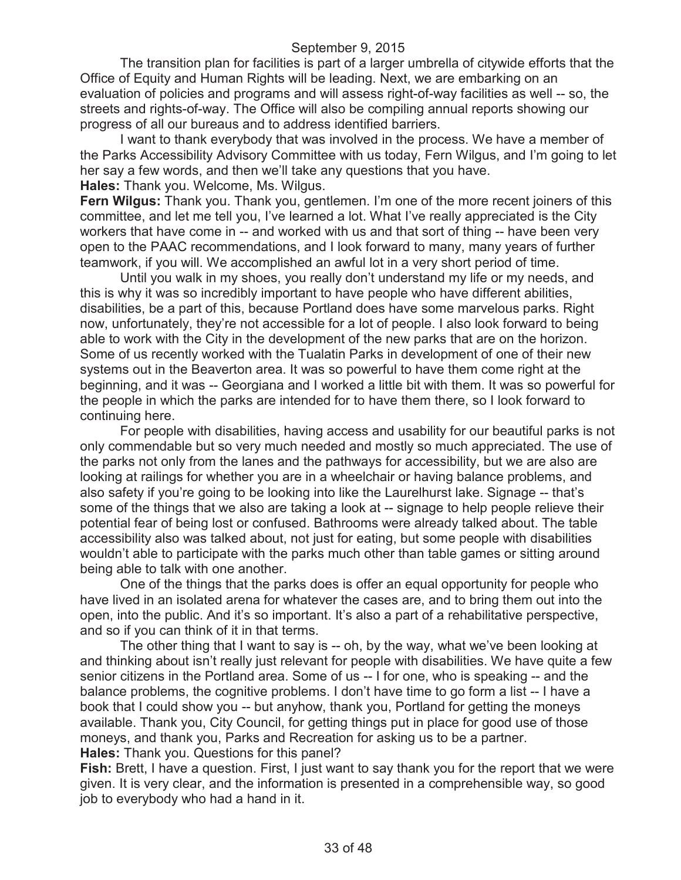The transition plan for facilities is part of a larger umbrella of citywide efforts that the Office of Equity and Human Rights will be leading. Next, we are embarking on an evaluation of policies and programs and will assess right-of-way facilities as well -- so, the streets and rights-of-way. The Office will also be compiling annual reports showing our progress of all our bureaus and to address identified barriers.

I want to thank everybody that was involved in the process. We have a member of the Parks Accessibility Advisory Committee with us today, Fern Wilgus, and I'm going to let her say a few words, and then we'll take any questions that you have. **Hales:** Thank you. Welcome, Ms. Wilgus.

**Fern Wilgus:** Thank you. Thank you, gentlemen. I'm one of the more recent joiners of this committee, and let me tell you, I've learned a lot. What I've really appreciated is the City workers that have come in -- and worked with us and that sort of thing -- have been very open to the PAAC recommendations, and I look forward to many, many years of further teamwork, if you will. We accomplished an awful lot in a very short period of time.

Until you walk in my shoes, you really don't understand my life or my needs, and this is why it was so incredibly important to have people who have different abilities, disabilities, be a part of this, because Portland does have some marvelous parks. Right now, unfortunately, they're not accessible for a lot of people. I also look forward to being able to work with the City in the development of the new parks that are on the horizon. Some of us recently worked with the Tualatin Parks in development of one of their new systems out in the Beaverton area. It was so powerful to have them come right at the beginning, and it was -- Georgiana and I worked a little bit with them. It was so powerful for the people in which the parks are intended for to have them there, so I look forward to continuing here.

For people with disabilities, having access and usability for our beautiful parks is not only commendable but so very much needed and mostly so much appreciated. The use of the parks not only from the lanes and the pathways for accessibility, but we are also are looking at railings for whether you are in a wheelchair or having balance problems, and also safety if you're going to be looking into like the Laurelhurst lake. Signage -- that's some of the things that we also are taking a look at -- signage to help people relieve their potential fear of being lost or confused. Bathrooms were already talked about. The table accessibility also was talked about, not just for eating, but some people with disabilities wouldn't able to participate with the parks much other than table games or sitting around being able to talk with one another.

One of the things that the parks does is offer an equal opportunity for people who have lived in an isolated arena for whatever the cases are, and to bring them out into the open, into the public. And it's so important. It's also a part of a rehabilitative perspective, and so if you can think of it in that terms.

The other thing that I want to say is -- oh, by the way, what we've been looking at and thinking about isn't really just relevant for people with disabilities. We have quite a few senior citizens in the Portland area. Some of us -- I for one, who is speaking -- and the balance problems, the cognitive problems. I don't have time to go form a list -- I have a book that I could show you -- but anyhow, thank you, Portland for getting the moneys available. Thank you, City Council, for getting things put in place for good use of those moneys, and thank you, Parks and Recreation for asking us to be a partner. **Hales:** Thank you. Questions for this panel?

**Fish:** Brett, I have a question. First, I just want to say thank you for the report that we were given. It is very clear, and the information is presented in a comprehensible way, so good job to everybody who had a hand in it.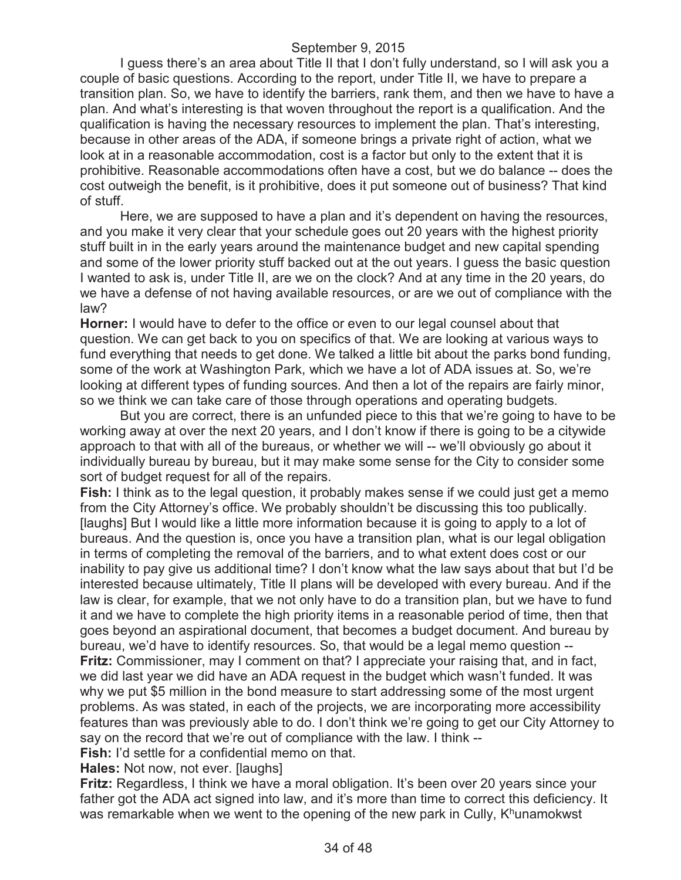I guess there's an area about Title II that I don't fully understand, so I will ask you a couple of basic questions. According to the report, under Title II, we have to prepare a transition plan. So, we have to identify the barriers, rank them, and then we have to have a plan. And what's interesting is that woven throughout the report is a qualification. And the qualification is having the necessary resources to implement the plan. That's interesting, because in other areas of the ADA, if someone brings a private right of action, what we look at in a reasonable accommodation, cost is a factor but only to the extent that it is prohibitive. Reasonable accommodations often have a cost, but we do balance -- does the cost outweigh the benefit, is it prohibitive, does it put someone out of business? That kind of stuff.

Here, we are supposed to have a plan and it's dependent on having the resources, and you make it very clear that your schedule goes out 20 years with the highest priority stuff built in in the early years around the maintenance budget and new capital spending and some of the lower priority stuff backed out at the out years. I guess the basic question I wanted to ask is, under Title II, are we on the clock? And at any time in the 20 years, do we have a defense of not having available resources, or are we out of compliance with the law?

**Horner:** I would have to defer to the office or even to our legal counsel about that question. We can get back to you on specifics of that. We are looking at various ways to fund everything that needs to get done. We talked a little bit about the parks bond funding, some of the work at Washington Park, which we have a lot of ADA issues at. So, we're looking at different types of funding sources. And then a lot of the repairs are fairly minor, so we think we can take care of those through operations and operating budgets.

But you are correct, there is an unfunded piece to this that we're going to have to be working away at over the next 20 years, and I don't know if there is going to be a citywide approach to that with all of the bureaus, or whether we will -- we'll obviously go about it individually bureau by bureau, but it may make some sense for the City to consider some sort of budget request for all of the repairs.

**Fish:** I think as to the legal question, it probably makes sense if we could just get a memo from the City Attorney's office. We probably shouldn't be discussing this too publically. [laughs] But I would like a little more information because it is going to apply to a lot of bureaus. And the question is, once you have a transition plan, what is our legal obligation in terms of completing the removal of the barriers, and to what extent does cost or our inability to pay give us additional time? I don't know what the law says about that but I'd be interested because ultimately, Title II plans will be developed with every bureau. And if the law is clear, for example, that we not only have to do a transition plan, but we have to fund it and we have to complete the high priority items in a reasonable period of time, then that goes beyond an aspirational document, that becomes a budget document. And bureau by bureau, we'd have to identify resources. So, that would be a legal memo question -- **Fritz:** Commissioner, may I comment on that? I appreciate your raising that, and in fact, we did last year we did have an ADA request in the budget which wasn't funded. It was why we put \$5 million in the bond measure to start addressing some of the most urgent problems. As was stated, in each of the projects, we are incorporating more accessibility features than was previously able to do. I don't think we're going to get our City Attorney to say on the record that we're out of compliance with the law. I think --

**Fish:** I'd settle for a confidential memo on that.

**Hales:** Not now, not ever. [laughs]

**Fritz:** Regardless, I think we have a moral obligation. It's been over 20 years since your father got the ADA act signed into law, and it's more than time to correct this deficiency. It was remarkable when we went to the opening of the new park in Cully,  $K<sup>h</sup>$ unamokwst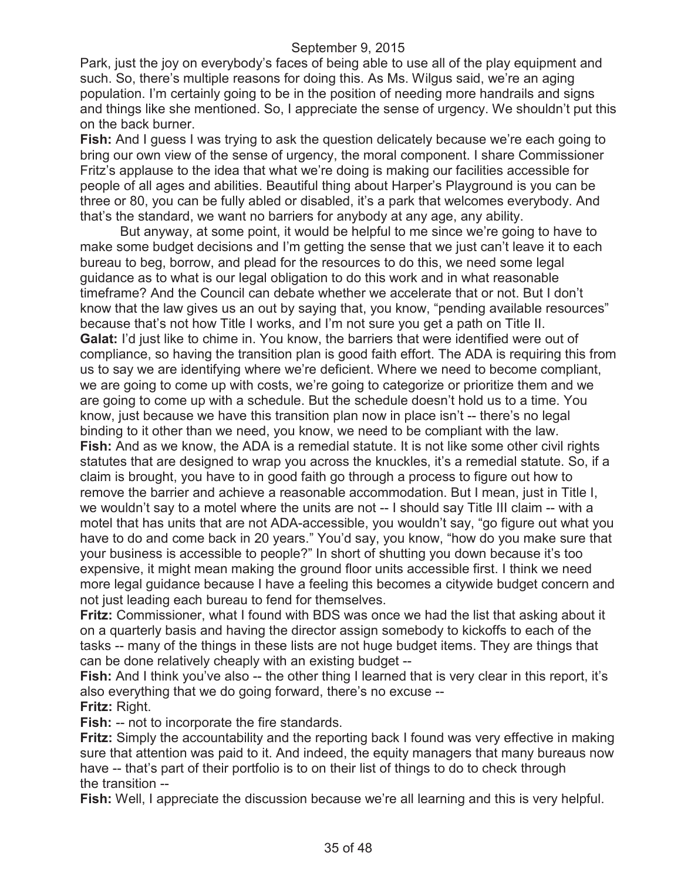Park, just the joy on everybody's faces of being able to use all of the play equipment and such. So, there's multiple reasons for doing this. As Ms. Wilgus said, we're an aging population. I'm certainly going to be in the position of needing more handrails and signs and things like she mentioned. So, I appreciate the sense of urgency. We shouldn't put this on the back burner.

**Fish:** And I guess I was trying to ask the question delicately because we're each going to bring our own view of the sense of urgency, the moral component. I share Commissioner Fritz's applause to the idea that what we're doing is making our facilities accessible for people of all ages and abilities. Beautiful thing about Harper's Playground is you can be three or 80, you can be fully abled or disabled, it's a park that welcomes everybody. And that's the standard, we want no barriers for anybody at any age, any ability.

But anyway, at some point, it would be helpful to me since we're going to have to make some budget decisions and I'm getting the sense that we just can't leave it to each bureau to beg, borrow, and plead for the resources to do this, we need some legal guidance as to what is our legal obligation to do this work and in what reasonable timeframe? And the Council can debate whether we accelerate that or not. But I don't know that the law gives us an out by saying that, you know, "pending available resources" because that's not how Title I works, and I'm not sure you get a path on Title II. **Galat:** I'd just like to chime in. You know, the barriers that were identified were out of compliance, so having the transition plan is good faith effort. The ADA is requiring this from us to say we are identifying where we're deficient. Where we need to become compliant, we are going to come up with costs, we're going to categorize or prioritize them and we are going to come up with a schedule. But the schedule doesn't hold us to a time. You know, just because we have this transition plan now in place isn't -- there's no legal binding to it other than we need, you know, we need to be compliant with the law. **Fish:** And as we know, the ADA is a remedial statute. It is not like some other civil rights statutes that are designed to wrap you across the knuckles, it's a remedial statute. So, if a claim is brought, you have to in good faith go through a process to figure out how to remove the barrier and achieve a reasonable accommodation. But I mean, just in Title I, we wouldn't say to a motel where the units are not -- I should say Title III claim -- with a motel that has units that are not ADA-accessible, you wouldn't say, "go figure out what you have to do and come back in 20 years." You'd say, you know, "how do you make sure that your business is accessible to people?" In short of shutting you down because it's too expensive, it might mean making the ground floor units accessible first. I think we need more legal guidance because I have a feeling this becomes a citywide budget concern and not just leading each bureau to fend for themselves.

**Fritz:** Commissioner, what I found with BDS was once we had the list that asking about it on a quarterly basis and having the director assign somebody to kickoffs to each of the tasks -- many of the things in these lists are not huge budget items. They are things that can be done relatively cheaply with an existing budget --

**Fish:** And I think you've also -- the other thing I learned that is very clear in this report, it's also everything that we do going forward, there's no excuse -- **Fritz:** Right.

**Fish:** -- not to incorporate the fire standards.

**Fritz:** Simply the accountability and the reporting back I found was very effective in making sure that attention was paid to it. And indeed, the equity managers that many bureaus now have -- that's part of their portfolio is to on their list of things to do to check through the transition --

**Fish:** Well, I appreciate the discussion because we're all learning and this is very helpful.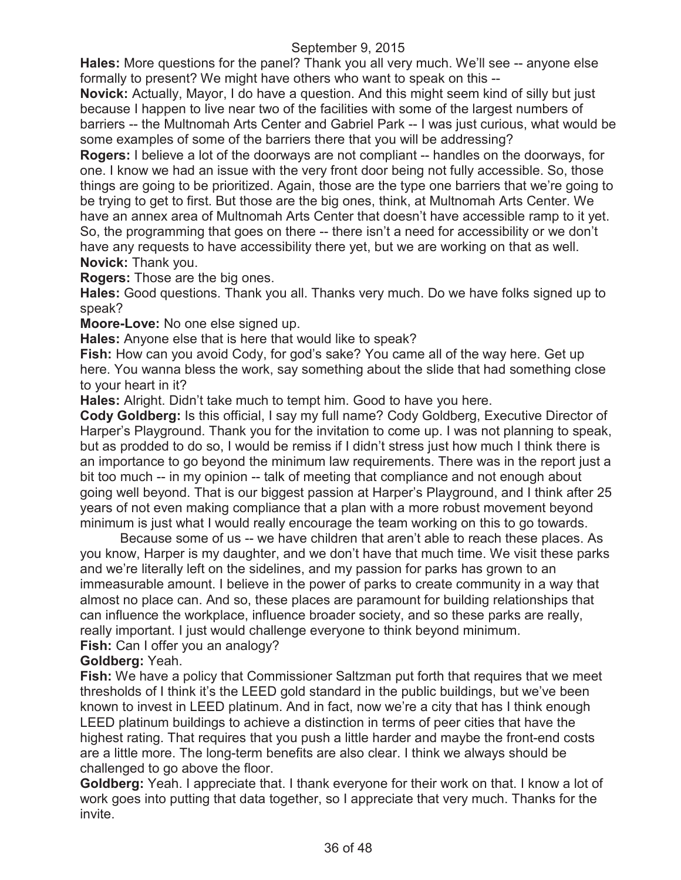**Hales:** More questions for the panel? Thank you all very much. We'll see -- anyone else formally to present? We might have others who want to speak on this --

**Novick:** Actually, Mayor, I do have a question. And this might seem kind of silly but just because I happen to live near two of the facilities with some of the largest numbers of barriers -- the Multnomah Arts Center and Gabriel Park -- I was just curious, what would be some examples of some of the barriers there that you will be addressing?

**Rogers:** I believe a lot of the doorways are not compliant -- handles on the doorways, for one. I know we had an issue with the very front door being not fully accessible. So, those things are going to be prioritized. Again, those are the type one barriers that we're going to be trying to get to first. But those are the big ones, think, at Multnomah Arts Center. We have an annex area of Multnomah Arts Center that doesn't have accessible ramp to it yet. So, the programming that goes on there -- there isn't a need for accessibility or we don't have any requests to have accessibility there yet, but we are working on that as well. **Novick:** Thank you.

**Rogers:** Those are the big ones.

**Hales:** Good questions. Thank you all. Thanks very much. Do we have folks signed up to speak?

**Moore-Love:** No one else signed up.

**Hales:** Anyone else that is here that would like to speak?

**Fish:** How can you avoid Cody, for god's sake? You came all of the way here. Get up here. You wanna bless the work, say something about the slide that had something close to your heart in it?

**Hales:** Alright. Didn't take much to tempt him. Good to have you here.

**Cody Goldberg:** Is this official, I say my full name? Cody Goldberg, Executive Director of Harper's Playground. Thank you for the invitation to come up. I was not planning to speak, but as prodded to do so, I would be remiss if I didn't stress just how much I think there is an importance to go beyond the minimum law requirements. There was in the report just a bit too much -- in my opinion -- talk of meeting that compliance and not enough about going well beyond. That is our biggest passion at Harper's Playground, and I think after 25 years of not even making compliance that a plan with a more robust movement beyond minimum is just what I would really encourage the team working on this to go towards.

Because some of us -- we have children that aren't able to reach these places. As you know, Harper is my daughter, and we don't have that much time. We visit these parks and we're literally left on the sidelines, and my passion for parks has grown to an immeasurable amount. I believe in the power of parks to create community in a way that almost no place can. And so, these places are paramount for building relationships that can influence the workplace, influence broader society, and so these parks are really, really important. I just would challenge everyone to think beyond minimum.

**Fish:** Can I offer you an analogy?

## **Goldberg:** Yeah.

**Fish:** We have a policy that Commissioner Saltzman put forth that requires that we meet thresholds of I think it's the LEED gold standard in the public buildings, but we've been known to invest in LEED platinum. And in fact, now we're a city that has I think enough LEED platinum buildings to achieve a distinction in terms of peer cities that have the highest rating. That requires that you push a little harder and maybe the front-end costs are a little more. The long-term benefits are also clear. I think we always should be challenged to go above the floor.

**Goldberg:** Yeah. I appreciate that. I thank everyone for their work on that. I know a lot of work goes into putting that data together, so I appreciate that very much. Thanks for the invite.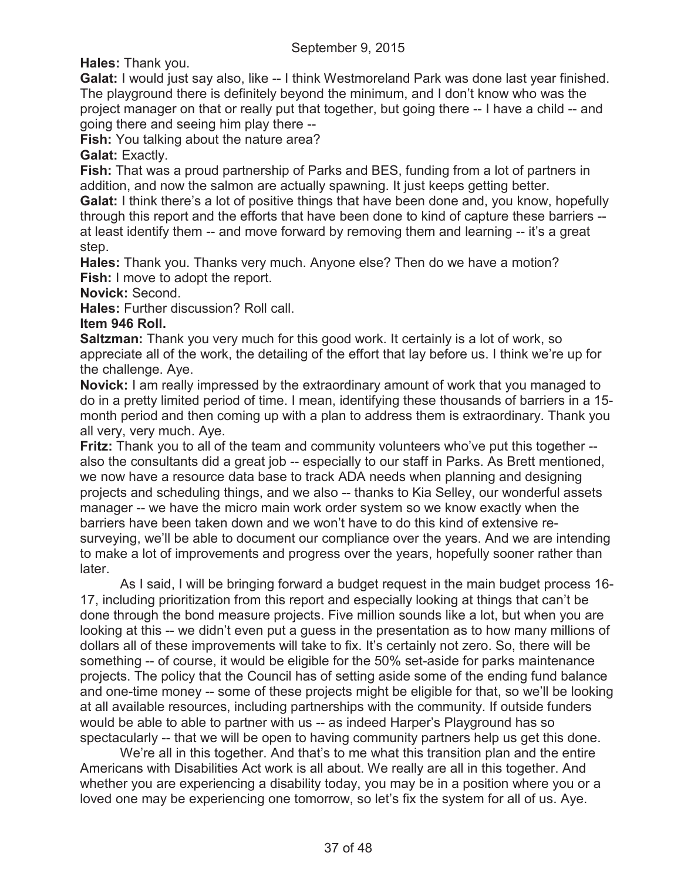**Hales:** Thank you.

**Galat:** I would just say also, like -- I think Westmoreland Park was done last year finished. The playground there is definitely beyond the minimum, and I don't know who was the project manager on that or really put that together, but going there -- I have a child -- and going there and seeing him play there --

**Fish:** You talking about the nature area?

**Galat:** Exactly.

**Fish:** That was a proud partnership of Parks and BES, funding from a lot of partners in addition, and now the salmon are actually spawning. It just keeps getting better. **Galat:** I think there's a lot of positive things that have been done and, you know, hopefully through this report and the efforts that have been done to kind of capture these barriers - at least identify them -- and move forward by removing them and learning -- it's a great step.

**Hales:** Thank you. Thanks very much. Anyone else? Then do we have a motion? **Fish:** I move to adopt the report.

**Novick:** Second.

**Hales:** Further discussion? Roll call.

**Item 946 Roll.**

**Saltzman:** Thank you very much for this good work. It certainly is a lot of work, so appreciate all of the work, the detailing of the effort that lay before us. I think we're up for the challenge. Aye.

**Novick:** I am really impressed by the extraordinary amount of work that you managed to do in a pretty limited period of time. I mean, identifying these thousands of barriers in a 15 month period and then coming up with a plan to address them is extraordinary. Thank you all very, very much. Aye.

**Fritz:** Thank you to all of the team and community volunteers who've put this together - also the consultants did a great job -- especially to our staff in Parks. As Brett mentioned, we now have a resource data base to track ADA needs when planning and designing projects and scheduling things, and we also -- thanks to Kia Selley, our wonderful assets manager -- we have the micro main work order system so we know exactly when the barriers have been taken down and we won't have to do this kind of extensive resurveying, we'll be able to document our compliance over the years. And we are intending to make a lot of improvements and progress over the years, hopefully sooner rather than later.

As I said, I will be bringing forward a budget request in the main budget process 16- 17, including prioritization from this report and especially looking at things that can't be done through the bond measure projects. Five million sounds like a lot, but when you are looking at this -- we didn't even put a guess in the presentation as to how many millions of dollars all of these improvements will take to fix. It's certainly not zero. So, there will be something -- of course, it would be eligible for the 50% set-aside for parks maintenance projects. The policy that the Council has of setting aside some of the ending fund balance and one-time money -- some of these projects might be eligible for that, so we'll be looking at all available resources, including partnerships with the community. If outside funders would be able to able to partner with us -- as indeed Harper's Playground has so spectacularly -- that we will be open to having community partners help us get this done.

We're all in this together. And that's to me what this transition plan and the entire Americans with Disabilities Act work is all about. We really are all in this together. And whether you are experiencing a disability today, you may be in a position where you or a loved one may be experiencing one tomorrow, so let's fix the system for all of us. Aye.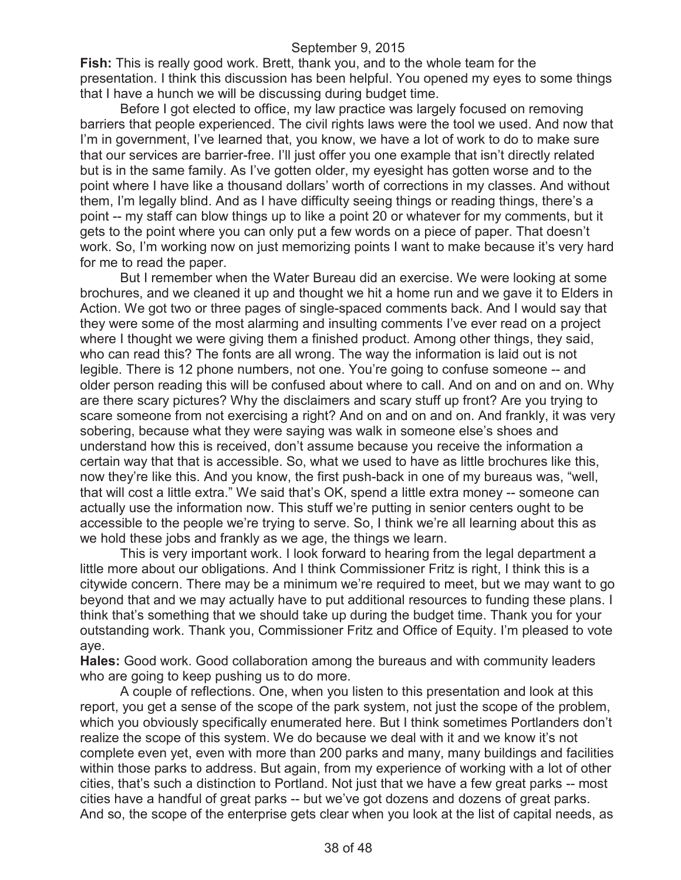**Fish:** This is really good work. Brett, thank you, and to the whole team for the presentation. I think this discussion has been helpful. You opened my eyes to some things that I have a hunch we will be discussing during budget time.

Before I got elected to office, my law practice was largely focused on removing barriers that people experienced. The civil rights laws were the tool we used. And now that I'm in government, I've learned that, you know, we have a lot of work to do to make sure that our services are barrier-free. I'll just offer you one example that isn't directly related but is in the same family. As I've gotten older, my eyesight has gotten worse and to the point where I have like a thousand dollars' worth of corrections in my classes. And without them, I'm legally blind. And as I have difficulty seeing things or reading things, there's a point -- my staff can blow things up to like a point 20 or whatever for my comments, but it gets to the point where you can only put a few words on a piece of paper. That doesn't work. So, I'm working now on just memorizing points I want to make because it's very hard for me to read the paper.

But I remember when the Water Bureau did an exercise. We were looking at some brochures, and we cleaned it up and thought we hit a home run and we gave it to Elders in Action. We got two or three pages of single-spaced comments back. And I would say that they were some of the most alarming and insulting comments I've ever read on a project where I thought we were giving them a finished product. Among other things, they said, who can read this? The fonts are all wrong. The way the information is laid out is not legible. There is 12 phone numbers, not one. You're going to confuse someone -- and older person reading this will be confused about where to call. And on and on and on. Why are there scary pictures? Why the disclaimers and scary stuff up front? Are you trying to scare someone from not exercising a right? And on and on and on. And frankly, it was very sobering, because what they were saying was walk in someone else's shoes and understand how this is received, don't assume because you receive the information a certain way that that is accessible. So, what we used to have as little brochures like this, now they're like this. And you know, the first push-back in one of my bureaus was, "well, that will cost a little extra." We said that's OK, spend a little extra money -- someone can actually use the information now. This stuff we're putting in senior centers ought to be accessible to the people we're trying to serve. So, I think we're all learning about this as we hold these jobs and frankly as we age, the things we learn.

This is very important work. I look forward to hearing from the legal department a little more about our obligations. And I think Commissioner Fritz is right, I think this is a citywide concern. There may be a minimum we're required to meet, but we may want to go beyond that and we may actually have to put additional resources to funding these plans. I think that's something that we should take up during the budget time. Thank you for your outstanding work. Thank you, Commissioner Fritz and Office of Equity. I'm pleased to vote aye.

**Hales:** Good work. Good collaboration among the bureaus and with community leaders who are going to keep pushing us to do more.

A couple of reflections. One, when you listen to this presentation and look at this report, you get a sense of the scope of the park system, not just the scope of the problem, which you obviously specifically enumerated here. But I think sometimes Portlanders don't realize the scope of this system. We do because we deal with it and we know it's not complete even yet, even with more than 200 parks and many, many buildings and facilities within those parks to address. But again, from my experience of working with a lot of other cities, that's such a distinction to Portland. Not just that we have a few great parks -- most cities have a handful of great parks -- but we've got dozens and dozens of great parks. And so, the scope of the enterprise gets clear when you look at the list of capital needs, as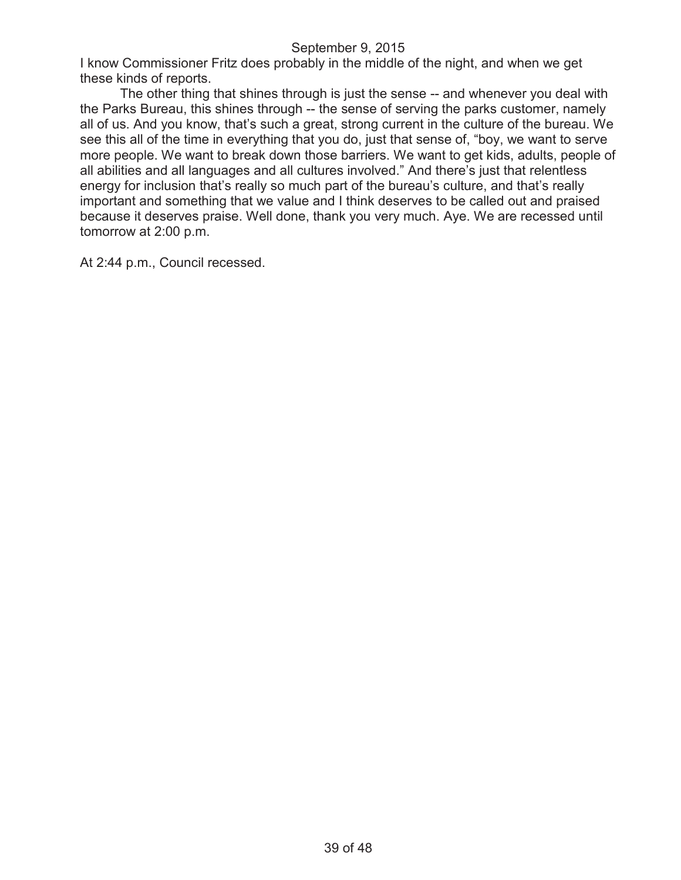I know Commissioner Fritz does probably in the middle of the night, and when we get these kinds of reports.

The other thing that shines through is just the sense -- and whenever you deal with the Parks Bureau, this shines through -- the sense of serving the parks customer, namely all of us. And you know, that's such a great, strong current in the culture of the bureau. We see this all of the time in everything that you do, just that sense of, "boy, we want to serve more people. We want to break down those barriers. We want to get kids, adults, people of all abilities and all languages and all cultures involved." And there's just that relentless energy for inclusion that's really so much part of the bureau's culture, and that's really important and something that we value and I think deserves to be called out and praised because it deserves praise. Well done, thank you very much. Aye. We are recessed until tomorrow at 2:00 p.m.

At 2:44 p.m., Council recessed.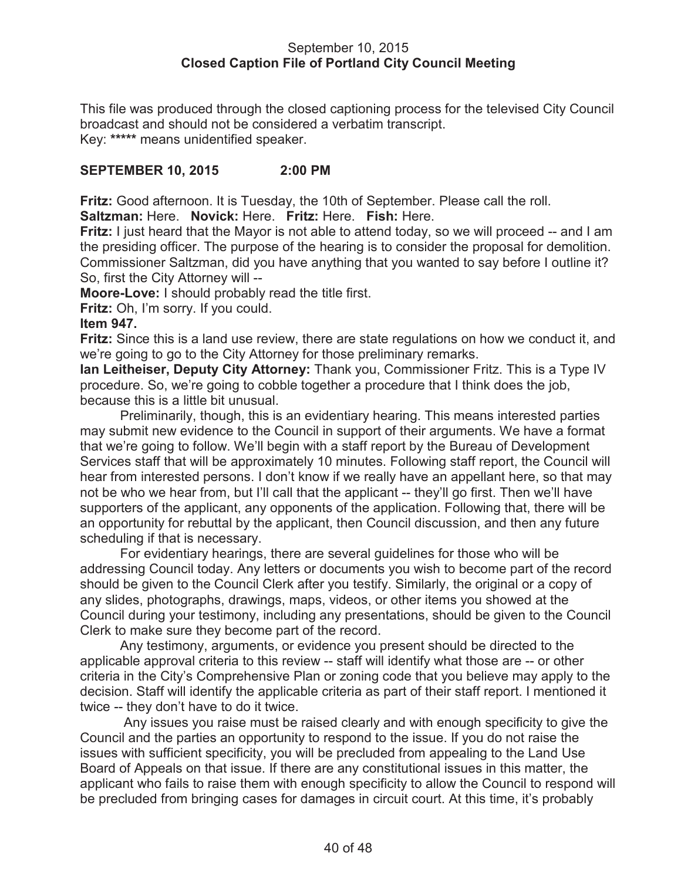#### September 10, 2015 **Closed Caption File of Portland City Council Meeting**

This file was produced through the closed captioning process for the televised City Council broadcast and should not be considered a verbatim transcript. Key: **\*\*\*\*\*** means unidentified speaker.

## **SEPTEMBER 10, 2015 2:00 PM**

**Fritz:** Good afternoon. It is Tuesday, the 10th of September. Please call the roll.

**Saltzman:** Here. **Novick:** Here. **Fritz:** Here. **Fish:** Here.

**Fritz:** I just heard that the Mayor is not able to attend today, so we will proceed -- and I am the presiding officer. The purpose of the hearing is to consider the proposal for demolition. Commissioner Saltzman, did you have anything that you wanted to say before I outline it? So, first the City Attorney will --

**Moore-Love:** I should probably read the title first.

**Fritz:** Oh, I'm sorry. If you could.

#### **Item 947.**

**Fritz:** Since this is a land use review, there are state regulations on how we conduct it, and we're going to go to the City Attorney for those preliminary remarks.

**Ian Leitheiser, Deputy City Attorney:** Thank you, Commissioner Fritz. This is a Type IV procedure. So, we're going to cobble together a procedure that I think does the job, because this is a little bit unusual.

Preliminarily, though, this is an evidentiary hearing. This means interested parties may submit new evidence to the Council in support of their arguments. We have a format that we're going to follow. We'll begin with a staff report by the Bureau of Development Services staff that will be approximately 10 minutes. Following staff report, the Council will hear from interested persons. I don't know if we really have an appellant here, so that may not be who we hear from, but I'll call that the applicant -- they'll go first. Then we'll have supporters of the applicant, any opponents of the application. Following that, there will be an opportunity for rebuttal by the applicant, then Council discussion, and then any future scheduling if that is necessary.

For evidentiary hearings, there are several guidelines for those who will be addressing Council today. Any letters or documents you wish to become part of the record should be given to the Council Clerk after you testify. Similarly, the original or a copy of any slides, photographs, drawings, maps, videos, or other items you showed at the Council during your testimony, including any presentations, should be given to the Council Clerk to make sure they become part of the record.

Any testimony, arguments, or evidence you present should be directed to the applicable approval criteria to this review -- staff will identify what those are -- or other criteria in the City's Comprehensive Plan or zoning code that you believe may apply to the decision. Staff will identify the applicable criteria as part of their staff report. I mentioned it twice -- they don't have to do it twice.

Any issues you raise must be raised clearly and with enough specificity to give the Council and the parties an opportunity to respond to the issue. If you do not raise the issues with sufficient specificity, you will be precluded from appealing to the Land Use Board of Appeals on that issue. If there are any constitutional issues in this matter, the applicant who fails to raise them with enough specificity to allow the Council to respond will be precluded from bringing cases for damages in circuit court. At this time, it's probably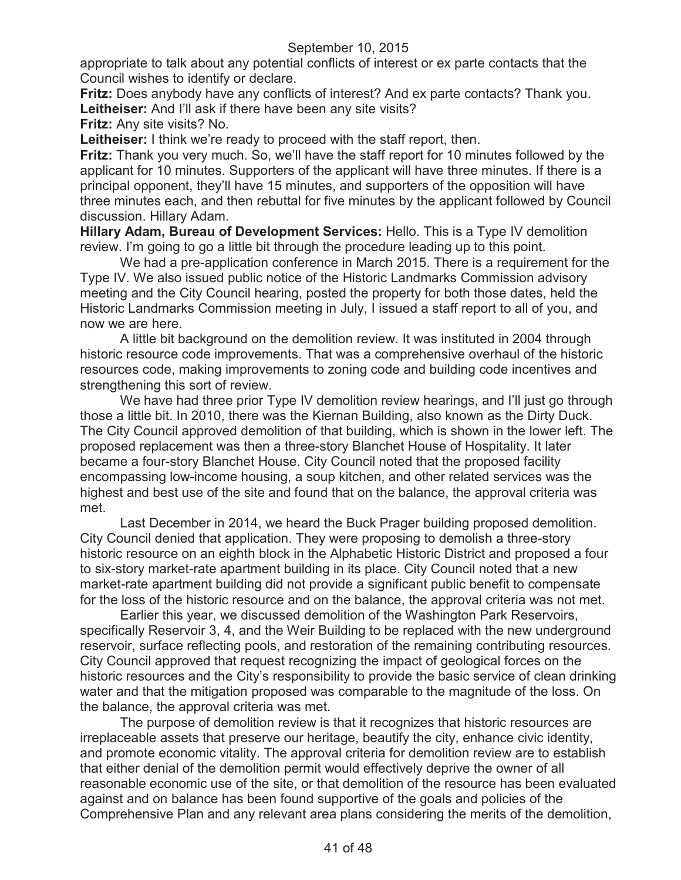appropriate to talk about any potential conflicts of interest or ex parte contacts that the Council wishes to identify or declare.

**Fritz:** Does anybody have any conflicts of interest? And ex parte contacts? Thank you. Leitheiser: And I'll ask if there have been any site visits?

**Fritz:** Any site visits? No.

**Leitheiser:** I think we're ready to proceed with the staff report, then.

**Fritz:** Thank you very much. So, we'll have the staff report for 10 minutes followed by the applicant for 10 minutes. Supporters of the applicant will have three minutes. If there is a principal opponent, they'll have 15 minutes, and supporters of the opposition will have three minutes each, and then rebuttal for five minutes by the applicant followed by Council discussion. Hillary Adam.

**Hillary Adam, Bureau of Development Services:** Hello. This is a Type IV demolition review. I'm going to go a little bit through the procedure leading up to this point.

We had a pre-application conference in March 2015. There is a requirement for the Type IV. We also issued public notice of the Historic Landmarks Commission advisory meeting and the City Council hearing, posted the property for both those dates, held the Historic Landmarks Commission meeting in July, I issued a staff report to all of you, and now we are here.

A little bit background on the demolition review. It was instituted in 2004 through historic resource code improvements. That was a comprehensive overhaul of the historic resources code, making improvements to zoning code and building code incentives and strengthening this sort of review.

We have had three prior Type IV demolition review hearings, and I'll just go through those a little bit. In 2010, there was the Kiernan Building, also known as the Dirty Duck. The City Council approved demolition of that building, which is shown in the lower left. The proposed replacement was then a three-story Blanchet House of Hospitality. It later became a four-story Blanchet House. City Council noted that the proposed facility encompassing low-income housing, a soup kitchen, and other related services was the highest and best use of the site and found that on the balance, the approval criteria was met.

Last December in 2014, we heard the Buck Prager building proposed demolition. City Council denied that application. They were proposing to demolish a three-story historic resource on an eighth block in the Alphabetic Historic District and proposed a four to six-story market-rate apartment building in its place. City Council noted that a new market-rate apartment building did not provide a significant public benefit to compensate for the loss of the historic resource and on the balance, the approval criteria was not met.

Earlier this year, we discussed demolition of the Washington Park Reservoirs, specifically Reservoir 3, 4, and the Weir Building to be replaced with the new underground reservoir, surface reflecting pools, and restoration of the remaining contributing resources. City Council approved that request recognizing the impact of geological forces on the historic resources and the City's responsibility to provide the basic service of clean drinking water and that the mitigation proposed was comparable to the magnitude of the loss. On the balance, the approval criteria was met.

The purpose of demolition review is that it recognizes that historic resources are irreplaceable assets that preserve our heritage, beautify the city, enhance civic identity, and promote economic vitality. The approval criteria for demolition review are to establish that either denial of the demolition permit would effectively deprive the owner of all reasonable economic use of the site, or that demolition of the resource has been evaluated against and on balance has been found supportive of the goals and policies of the Comprehensive Plan and any relevant area plans considering the merits of the demolition,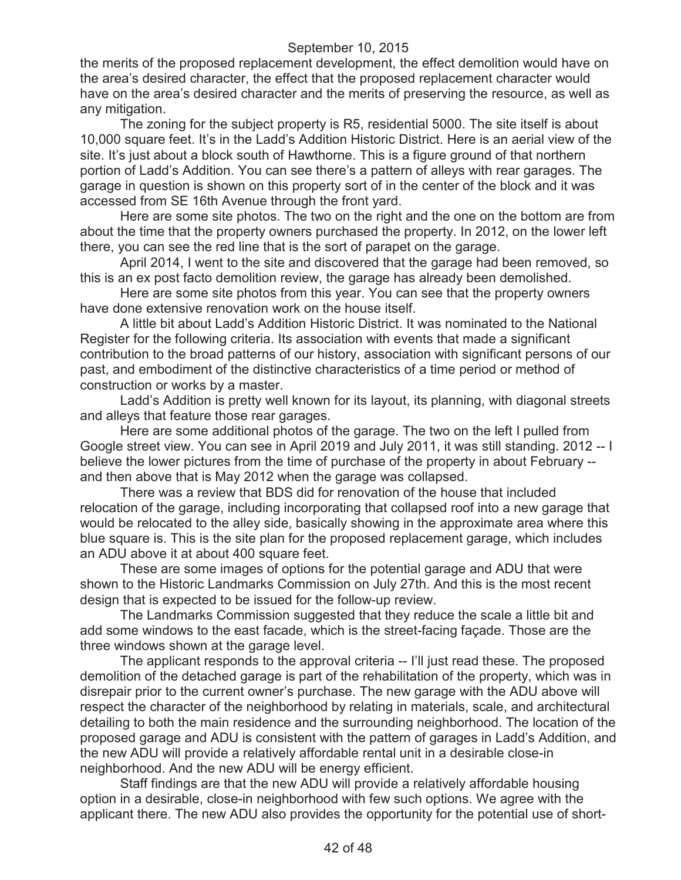the merits of the proposed replacement development, the effect demolition would have on the area's desired character, the effect that the proposed replacement character would have on the area's desired character and the merits of preserving the resource, as well as any mitigation.

The zoning for the subject property is R5, residential 5000. The site itself is about 10,000 square feet. It's in the Ladd's Addition Historic District. Here is an aerial view of the site. It's just about a block south of Hawthorne. This is a figure ground of that northern portion of Ladd's Addition. You can see there's a pattern of alleys with rear garages. The garage in question is shown on this property sort of in the center of the block and it was accessed from SE 16th Avenue through the front yard.

Here are some site photos. The two on the right and the one on the bottom are from about the time that the property owners purchased the property. In 2012, on the lower left there, you can see the red line that is the sort of parapet on the garage.

April 2014, I went to the site and discovered that the garage had been removed, so this is an ex post facto demolition review, the garage has already been demolished.

Here are some site photos from this year. You can see that the property owners have done extensive renovation work on the house itself.

A little bit about Ladd's Addition Historic District. It was nominated to the National Register for the following criteria. Its association with events that made a significant contribution to the broad patterns of our history, association with significant persons of our past, and embodiment of the distinctive characteristics of a time period or method of construction or works by a master.

Ladd's Addition is pretty well known for its layout, its planning, with diagonal streets and alleys that feature those rear garages.

Here are some additional photos of the garage. The two on the left I pulled from Google street view. You can see in April 2019 and July 2011, it was still standing. 2012 -- I believe the lower pictures from the time of purchase of the property in about February - and then above that is May 2012 when the garage was collapsed.

There was a review that BDS did for renovation of the house that included relocation of the garage, including incorporating that collapsed roof into a new garage that would be relocated to the alley side, basically showing in the approximate area where this blue square is. This is the site plan for the proposed replacement garage, which includes an ADU above it at about 400 square feet.

These are some images of options for the potential garage and ADU that were shown to the Historic Landmarks Commission on July 27th. And this is the most recent design that is expected to be issued for the follow-up review.

The Landmarks Commission suggested that they reduce the scale a little bit and add some windows to the east facade, which is the street-facing façade. Those are the three windows shown at the garage level.

The applicant responds to the approval criteria -- I'll just read these. The proposed demolition of the detached garage is part of the rehabilitation of the property, which was in disrepair prior to the current owner's purchase. The new garage with the ADU above will respect the character of the neighborhood by relating in materials, scale, and architectural detailing to both the main residence and the surrounding neighborhood. The location of the proposed garage and ADU is consistent with the pattern of garages in Ladd's Addition, and the new ADU will provide a relatively affordable rental unit in a desirable close-in neighborhood. And the new ADU will be energy efficient.

Staff findings are that the new ADU will provide a relatively affordable housing option in a desirable, close-in neighborhood with few such options. We agree with the applicant there. The new ADU also provides the opportunity for the potential use of short-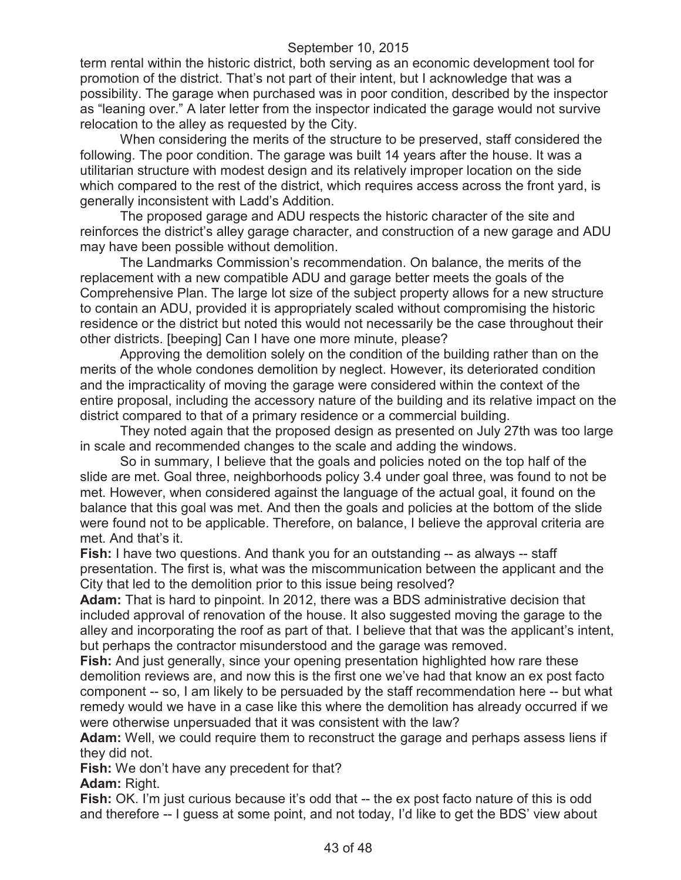term rental within the historic district, both serving as an economic development tool for promotion of the district. That's not part of their intent, but I acknowledge that was a possibility. The garage when purchased was in poor condition, described by the inspector as "leaning over." A later letter from the inspector indicated the garage would not survive relocation to the alley as requested by the City.

When considering the merits of the structure to be preserved, staff considered the following. The poor condition. The garage was built 14 years after the house. It was a utilitarian structure with modest design and its relatively improper location on the side which compared to the rest of the district, which requires access across the front yard, is generally inconsistent with Ladd's Addition.

The proposed garage and ADU respects the historic character of the site and reinforces the district's alley garage character, and construction of a new garage and ADU may have been possible without demolition.

The Landmarks Commission's recommendation. On balance, the merits of the replacement with a new compatible ADU and garage better meets the goals of the Comprehensive Plan. The large lot size of the subject property allows for a new structure to contain an ADU, provided it is appropriately scaled without compromising the historic residence or the district but noted this would not necessarily be the case throughout their other districts. [beeping] Can I have one more minute, please?

Approving the demolition solely on the condition of the building rather than on the merits of the whole condones demolition by neglect. However, its deteriorated condition and the impracticality of moving the garage were considered within the context of the entire proposal, including the accessory nature of the building and its relative impact on the district compared to that of a primary residence or a commercial building.

They noted again that the proposed design as presented on July 27th was too large in scale and recommended changes to the scale and adding the windows.

So in summary, I believe that the goals and policies noted on the top half of the slide are met. Goal three, neighborhoods policy 3.4 under goal three, was found to not be met. However, when considered against the language of the actual goal, it found on the balance that this goal was met. And then the goals and policies at the bottom of the slide were found not to be applicable. Therefore, on balance, I believe the approval criteria are met. And that's it.

**Fish:** I have two questions. And thank you for an outstanding -- as always -- staff presentation. The first is, what was the miscommunication between the applicant and the City that led to the demolition prior to this issue being resolved?

**Adam:** That is hard to pinpoint. In 2012, there was a BDS administrative decision that included approval of renovation of the house. It also suggested moving the garage to the alley and incorporating the roof as part of that. I believe that that was the applicant's intent, but perhaps the contractor misunderstood and the garage was removed.

**Fish:** And just generally, since your opening presentation highlighted how rare these demolition reviews are, and now this is the first one we've had that know an ex post facto component -- so, I am likely to be persuaded by the staff recommendation here -- but what remedy would we have in a case like this where the demolition has already occurred if we were otherwise unpersuaded that it was consistent with the law?

**Adam:** Well, we could require them to reconstruct the garage and perhaps assess liens if they did not.

**Fish:** We don't have any precedent for that?

Adam: Right.

**Fish:** OK. I'm just curious because it's odd that -- the ex post facto nature of this is odd and therefore -- I guess at some point, and not today, I'd like to get the BDS' view about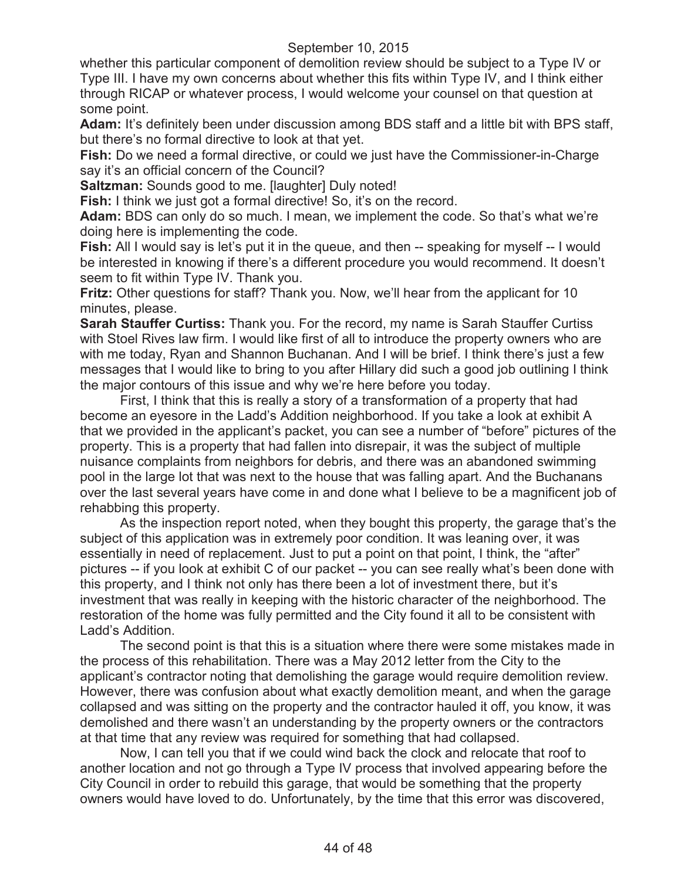whether this particular component of demolition review should be subject to a Type IV or Type III. I have my own concerns about whether this fits within Type IV, and I think either through RICAP or whatever process, I would welcome your counsel on that question at some point.

**Adam:** It's definitely been under discussion among BDS staff and a little bit with BPS staff, but there's no formal directive to look at that yet.

**Fish:** Do we need a formal directive, or could we just have the Commissioner-in-Charge say it's an official concern of the Council?

**Saltzman:** Sounds good to me. [laughter] Duly noted!

**Fish:** I think we just got a formal directive! So, it's on the record.

**Adam:** BDS can only do so much. I mean, we implement the code. So that's what we're doing here is implementing the code.

**Fish:** All I would say is let's put it in the queue, and then -- speaking for myself -- I would be interested in knowing if there's a different procedure you would recommend. It doesn't seem to fit within Type IV. Thank you.

**Fritz:** Other questions for staff? Thank you. Now, we'll hear from the applicant for 10 minutes, please.

**Sarah Stauffer Curtiss:** Thank you. For the record, my name is Sarah Stauffer Curtiss with Stoel Rives law firm. I would like first of all to introduce the property owners who are with me today, Ryan and Shannon Buchanan. And I will be brief. I think there's just a few messages that I would like to bring to you after Hillary did such a good job outlining I think the major contours of this issue and why we're here before you today.

First, I think that this is really a story of a transformation of a property that had become an eyesore in the Ladd's Addition neighborhood. If you take a look at exhibit A that we provided in the applicant's packet, you can see a number of "before" pictures of the property. This is a property that had fallen into disrepair, it was the subject of multiple nuisance complaints from neighbors for debris, and there was an abandoned swimming pool in the large lot that was next to the house that was falling apart. And the Buchanans over the last several years have come in and done what I believe to be a magnificent job of rehabbing this property.

As the inspection report noted, when they bought this property, the garage that's the subject of this application was in extremely poor condition. It was leaning over, it was essentially in need of replacement. Just to put a point on that point, I think, the "after" pictures -- if you look at exhibit C of our packet -- you can see really what's been done with this property, and I think not only has there been a lot of investment there, but it's investment that was really in keeping with the historic character of the neighborhood. The restoration of the home was fully permitted and the City found it all to be consistent with Ladd's Addition.

The second point is that this is a situation where there were some mistakes made in the process of this rehabilitation. There was a May 2012 letter from the City to the applicant's contractor noting that demolishing the garage would require demolition review. However, there was confusion about what exactly demolition meant, and when the garage collapsed and was sitting on the property and the contractor hauled it off, you know, it was demolished and there wasn't an understanding by the property owners or the contractors at that time that any review was required for something that had collapsed.

Now, I can tell you that if we could wind back the clock and relocate that roof to another location and not go through a Type IV process that involved appearing before the City Council in order to rebuild this garage, that would be something that the property owners would have loved to do. Unfortunately, by the time that this error was discovered,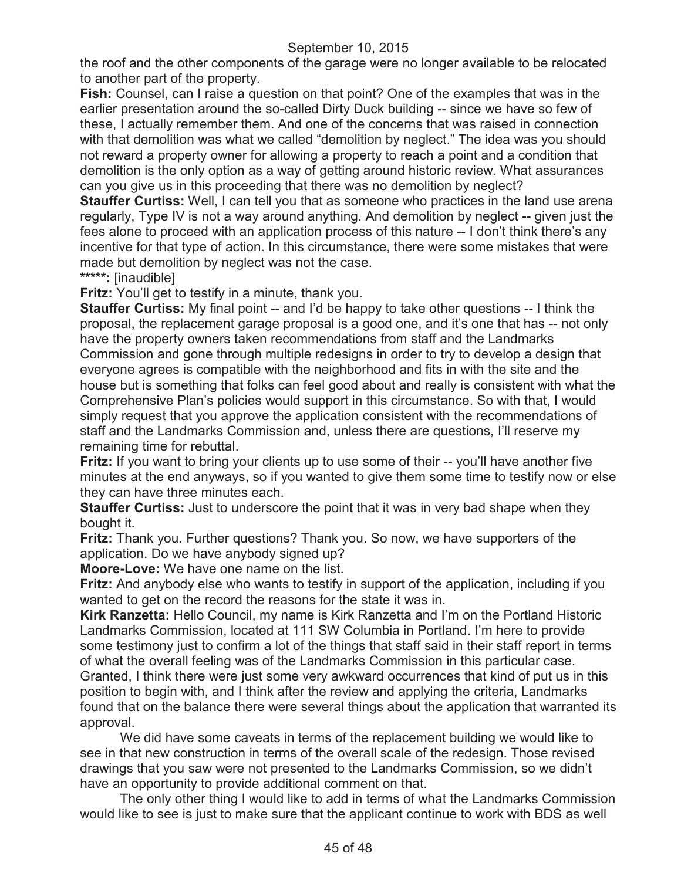the roof and the other components of the garage were no longer available to be relocated to another part of the property.

**Fish:** Counsel, can I raise a question on that point? One of the examples that was in the earlier presentation around the so-called Dirty Duck building -- since we have so few of these, I actually remember them. And one of the concerns that was raised in connection with that demolition was what we called "demolition by neglect." The idea was you should not reward a property owner for allowing a property to reach a point and a condition that demolition is the only option as a way of getting around historic review. What assurances can you give us in this proceeding that there was no demolition by neglect?

**Stauffer Curtiss:** Well, I can tell you that as someone who practices in the land use arena regularly, Type IV is not a way around anything. And demolition by neglect -- given just the fees alone to proceed with an application process of this nature -- I don't think there's any incentive for that type of action. In this circumstance, there were some mistakes that were made but demolition by neglect was not the case.

**\*\*\*\*\*:** [inaudible]

**Fritz:** You'll get to testify in a minute, thank you.

**Stauffer Curtiss:** My final point -- and I'd be happy to take other questions -- I think the proposal, the replacement garage proposal is a good one, and it's one that has -- not only have the property owners taken recommendations from staff and the Landmarks Commission and gone through multiple redesigns in order to try to develop a design that everyone agrees is compatible with the neighborhood and fits in with the site and the house but is something that folks can feel good about and really is consistent with what the Comprehensive Plan's policies would support in this circumstance. So with that, I would simply request that you approve the application consistent with the recommendations of staff and the Landmarks Commission and, unless there are questions, I'll reserve my remaining time for rebuttal.

**Fritz:** If you want to bring your clients up to use some of their -- you'll have another five minutes at the end anyways, so if you wanted to give them some time to testify now or else they can have three minutes each.

**Stauffer Curtiss:** Just to underscore the point that it was in very bad shape when they bought it.

**Fritz:** Thank you. Further questions? Thank you. So now, we have supporters of the application. Do we have anybody signed up?

**Moore-Love:** We have one name on the list.

**Fritz:** And anybody else who wants to testify in support of the application, including if you wanted to get on the record the reasons for the state it was in.

**Kirk Ranzetta:** Hello Council, my name is Kirk Ranzetta and I'm on the Portland Historic Landmarks Commission, located at 111 SW Columbia in Portland. I'm here to provide some testimony just to confirm a lot of the things that staff said in their staff report in terms of what the overall feeling was of the Landmarks Commission in this particular case. Granted, I think there were just some very awkward occurrences that kind of put us in this

position to begin with, and I think after the review and applying the criteria, Landmarks found that on the balance there were several things about the application that warranted its approval.

We did have some caveats in terms of the replacement building we would like to see in that new construction in terms of the overall scale of the redesign. Those revised drawings that you saw were not presented to the Landmarks Commission, so we didn't have an opportunity to provide additional comment on that.

The only other thing I would like to add in terms of what the Landmarks Commission would like to see is just to make sure that the applicant continue to work with BDS as well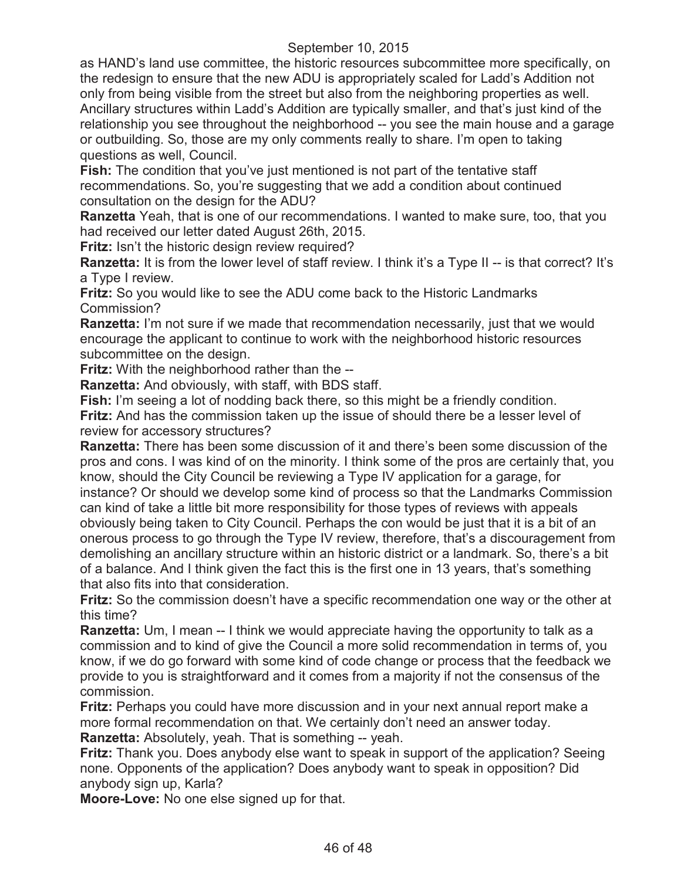as HAND's land use committee, the historic resources subcommittee more specifically, on the redesign to ensure that the new ADU is appropriately scaled for Ladd's Addition not only from being visible from the street but also from the neighboring properties as well. Ancillary structures within Ladd's Addition are typically smaller, and that's just kind of the relationship you see throughout the neighborhood -- you see the main house and a garage or outbuilding. So, those are my only comments really to share. I'm open to taking questions as well, Council.

**Fish:** The condition that you've just mentioned is not part of the tentative staff recommendations. So, you're suggesting that we add a condition about continued consultation on the design for the ADU?

**Ranzetta** Yeah, that is one of our recommendations. I wanted to make sure, too, that you had received our letter dated August 26th, 2015.

**Fritz:** Isn't the historic design review required?

**Ranzetta:** It is from the lower level of staff review. I think it's a Type II -- is that correct? It's a Type I review.

**Fritz:** So you would like to see the ADU come back to the Historic Landmarks Commission?

**Ranzetta:** I'm not sure if we made that recommendation necessarily, just that we would encourage the applicant to continue to work with the neighborhood historic resources subcommittee on the design.

**Fritz:** With the neighborhood rather than the --

**Ranzetta:** And obviously, with staff, with BDS staff.

**Fish:** I'm seeing a lot of nodding back there, so this might be a friendly condition. **Fritz:** And has the commission taken up the issue of should there be a lesser level of review for accessory structures?

**Ranzetta:** There has been some discussion of it and there's been some discussion of the pros and cons. I was kind of on the minority. I think some of the pros are certainly that, you know, should the City Council be reviewing a Type IV application for a garage, for instance? Or should we develop some kind of process so that the Landmarks Commission can kind of take a little bit more responsibility for those types of reviews with appeals obviously being taken to City Council. Perhaps the con would be just that it is a bit of an onerous process to go through the Type IV review, therefore, that's a discouragement from demolishing an ancillary structure within an historic district or a landmark. So, there's a bit of a balance. And I think given the fact this is the first one in 13 years, that's something that also fits into that consideration.

**Fritz:** So the commission doesn't have a specific recommendation one way or the other at this time?

**Ranzetta:** Um, I mean -- I think we would appreciate having the opportunity to talk as a commission and to kind of give the Council a more solid recommendation in terms of, you know, if we do go forward with some kind of code change or process that the feedback we provide to you is straightforward and it comes from a majority if not the consensus of the commission.

**Fritz:** Perhaps you could have more discussion and in your next annual report make a more formal recommendation on that. We certainly don't need an answer today.

**Ranzetta:** Absolutely, yeah. That is something -- yeah.

**Fritz:** Thank you. Does anybody else want to speak in support of the application? Seeing none. Opponents of the application? Does anybody want to speak in opposition? Did anybody sign up, Karla?

**Moore-Love:** No one else signed up for that.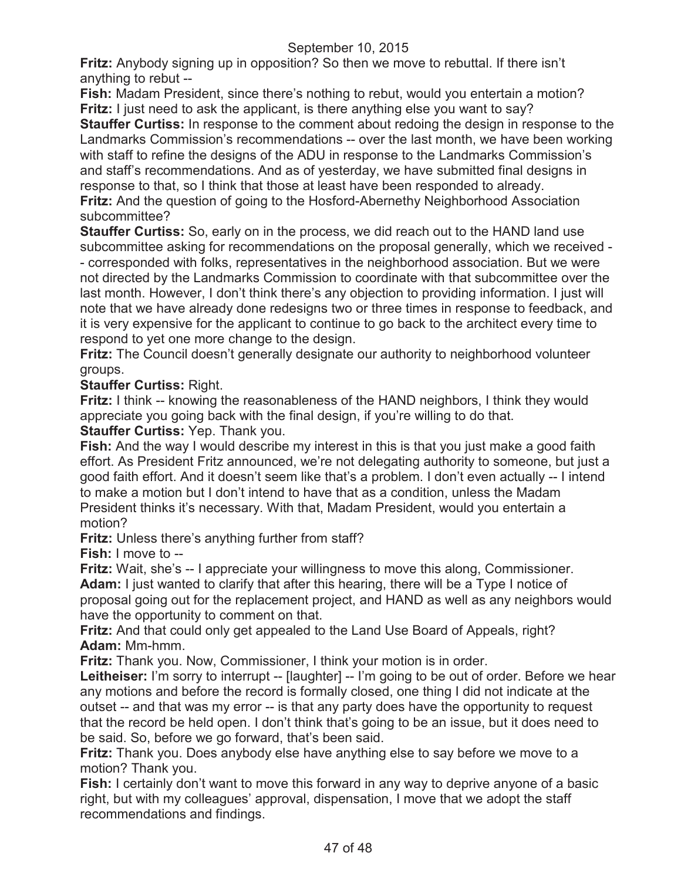**Fritz:** Anybody signing up in opposition? So then we move to rebuttal. If there isn't anything to rebut --

**Fish:** Madam President, since there's nothing to rebut, would you entertain a motion? **Fritz:** I just need to ask the applicant, is there anything else you want to say?

**Stauffer Curtiss:** In response to the comment about redoing the design in response to the Landmarks Commission's recommendations -- over the last month, we have been working with staff to refine the designs of the ADU in response to the Landmarks Commission's and staff's recommendations. And as of yesterday, we have submitted final designs in response to that, so I think that those at least have been responded to already. **Fritz:** And the question of going to the Hosford-Abernethy Neighborhood Association subcommittee?

**Stauffer Curtiss:** So, early on in the process, we did reach out to the HAND land use subcommittee asking for recommendations on the proposal generally, which we received - - corresponded with folks, representatives in the neighborhood association. But we were not directed by the Landmarks Commission to coordinate with that subcommittee over the last month. However, I don't think there's any objection to providing information. I just will note that we have already done redesigns two or three times in response to feedback, and it is very expensive for the applicant to continue to go back to the architect every time to respond to yet one more change to the design.

**Fritz:** The Council doesn't generally designate our authority to neighborhood volunteer groups.

# **Stauffer Curtiss:** Right.

**Fritz:** I think -- knowing the reasonableness of the HAND neighbors, I think they would appreciate you going back with the final design, if you're willing to do that.

## **Stauffer Curtiss:** Yep. Thank you.

**Fish:** And the way I would describe my interest in this is that you just make a good faith effort. As President Fritz announced, we're not delegating authority to someone, but just a good faith effort. And it doesn't seem like that's a problem. I don't even actually -- I intend to make a motion but I don't intend to have that as a condition, unless the Madam President thinks it's necessary. With that, Madam President, would you entertain a motion?

**Fritz:** Unless there's anything further from staff?

**Fish:** I move to --

**Fritz:** Wait, she's -- I appreciate your willingness to move this along, Commissioner.

**Adam:** I just wanted to clarify that after this hearing, there will be a Type I notice of proposal going out for the replacement project, and HAND as well as any neighbors would have the opportunity to comment on that.

**Fritz:** And that could only get appealed to the Land Use Board of Appeals, right? **Adam:** Mm-hmm.

**Fritz:** Thank you. Now, Commissioner, I think your motion is in order.

**Leitheiser:** I'm sorry to interrupt -- [laughter] -- I'm going to be out of order. Before we hear any motions and before the record is formally closed, one thing I did not indicate at the outset -- and that was my error -- is that any party does have the opportunity to request that the record be held open. I don't think that's going to be an issue, but it does need to be said. So, before we go forward, that's been said.

**Fritz:** Thank you. Does anybody else have anything else to say before we move to a motion? Thank you.

**Fish:** I certainly don't want to move this forward in any way to deprive anyone of a basic right, but with my colleagues' approval, dispensation, I move that we adopt the staff recommendations and findings.